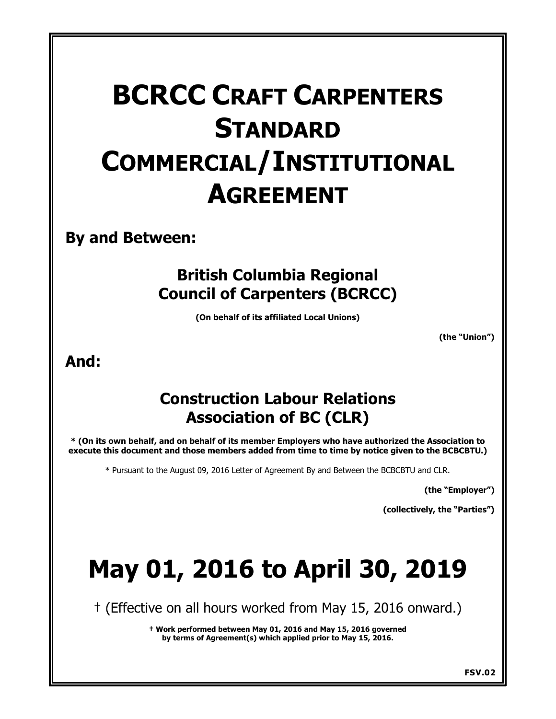# **BCRCC CRAFT CARPENTERS STANDARD COMMERCIAL/INSTITUTIONAL AGREEMENT**

**By and Between:**

# **British Columbia Regional Council of Carpenters (BCRCC)**

**(On behalf of its affiliated Local Unions)**

**(the "Union")** 

# **And:**

# **Construction Labour Relations Association of BC (CLR)**

**\* (On its own behalf, and on behalf of its member Employers who have authorized the Association to execute this document and those members added from time to time by notice given to the BCBCBTU.)**

\* Pursuant to the August 09, 2016 Letter of Agreement By and Between the BCBCBTU and CLR.

**(the "Employer")** 

**(collectively, the "Parties")** 

# **May 01, 2016 to April 30, 2019**

† (Effective on all hours worked from May 15, 2016 onward.)

**† Work performed between May 01, 2016 and May 15, 2016 governed by terms of Agreement(s) which applied prior to May 15, 2016.**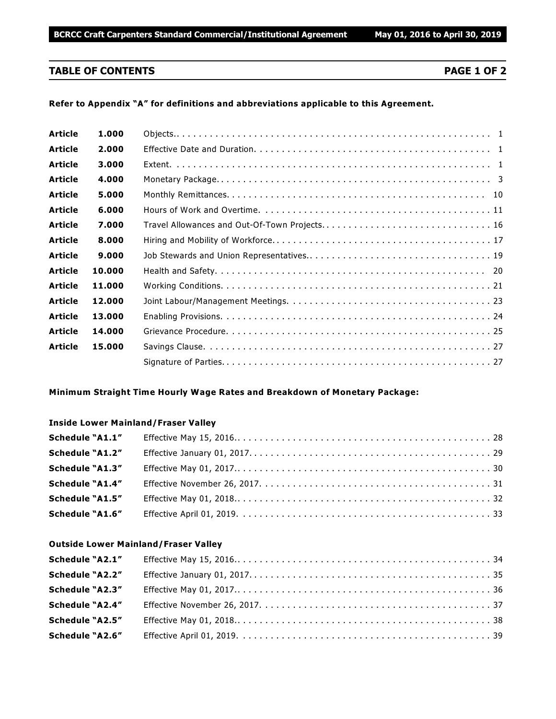# **TABLE OF CONTENTS PAGE 1 OF 2**

#### **Refer to Appendix "A" for definitions and abbreviations applicable to this Agreement.**

| <b>Article</b> | 1.000  |                                               |
|----------------|--------|-----------------------------------------------|
| <b>Article</b> | 2.000  |                                               |
| <b>Article</b> | 3.000  |                                               |
| <b>Article</b> | 4.000  |                                               |
| <b>Article</b> | 5.000  |                                               |
| <b>Article</b> | 6.000  |                                               |
| <b>Article</b> | 7.000  | Travel Allowances and Out-Of-Town Projects 16 |
| <b>Article</b> | 8.000  |                                               |
| <b>Article</b> | 9.000  |                                               |
| <b>Article</b> | 10.000 |                                               |
| <b>Article</b> | 11.000 |                                               |
| <b>Article</b> | 12.000 |                                               |
| <b>Article</b> | 13.000 |                                               |
| <b>Article</b> | 14.000 |                                               |
| <b>Article</b> | 15.000 |                                               |
|                |        |                                               |

#### **Minimum Straight Time Hourly Wage Rates and Breakdown of Monetary Package:**

#### **Inside Lower Mainland/Fraser Valley**

| Schedule "A1.1" |  |
|-----------------|--|
| Schedule "A1.2" |  |
| Schedule "A1.3" |  |
| Schedule "A1.4" |  |
| Schedule "A1.5" |  |
| Schedule "A1.6" |  |

#### **Outside Lower Mainland/Fraser Valley**

| Schedule "A2.1"        |  |
|------------------------|--|
| Schedule "A2.2"        |  |
| <b>Schedule "A2.3"</b> |  |
| Schedule "A2.4"        |  |
| <b>Schedule "A2.5"</b> |  |
| Schedule "A2.6"        |  |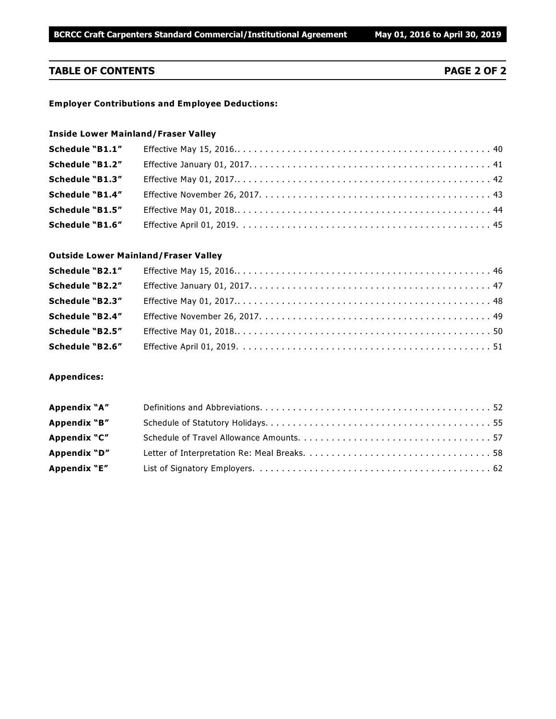# **TABLE OF CONTENTS PAGE 2 OF 2**

#### **Employer Contributions and Employee Deductions:**

# **Inside Lower Mainland/Fraser Valley**

| Schedule "B1.1"        |  |
|------------------------|--|
| Schedule "B1.2"        |  |
| <b>Schedule "B1.3"</b> |  |
| <b>Schedule "B1.4"</b> |  |
| Schedule "B1.5"        |  |
| <b>Schedule "B1.6"</b> |  |

#### **Outside Lower Mainland/Fraser Valley**

| Schedule "B2.1"        |  |
|------------------------|--|
| Schedule "B2.2"        |  |
| Schedule "B2.3"        |  |
| Schedule "B2.4"        |  |
| Schedule "B2.5"        |  |
| <b>Schedule "B2.6"</b> |  |

#### **Appendices:**

| Appendix "A" |  |
|--------------|--|
| Appendix "B" |  |
| Appendix "C" |  |
| Appendix "D" |  |
| Appendix "E" |  |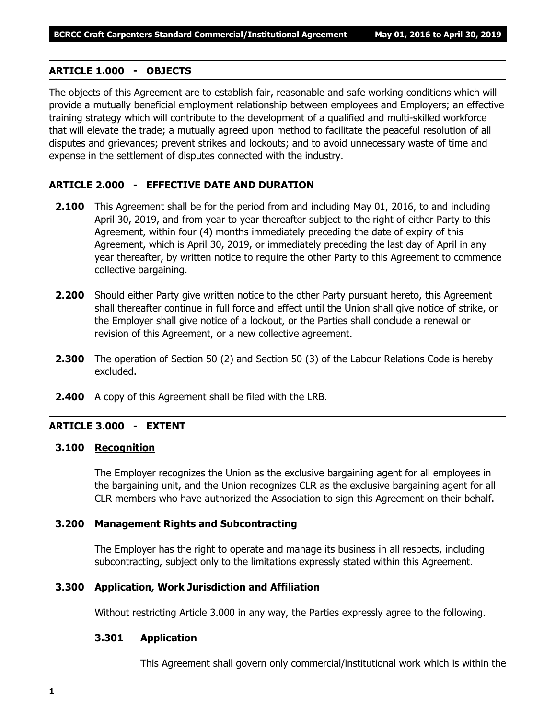# **ARTICLE 1.000 - OBJECTS**

The objects of this Agreement are to establish fair, reasonable and safe working conditions which will provide a mutually beneficial employment relationship between employees and Employers; an effective training strategy which will contribute to the development of a qualified and multi-skilled workforce that will elevate the trade; a mutually agreed upon method to facilitate the peaceful resolution of all disputes and grievances; prevent strikes and lockouts; and to avoid unnecessary waste of time and expense in the settlement of disputes connected with the industry.

# **ARTICLE 2.000 - EFFECTIVE DATE AND DURATION**

- **2.100** This Agreement shall be for the period from and including May 01, 2016, to and including April 30, 2019, and from year to year thereafter subject to the right of either Party to this Agreement, within four (4) months immediately preceding the date of expiry of this Agreement, which is April 30, 2019, or immediately preceding the last day of April in any year thereafter, by written notice to require the other Party to this Agreement to commence collective bargaining.
- **2.200** Should either Party give written notice to the other Party pursuant hereto, this Agreement shall thereafter continue in full force and effect until the Union shall give notice of strike, or the Employer shall give notice of a lockout, or the Parties shall conclude a renewal or revision of this Agreement, or a new collective agreement.
- **2.300** The operation of Section 50 (2) and Section 50 (3) of the *Labour Relations Code* is hereby excluded.
- **2.400** A copy of this Agreement shall be filed with the LRB.

# **ARTICLE 3.000 - EXTENT**

# **3.100 Recognition**

The Employer recognizes the Union as the exclusive bargaining agent for all employees in the bargaining unit, and the Union recognizes CLR as the exclusive bargaining agent for all CLR members who have authorized the Association to sign this Agreement on their behalf.

# **3.200 Management Rights and Subcontracting**

The Employer has the right to operate and manage its business in all respects, including subcontracting, subject only to the limitations expressly stated within this Agreement.

# **3.300 Application, Work Jurisdiction and Affiliation**

Without restricting Article 3.000 in any way, the Parties expressly agree to the following.

# **3.301 Application**

This Agreement shall govern only commercial/institutional work which is within the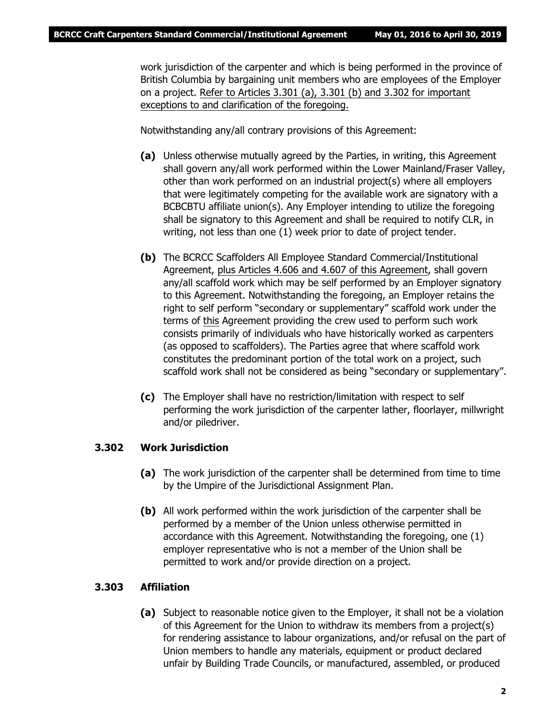work jurisdiction of the carpenter and which is being performed in the province of British Columbia by bargaining unit members who are employees of the Employer on a project. Refer to Articles 3.301 (a), 3.301 (b) and 3.302 for important exceptions to and clarification of the foregoing.

Notwithstanding any/all contrary provisions of this Agreement:

- **(a)** Unless otherwise mutually agreed by the Parties, in writing, this Agreement shall govern any/all work performed within the Lower Mainland/Fraser Valley, other than work performed on an industrial project(s) where all employers that were legitimately competing for the available work are signatory with a BCBCBTU affiliate union(s). Any Employer intending to utilize the foregoing shall be signatory to this Agreement and shall be required to notify CLR, in writing, not less than one (1) week prior to date of project tender.
- **(b)** The BCRCC Scaffolders All Employee Standard Commercial/Institutional Agreement, plus Articles 4.606 and 4.607 of this Agreement, shall govern any/all scaffold work which may be self performed by an Employer signatory to this Agreement. Notwithstanding the foregoing, an Employer retains the right to self perform "secondary or supplementary" scaffold work under the terms of this Agreement providing the crew used to perform such work consists primarily of individuals who have historically worked as carpenters (as opposed to scaffolders). The Parties agree that where scaffold work constitutes the predominant portion of the total work on a project, such scaffold work shall not be considered as being "secondary or supplementary".
- **(c)** The Employer shall have no restriction/limitation with respect to self performing the work jurisdiction of the carpenter lather, floorlayer, millwright and/or piledriver.

# **3.302 Work Jurisdiction**

- **(a)** The work jurisdiction of the carpenter shall be determined from time to time by the Umpire of the Jurisdictional Assignment Plan.
- **(b)** All work performed within the work jurisdiction of the carpenter shall be performed by a member of the Union unless otherwise permitted in accordance with this Agreement. Notwithstanding the foregoing, one (1) employer representative who is not a member of the Union shall be permitted to work and/or provide direction on a project.

# **3.303 Affiliation**

**(a)** Subject to reasonable notice given to the Employer, it shall not be a violation of this Agreement for the Union to withdraw its members from a project(s) for rendering assistance to labour organizations, and/or refusal on the part of Union members to handle any materials, equipment or product declared unfair by Building Trade Councils, or manufactured, assembled, or produced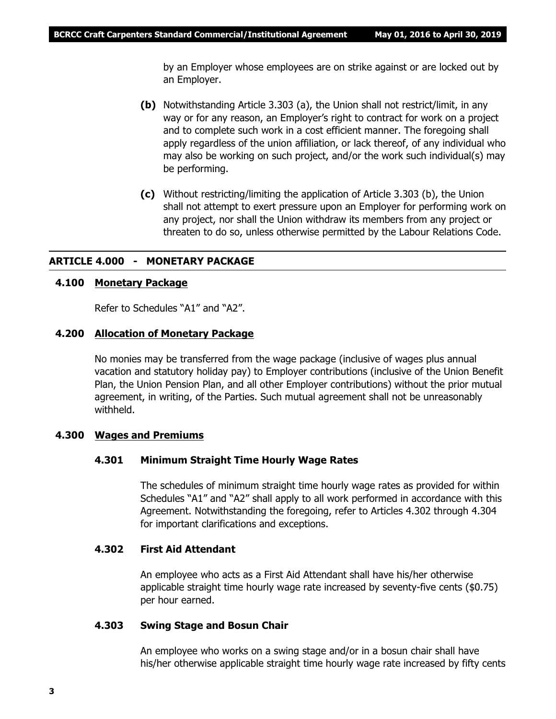by an Employer whose employees are on strike against or are locked out by an Employer.

- **(b)** Notwithstanding Article 3.303 (a), the Union shall not restrict/limit, in any way or for any reason, an Employer's right to contract for work on a project and to complete such work in a cost efficient manner. The foregoing shall apply regardless of the union affiliation, or lack thereof, of any individual who may also be working on such project, and/or the work such individual(s) may be performing.
- **(c)** Without restricting/limiting the application of Article 3.303 (b), the Union shall not attempt to exert pressure upon an Employer for performing work on any project, nor shall the Union withdraw its members from any project or threaten to do so, unless otherwise permitted by the *Labour Relations Code*.

# **ARTICLE 4.000 - MONETARY PACKAGE**

# **4.100 Monetary Package**

Refer to Schedules "A1" and "A2".

#### **4.200 Allocation of Monetary Package**

No monies may be transferred from the wage package (inclusive of wages plus annual vacation and statutory holiday pay) to Employer contributions (inclusive of the Union Benefit Plan, the Union Pension Plan, and all other Employer contributions) without the prior mutual agreement, in writing, of the Parties. Such mutual agreement shall not be unreasonably withheld.

#### **4.300 Wages and Premiums**

#### **4.301 Minimum Straight Time Hourly Wage Rates**

The schedules of minimum straight time hourly wage rates as provided for within Schedules "A1" and "A2" shall apply to all work performed in accordance with this Agreement. Notwithstanding the foregoing, refer to Articles 4.302 through 4.304 for important clarifications and exceptions.

#### **4.302 First Aid Attendant**

An employee who acts as a First Aid Attendant shall have his/her otherwise applicable straight time hourly wage rate increased by seventy-five cents (\$0.75) per hour earned.

#### **4.303 Swing Stage and Bosun Chair**

An employee who works on a swing stage and/or in a bosun chair shall have his/her otherwise applicable straight time hourly wage rate increased by fifty cents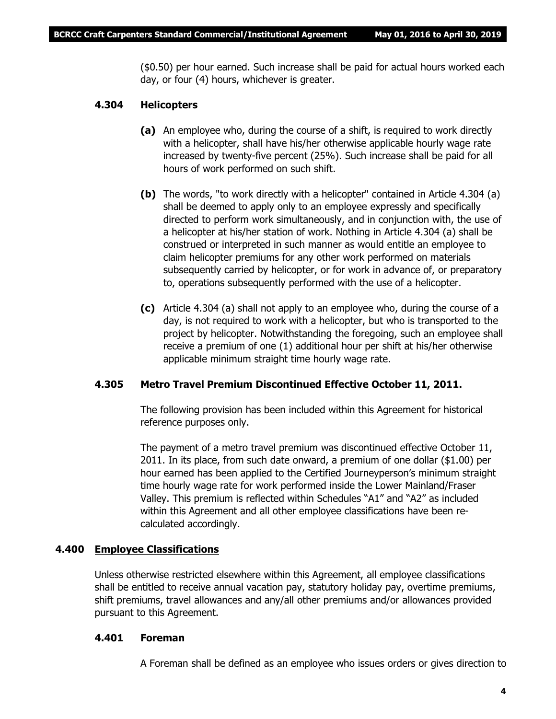(\$0.50) per hour earned. Such increase shall be paid for actual hours worked each day, or four (4) hours, whichever is greater.

# **4.304 Helicopters**

- **(a)** An employee who, during the course of a shift, is required to work directly with a helicopter, shall have his/her otherwise applicable hourly wage rate increased by twenty-five percent (25%). Such increase shall be paid for all hours of work performed on such shift.
- **(b)** The words, "to work directly with a helicopter" contained in Article 4.304 (a) shall be deemed to apply only to an employee expressly and specifically directed to perform work simultaneously, and in conjunction with, the use of a helicopter at his/her station of work. Nothing in Article 4.304 (a) shall be construed or interpreted in such manner as would entitle an employee to claim helicopter premiums for any other work performed on materials subsequently carried by helicopter, or for work in advance of, or preparatory to, operations subsequently performed with the use of a helicopter.
- **(c)** Article 4.304 (a) shall not apply to an employee who, during the course of a day, is not required to work with a helicopter, but who is transported to the project by helicopter. Notwithstanding the foregoing, such an employee shall receive a premium of one (1) additional hour per shift at his/her otherwise applicable minimum straight time hourly wage rate.

# **4.305 Metro Travel Premium Discontinued Effective October 11, 2011.**

The following provision has been included within this Agreement for historical reference purposes only.

The payment of a metro travel premium was discontinued effective October 11, 2011. In its place, from such date onward, a premium of one dollar (\$1.00) per hour earned has been applied to the Certified Journeyperson's minimum straight time hourly wage rate for work performed inside the Lower Mainland/Fraser Valley. This premium is reflected within Schedules "A1" and "A2" as included within this Agreement and all other employee classifications have been recalculated accordingly.

# **4.400 Employee Classifications**

Unless otherwise restricted elsewhere within this Agreement, all employee classifications shall be entitled to receive annual vacation pay, statutory holiday pay, overtime premiums, shift premiums, travel allowances and any/all other premiums and/or allowances provided pursuant to this Agreement.

# **4.401 Foreman**

A Foreman shall be defined as an employee who issues orders or gives direction to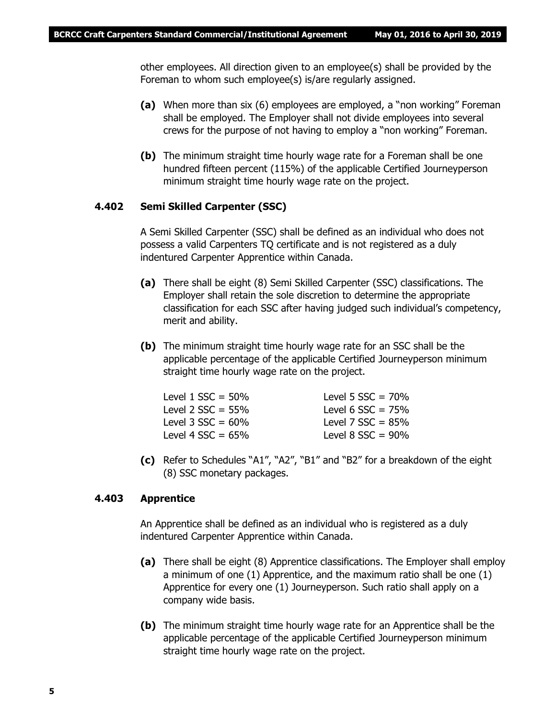other employees. All direction given to an employee(s) shall be provided by the Foreman to whom such employee(s) is/are regularly assigned.

- **(a)** When more than six (6) employees are employed, a "non working" Foreman shall be employed. The Employer shall not divide employees into several crews for the purpose of not having to employ a "non working" Foreman.
- **(b)** The minimum straight time hourly wage rate for a Foreman shall be one hundred fifteen percent (115%) of the applicable Certified Journeyperson minimum straight time hourly wage rate on the project.

# **4.402 Semi Skilled Carpenter (SSC)**

A Semi Skilled Carpenter (SSC) shall be defined as an individual who does not possess a valid Carpenters TQ certificate and is not registered as a duly indentured Carpenter Apprentice within Canada.

- **(a)** There shall be eight (8) Semi Skilled Carpenter (SSC) classifications. The Employer shall retain the sole discretion to determine the appropriate classification for each SSC after having judged such individual's competency, merit and ability.
- **(b)** The minimum straight time hourly wage rate for an SSC shall be the applicable percentage of the applicable Certified Journeyperson minimum straight time hourly wage rate on the project.

| Level $1$ SSC = 50%    | Level 5 $SSC = 70%$    |
|------------------------|------------------------|
| Level 2 $SSC = 55\%$   | Level 6 $SSC = 75%$    |
| Level $3$ SSC = $60\%$ | Level 7 $SSC = 85%$    |
| Level 4 $SSC = 65%$    | Level $8$ SSC = $90\%$ |
|                        |                        |

**(c)** Refer to Schedules "A1", "A2", "B1" and "B2" for a breakdown of the eight (8) SSC monetary packages.

#### **4.403 Apprentice**

An Apprentice shall be defined as an individual who is registered as a duly indentured Carpenter Apprentice within Canada.

- **(a)** There shall be eight (8) Apprentice classifications. The Employer shall employ a minimum of one (1) Apprentice, and the maximum ratio shall be one (1) Apprentice for every one (1) Journeyperson. Such ratio shall apply on a company wide basis.
- **(b)** The minimum straight time hourly wage rate for an Apprentice shall be the applicable percentage of the applicable Certified Journeyperson minimum straight time hourly wage rate on the project.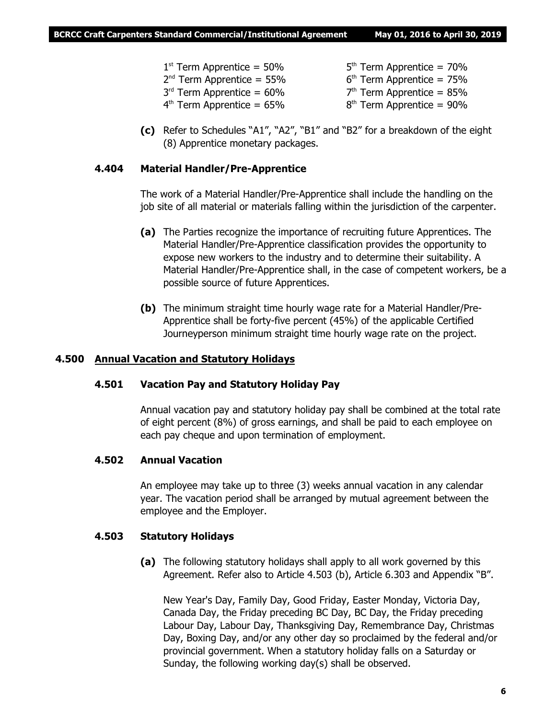- $1<sup>st</sup>$  Term Apprentice = 50% 5
	- th Term Apprentice = 70%
- 2 nd Term Apprentice = 55% 6 <sup>th</sup> Term Apprentice = 75%
- $3<sup>rd</sup>$  Term Apprentice =  $60\%$  7 <sup>th</sup> Term Apprentice = 85%
- $4^{\text{th}}$  Term Apprentice = 65% and the 8 <sup>th</sup> Term Apprentice = 90%
- **(c)** Refer to Schedules "A1", "A2", "B1" and "B2" for a breakdown of the eight (8) Apprentice monetary packages.

# **4.404 Material Handler/Pre-Apprentice**

The work of a Material Handler/Pre-Apprentice shall include the handling on the job site of all material or materials falling within the jurisdiction of the carpenter.

- **(a)** The Parties recognize the importance of recruiting future Apprentices. The Material Handler/Pre-Apprentice classification provides the opportunity to expose new workers to the industry and to determine their suitability. A Material Handler/Pre-Apprentice shall, in the case of competent workers, be a possible source of future Apprentices.
- **(b)** The minimum straight time hourly wage rate for a Material Handler/Pre-Apprentice shall be forty-five percent (45%) of the applicable Certified Journeyperson minimum straight time hourly wage rate on the project.

# **4.500 Annual Vacation and Statutory Holidays**

# **4.501 Vacation Pay and Statutory Holiday Pay**

Annual vacation pay and statutory holiday pay shall be combined at the total rate of eight percent (8%) of gross earnings, and shall be paid to each employee on each pay cheque and upon termination of employment.

# **4.502 Annual Vacation**

An employee may take up to three (3) weeks annual vacation in any calendar year. The vacation period shall be arranged by mutual agreement between the employee and the Employer.

# **4.503 Statutory Holidays**

**(a)** The following statutory holidays shall apply to all work governed by this Agreement. Refer also to Article 4.503 (b), Article 6.303 and Appendix "B".

New Year's Day, Family Day, Good Friday, Easter Monday, Victoria Day, Canada Day, the Friday preceding BC Day, BC Day, the Friday preceding Labour Day, Labour Day, Thanksgiving Day, Remembrance Day, Christmas Day, Boxing Day, and/or any other day so proclaimed by the federal and/or provincial government. When a statutory holiday falls on a Saturday or Sunday, the following working day(s) shall be observed.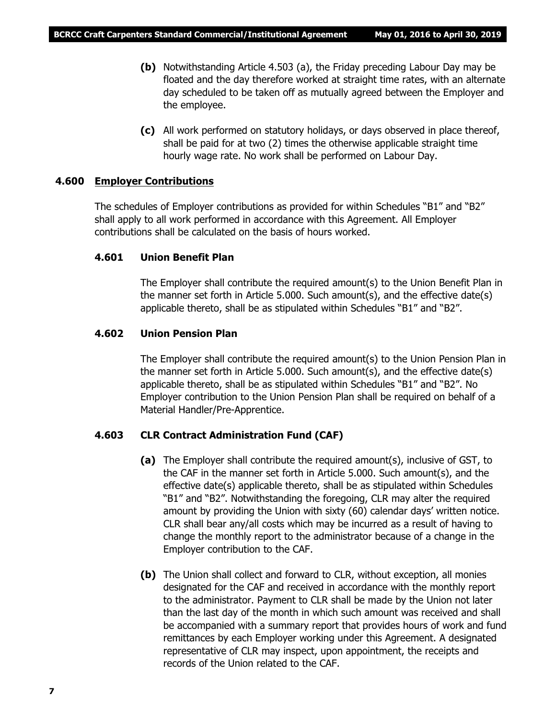- **(b)** Notwithstanding Article 4.503 (a), the Friday preceding Labour Day may be floated and the day therefore worked at straight time rates, with an alternate day scheduled to be taken off as mutually agreed between the Employer and the employee.
- **(c)** All work performed on statutory holidays, or days observed in place thereof, shall be paid for at two (2) times the otherwise applicable straight time hourly wage rate. No work shall be performed on Labour Day.

#### **4.600 Employer Contributions**

The schedules of Employer contributions as provided for within Schedules "B1" and "B2" shall apply to all work performed in accordance with this Agreement. All Employer contributions shall be calculated on the basis of hours worked.

#### **4.601 Union Benefit Plan**

The Employer shall contribute the required amount(s) to the Union Benefit Plan in the manner set forth in Article 5.000. Such amount(s), and the effective date(s) applicable thereto, shall be as stipulated within Schedules "B1" and "B2".

# **4.602 Union Pension Plan**

The Employer shall contribute the required amount(s) to the Union Pension Plan in the manner set forth in Article 5.000. Such amount(s), and the effective date(s) applicable thereto, shall be as stipulated within Schedules "B1" and "B2". No Employer contribution to the Union Pension Plan shall be required on behalf of a Material Handler/Pre-Apprentice.

# **4.603 CLR Contract Administration Fund (CAF)**

- **(a)** The Employer shall contribute the required amount(s), inclusive of GST, to the CAF in the manner set forth in Article 5.000. Such amount(s), and the effective date(s) applicable thereto, shall be as stipulated within Schedules "B1" and "B2". Notwithstanding the foregoing, CLR may alter the required amount by providing the Union with sixty (60) calendar days' written notice. CLR shall bear any/all costs which may be incurred as a result of having to change the monthly report to the administrator because of a change in the Employer contribution to the CAF.
- **(b)** The Union shall collect and forward to CLR, without exception, all monies designated for the CAF and received in accordance with the monthly report to the administrator. Payment to CLR shall be made by the Union not later than the last day of the month in which such amount was received and shall be accompanied with a summary report that provides hours of work and fund remittances by each Employer working under this Agreement. A designated representative of CLR may inspect, upon appointment, the receipts and records of the Union related to the CAF.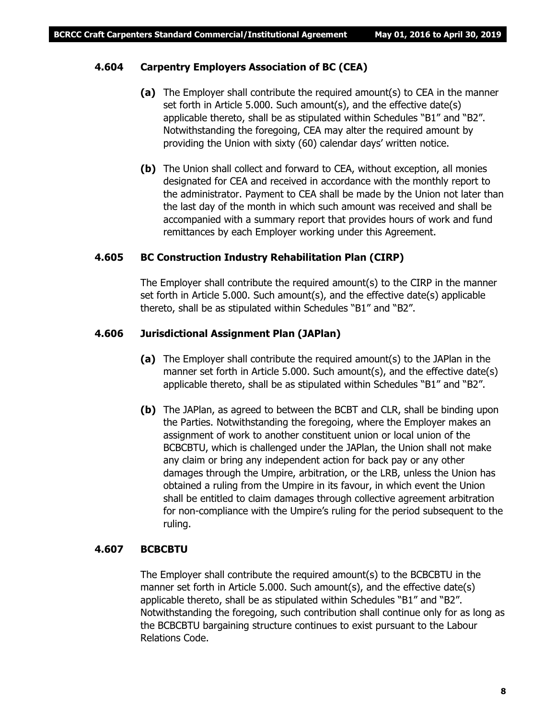# **4.604 Carpentry Employers Association of BC (CEA)**

- **(a)** The Employer shall contribute the required amount(s) to CEA in the manner set forth in Article 5.000. Such amount(s), and the effective date(s) applicable thereto, shall be as stipulated within Schedules "B1" and "B2". Notwithstanding the foregoing, CEA may alter the required amount by providing the Union with sixty (60) calendar days' written notice.
- **(b)** The Union shall collect and forward to CEA, without exception, all monies designated for CEA and received in accordance with the monthly report to the administrator. Payment to CEA shall be made by the Union not later than the last day of the month in which such amount was received and shall be accompanied with a summary report that provides hours of work and fund remittances by each Employer working under this Agreement.

# **4.605 BC Construction Industry Rehabilitation Plan (CIRP)**

The Employer shall contribute the required amount(s) to the CIRP in the manner set forth in Article 5.000. Such amount(s), and the effective date(s) applicable thereto, shall be as stipulated within Schedules "B1" and "B2".

# **4.606 Jurisdictional Assignment Plan (JAPlan)**

- **(a)** The Employer shall contribute the required amount(s) to the JAPlan in the manner set forth in Article 5.000. Such amount(s), and the effective date(s) applicable thereto, shall be as stipulated within Schedules "B1" and "B2".
- **(b)** The JAPlan, as agreed to between the BCBT and CLR, shall be binding upon the Parties. Notwithstanding the foregoing, where the Employer makes an assignment of work to another constituent union or local union of the BCBCBTU, which is challenged under the JAPlan, the Union shall not make any claim or bring any independent action for back pay or any other damages through the Umpire, arbitration, or the LRB, unless the Union has obtained a ruling from the Umpire in its favour, in which event the Union shall be entitled to claim damages through collective agreement arbitration for non-compliance with the Umpire's ruling for the period subsequent to the ruling.

# **4.607 BCBCBTU**

The Employer shall contribute the required amount(s) to the BCBCBTU in the manner set forth in Article 5.000. Such amount(s), and the effective date(s) applicable thereto, shall be as stipulated within Schedules "B1" and "B2". Notwithstanding the foregoing, such contribution shall continue only for as long as the BCBCBTU bargaining structure continues to exist pursuant to the *Labour Relations Code*.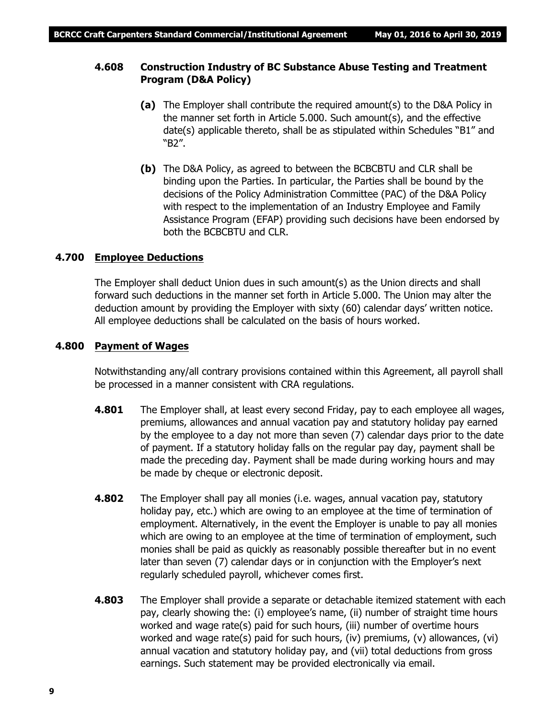# **4.608 Construction Industry of BC Substance Abuse Testing and Treatment Program (D&A Policy)**

- **(a)** The Employer shall contribute the required amount(s) to the D&A Policy in the manner set forth in Article 5.000. Such amount(s), and the effective date(s) applicable thereto, shall be as stipulated within Schedules "B1" and "B2".
- **(b)** The D&A Policy, as agreed to between the BCBCBTU and CLR shall be binding upon the Parties. In particular, the Parties shall be bound by the decisions of the Policy Administration Committee (PAC) of the D&A Policy with respect to the implementation of an Industry Employee and Family Assistance Program (EFAP) providing such decisions have been endorsed by both the BCBCBTU and CLR.

# **4.700 Employee Deductions**

The Employer shall deduct Union dues in such amount(s) as the Union directs and shall forward such deductions in the manner set forth in Article 5.000. The Union may alter the deduction amount by providing the Employer with sixty (60) calendar days' written notice. All employee deductions shall be calculated on the basis of hours worked.

# **4.800 Payment of Wages**

Notwithstanding any/all contrary provisions contained within this Agreement, all payroll shall be processed in a manner consistent with CRA regulations.

- **4.801** The Employer shall, at least every second Friday, pay to each employee all wages, premiums, allowances and annual vacation pay and statutory holiday pay earned by the employee to a day not more than seven (7) calendar days prior to the date of payment. If a statutory holiday falls on the regular pay day, payment shall be made the preceding day. Payment shall be made during working hours and may be made by cheque or electronic deposit.
- **4.802** The Employer shall pay all monies (i.e. wages, annual vacation pay, statutory holiday pay, etc.) which are owing to an employee at the time of termination of employment. Alternatively, in the event the Employer is unable to pay all monies which are owing to an employee at the time of termination of employment, such monies shall be paid as quickly as reasonably possible thereafter but in no event later than seven (7) calendar days or in conjunction with the Employer's next regularly scheduled payroll, whichever comes first.
- **4.803** The Employer shall provide a separate or detachable itemized statement with each pay, clearly showing the: (i) employee's name, (ii) number of straight time hours worked and wage rate(s) paid for such hours, (iii) number of overtime hours worked and wage rate(s) paid for such hours, (iv) premiums, (v) allowances, (vi) annual vacation and statutory holiday pay, and (vii) total deductions from gross earnings. Such statement may be provided electronically via email.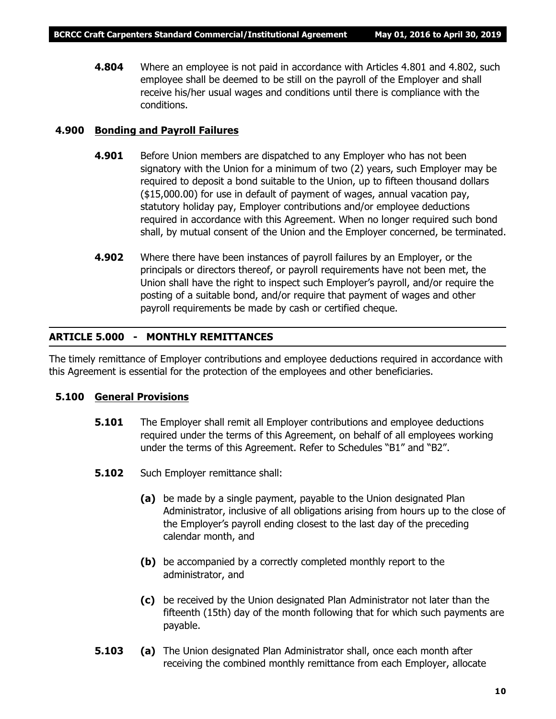**4.804** Where an employee is not paid in accordance with Articles 4.801 and 4.802, such employee shall be deemed to be still on the payroll of the Employer and shall receive his/her usual wages and conditions until there is compliance with the conditions.

# **4.900 Bonding and Payroll Failures**

- **4.901** Before Union members are dispatched to any Employer who has not been signatory with the Union for a minimum of two (2) years, such Employer may be required to deposit a bond suitable to the Union, up to fifteen thousand dollars (\$15,000.00) for use in default of payment of wages, annual vacation pay, statutory holiday pay, Employer contributions and/or employee deductions required in accordance with this Agreement. When no longer required such bond shall, by mutual consent of the Union and the Employer concerned, be terminated.
- **4.902** Where there have been instances of payroll failures by an Employer, or the principals or directors thereof, or payroll requirements have not been met, the Union shall have the right to inspect such Employer's payroll, and/or require the posting of a suitable bond, and/or require that payment of wages and other payroll requirements be made by cash or certified cheque.

# **ARTICLE 5.000 - MONTHLY REMITTANCES**

The timely remittance of Employer contributions and employee deductions required in accordance with this Agreement is essential for the protection of the employees and other beneficiaries.

# **5.100 General Provisions**

- **5.101** The Employer shall remit all Employer contributions and employee deductions required under the terms of this Agreement, on behalf of all employees working under the terms of this Agreement. Refer to Schedules "B1" and "B2".
- **5.102** Such Employer remittance shall:
	- **(a)** be made by a single payment, payable to the Union designated Plan Administrator, inclusive of all obligations arising from hours up to the close of the Employer's payroll ending closest to the last day of the preceding calendar month, and
	- **(b)** be accompanied by a correctly completed monthly report to the administrator, and
	- **(c)** be received by the Union designated Plan Administrator not later than the fifteenth (15th) day of the month following that for which such payments are payable.
- **5.103 (a)** The Union designated Plan Administrator shall, once each month after receiving the combined monthly remittance from each Employer, allocate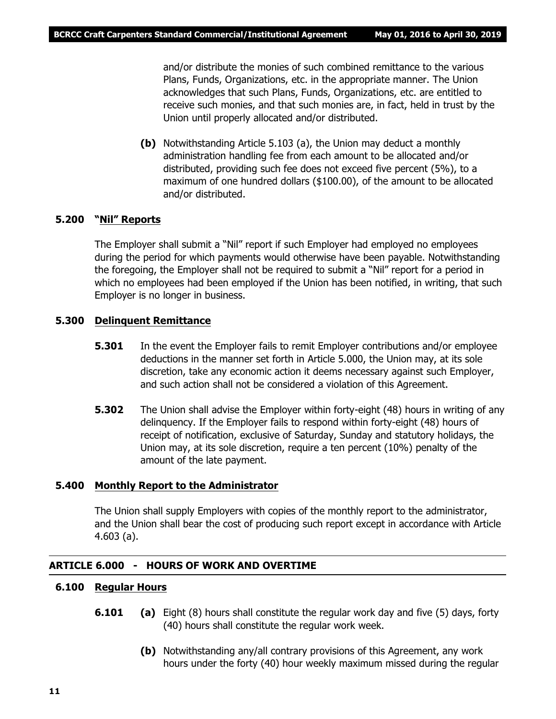and/or distribute the monies of such combined remittance to the various Plans, Funds, Organizations, etc. in the appropriate manner. The Union acknowledges that such Plans, Funds, Organizations, etc. are entitled to receive such monies, and that such monies are, in fact, held in trust by the Union until properly allocated and/or distributed.

**(b)** Notwithstanding Article 5.103 (a), the Union may deduct a monthly administration handling fee from each amount to be allocated and/or distributed, providing such fee does not exceed five percent (5%), to a maximum of one hundred dollars (\$100.00), of the amount to be allocated and/or distributed.

# **5.200 "Nil" Reports**

The Employer shall submit a "Nil" report if such Employer had employed no employees during the period for which payments would otherwise have been payable. Notwithstanding the foregoing, the Employer shall not be required to submit a "Nil" report for a period in which no employees had been employed if the Union has been notified, in writing, that such Employer is no longer in business.

# **5.300 Delinquent Remittance**

- **5.301** In the event the Employer fails to remit Employer contributions and/or employee deductions in the manner set forth in Article 5.000, the Union may, at its sole discretion, take any economic action it deems necessary against such Employer, and such action shall not be considered a violation of this Agreement.
- **5.302** The Union shall advise the Employer within forty-eight (48) hours in writing of any delinquency. If the Employer fails to respond within forty-eight (48) hours of receipt of notification, exclusive of Saturday, Sunday and statutory holidays, the Union may, at its sole discretion, require a ten percent (10%) penalty of the amount of the late payment.

#### **5.400 Monthly Report to the Administrator**

The Union shall supply Employers with copies of the monthly report to the administrator, and the Union shall bear the cost of producing such report except in accordance with Article 4.603 (a).

#### **ARTICLE 6.000 - HOURS OF WORK AND OVERTIME**

# **6.100 Regular Hours**

- **6.101 (a)** Eight (8) hours shall constitute the regular work day and five (5) days, forty (40) hours shall constitute the regular work week.
	- **(b)** Notwithstanding any/all contrary provisions of this Agreement, any work hours under the forty (40) hour weekly maximum missed during the regular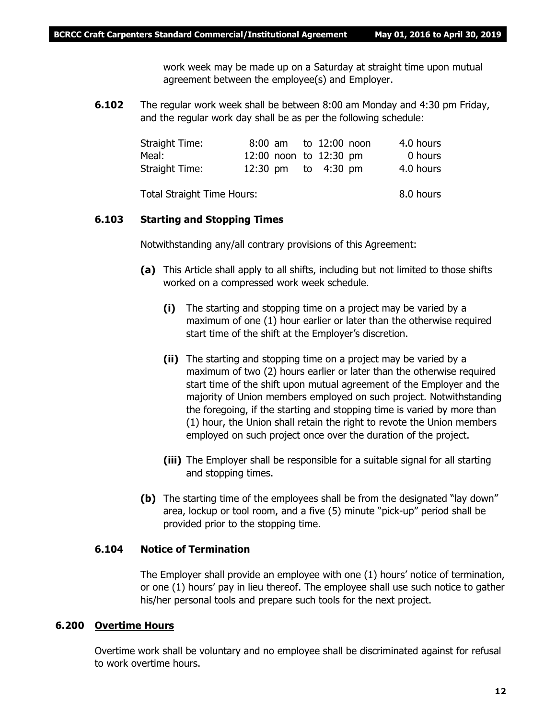work week may be made up on a Saturday at straight time upon mutual agreement between the employee(s) and Employer.

**6.102** The regular work week shall be between 8:00 am Monday and 4:30 pm Friday, and the regular work day shall be as per the following schedule:

| Straight Time:             |  | 8:00 am to 12:00 noon  | 4.0 hours |
|----------------------------|--|------------------------|-----------|
| Meal:                      |  | 12:00 noon to 12:30 pm | 0 hours   |
| Straight Time:             |  | 12:30 pm to 4:30 pm    | 4.0 hours |
| Total Straight Time Hours: |  |                        | 8.0 hours |

#### **6.103 Starting and Stopping Times**

Notwithstanding any/all contrary provisions of this Agreement:

- **(a)** This Article shall apply to all shifts, including but not limited to those shifts worked on a compressed work week schedule.
	- **(i)** The starting and stopping time on a project may be varied by a maximum of one (1) hour earlier or later than the otherwise required start time of the shift at the Employer's discretion.
	- **(ii)** The starting and stopping time on a project may be varied by a maximum of two (2) hours earlier or later than the otherwise required start time of the shift upon mutual agreement of the Employer and the majority of Union members employed on such project. Notwithstanding the foregoing, if the starting and stopping time is varied by more than (1) hour, the Union shall retain the right to revote the Union members employed on such project once over the duration of the project.
	- **(iii)** The Employer shall be responsible for a suitable signal for all starting and stopping times.
- **(b)** The starting time of the employees shall be from the designated "lay down" area, lockup or tool room, and a five (5) minute "pick-up" period shall be provided prior to the stopping time.

#### **6.104 Notice of Termination**

The Employer shall provide an employee with one (1) hours' notice of termination, or one (1) hours' pay in lieu thereof. The employee shall use such notice to gather his/her personal tools and prepare such tools for the next project.

#### **6.200 Overtime Hours**

Overtime work shall be voluntary and no employee shall be discriminated against for refusal to work overtime hours.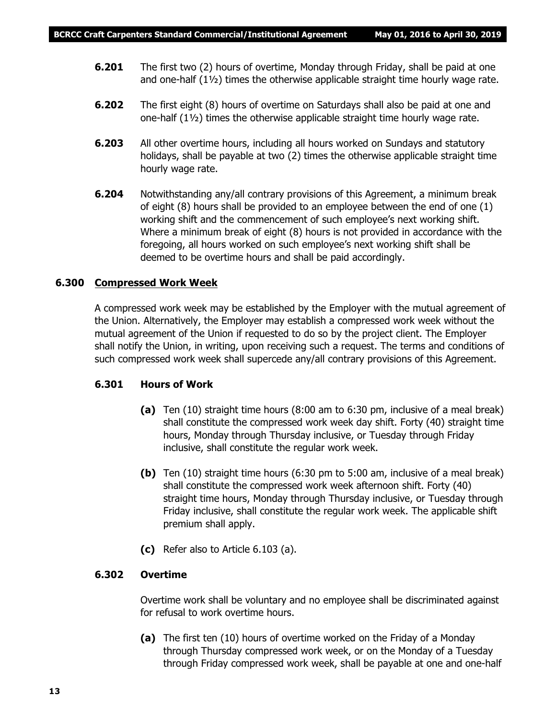- **6.201** The first two (2) hours of overtime, Monday through Friday, shall be paid at one and one-half (1½) times the otherwise applicable straight time hourly wage rate.
- **6.202** The first eight (8) hours of overtime on Saturdays shall also be paid at one and one-half (1½) times the otherwise applicable straight time hourly wage rate.
- **6.203** All other overtime hours, including all hours worked on Sundays and statutory holidays, shall be payable at two (2) times the otherwise applicable straight time hourly wage rate.
- **6.204** Notwithstanding any/all contrary provisions of this Agreement, a minimum break of eight (8) hours shall be provided to an employee between the end of one (1) working shift and the commencement of such employee's next working shift. Where a minimum break of eight (8) hours is not provided in accordance with the foregoing, all hours worked on such employee's next working shift shall be deemed to be overtime hours and shall be paid accordingly.

# **6.300 Compressed Work Week**

A compressed work week may be established by the Employer with the mutual agreement of the Union. Alternatively, the Employer may establish a compressed work week without the mutual agreement of the Union if requested to do so by the project client. The Employer shall notify the Union, in writing, upon receiving such a request. The terms and conditions of such compressed work week shall supercede any/all contrary provisions of this Agreement.

# **6.301 Hours of Work**

- **(a)** Ten (10) straight time hours (8:00 am to 6:30 pm, inclusive of a meal break) shall constitute the compressed work week day shift. Forty (40) straight time hours, Monday through Thursday inclusive, or Tuesday through Friday inclusive, shall constitute the regular work week.
- **(b)** Ten (10) straight time hours (6:30 pm to 5:00 am, inclusive of a meal break) shall constitute the compressed work week afternoon shift. Forty (40) straight time hours, Monday through Thursday inclusive, or Tuesday through Friday inclusive, shall constitute the regular work week. The applicable shift premium shall apply.
- **(c)** Refer also to Article 6.103 (a).

# **6.302 Overtime**

Overtime work shall be voluntary and no employee shall be discriminated against for refusal to work overtime hours.

**(a)** The first ten (10) hours of overtime worked on the Friday of a Monday through Thursday compressed work week, or on the Monday of a Tuesday through Friday compressed work week, shall be payable at one and one-half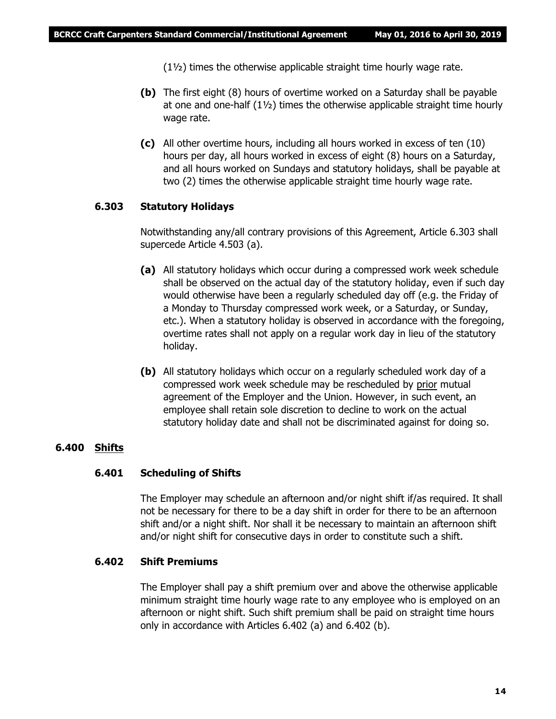(1½) times the otherwise applicable straight time hourly wage rate.

- **(b)** The first eight (8) hours of overtime worked on a Saturday shall be payable at one and one-half  $(1\frac{1}{2})$  times the otherwise applicable straight time hourly wage rate.
- **(c)** All other overtime hours, including all hours worked in excess of ten (10) hours per day, all hours worked in excess of eight (8) hours on a Saturday, and all hours worked on Sundays and statutory holidays, shall be payable at two (2) times the otherwise applicable straight time hourly wage rate.

# **6.303 Statutory Holidays**

Notwithstanding any/all contrary provisions of this Agreement, Article 6.303 shall supercede Article 4.503 (a).

- **(a)** All statutory holidays which occur during a compressed work week schedule shall be observed on the actual day of the statutory holiday, even if such day would otherwise have been a regularly scheduled day off (e.g. the Friday of a Monday to Thursday compressed work week, or a Saturday, or Sunday, etc.). When a statutory holiday is observed in accordance with the foregoing, overtime rates shall not apply on a regular work day in lieu of the statutory holiday.
- **(b)** All statutory holidays which occur on a regularly scheduled work day of a compressed work week schedule may be rescheduled by prior mutual agreement of the Employer and the Union. However, in such event, an employee shall retain sole discretion to decline to work on the actual statutory holiday date and shall not be discriminated against for doing so.

# **6.400 Shifts**

#### **6.401 Scheduling of Shifts**

The Employer may schedule an afternoon and/or night shift if/as required. It shall not be necessary for there to be a day shift in order for there to be an afternoon shift and/or a night shift. Nor shall it be necessary to maintain an afternoon shift and/or night shift for consecutive days in order to constitute such a shift.

#### **6.402 Shift Premiums**

The Employer shall pay a shift premium over and above the otherwise applicable minimum straight time hourly wage rate to any employee who is employed on an afternoon or night shift. Such shift premium shall be paid on straight time hours only in accordance with Articles 6.402 (a) and 6.402 (b).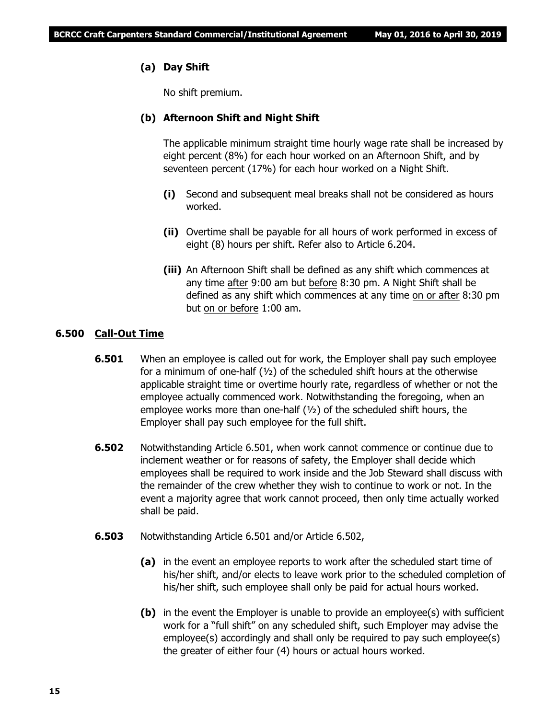# **(a) Day Shift**

No shift premium.

# **(b) Afternoon Shift and Night Shift**

The applicable minimum straight time hourly wage rate shall be increased by eight percent (8%) for each hour worked on an Afternoon Shift, and by seventeen percent (17%) for each hour worked on a Night Shift.

- **(i)** Second and subsequent meal breaks shall not be considered as hours worked.
- **(ii)** Overtime shall be payable for all hours of work performed in excess of eight (8) hours per shift. Refer also to Article 6.204.
- **(iii)** An Afternoon Shift shall be defined as any shift which commences at any time after 9:00 am but before 8:30 pm. A Night Shift shall be defined as any shift which commences at any time on or after 8:30 pm but on or before 1:00 am.

# **6.500 Call-Out Time**

- **6.501** When an employee is called out for work, the Employer shall pay such employee for a minimum of one-half  $(\frac{1}{2})$  of the scheduled shift hours at the otherwise applicable straight time or overtime hourly rate, regardless of whether or not the employee actually commenced work. Notwithstanding the foregoing, when an employee works more than one-half  $(1/2)$  of the scheduled shift hours, the Employer shall pay such employee for the full shift.
- **6.502** Notwithstanding Article 6.501, when work cannot commence or continue due to inclement weather or for reasons of safety, the Employer shall decide which employees shall be required to work inside and the Job Steward shall discuss with the remainder of the crew whether they wish to continue to work or not. In the event a majority agree that work cannot proceed, then only time actually worked shall be paid.
- **6.503** Notwithstanding Article 6.501 and/or Article 6.502,
	- **(a)** in the event an employee reports to work after the scheduled start time of his/her shift, and/or elects to leave work prior to the scheduled completion of his/her shift, such employee shall only be paid for actual hours worked.
	- **(b)** in the event the Employer is unable to provide an employee(s) with sufficient work for a "full shift" on any scheduled shift, such Employer may advise the employee(s) accordingly and shall only be required to pay such employee(s) the greater of either four (4) hours or actual hours worked.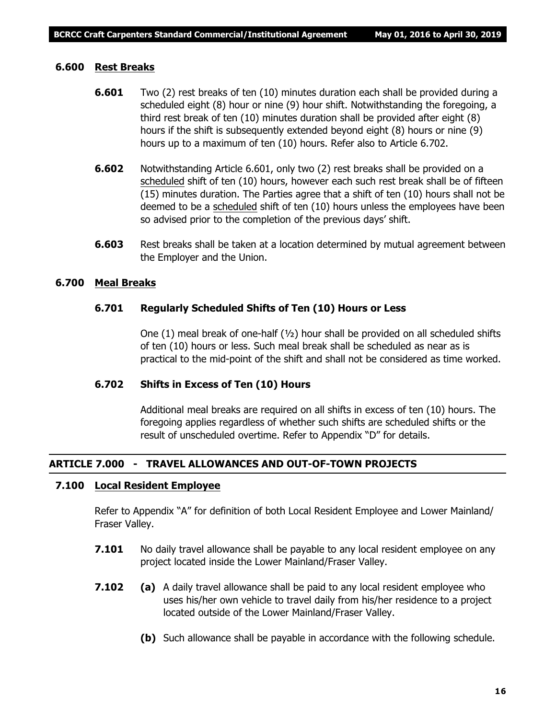#### **6.600 Rest Breaks**

- **6.601** Two (2) rest breaks of ten (10) minutes duration each shall be provided during a scheduled eight (8) hour or nine (9) hour shift. Notwithstanding the foregoing, a third rest break of ten (10) minutes duration shall be provided after eight (8) hours if the shift is subsequently extended beyond eight (8) hours or nine (9) hours up to a maximum of ten (10) hours. Refer also to Article 6.702.
- **6.602** Notwithstanding Article 6.601, only two (2) rest breaks shall be provided on a scheduled shift of ten (10) hours, however each such rest break shall be of fifteen (15) minutes duration. The Parties agree that a shift of ten (10) hours shall not be deemed to be a scheduled shift of ten (10) hours unless the employees have been so advised prior to the completion of the previous days' shift.
- **6.603** Rest breaks shall be taken at a location determined by mutual agreement between the Employer and the Union.

# **6.700 Meal Breaks**

#### **6.701 Regularly Scheduled Shifts of Ten (10) Hours or Less**

One  $(1)$  meal break of one-half  $(\frac{1}{2})$  hour shall be provided on all scheduled shifts of ten (10) hours or less. Such meal break shall be scheduled as near as is practical to the mid-point of the shift and shall not be considered as time worked.

# **6.702 Shifts in Excess of Ten (10) Hours**

Additional meal breaks are required on all shifts in excess of ten (10) hours. The foregoing applies regardless of whether such shifts are scheduled shifts or the result of unscheduled overtime. Refer to Appendix "D" for details.

# **ARTICLE 7.000 - TRAVEL ALLOWANCES AND OUT-OF-TOWN PROJECTS**

#### **7.100 Local Resident Employee**

Refer to Appendix "A" for definition of both Local Resident Employee and Lower Mainland/ Fraser Valley.

- **7.101** No daily travel allowance shall be payable to any local resident employee on any project located inside the Lower Mainland/Fraser Valley.
- **7.102 (a)** A daily travel allowance shall be paid to any local resident employee who uses his/her own vehicle to travel daily from his/her residence to a project located outside of the Lower Mainland/Fraser Valley.
	- **(b)** Such allowance shall be payable in accordance with the following schedule.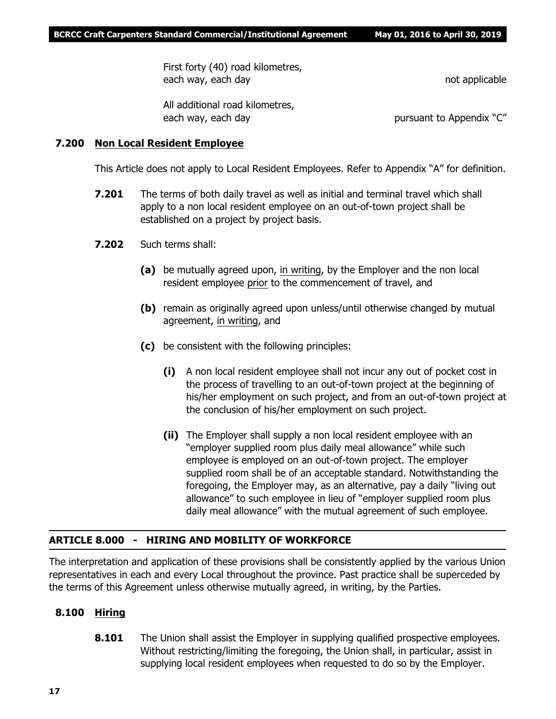First forty (40) road kilometres, each way, each day not applicable

All additional road kilometres, each way, each day **pursuant to Appendix "C"** pursuant to Appendix "C"

# **7.200 Non Local Resident Employee**

This Article does not apply to Local Resident Employees. Refer to Appendix "A" for definition.

- **7.201** The terms of both daily travel as well as initial and terminal travel which shall apply to a non local resident employee on an out-of-town project shall be established on a project by project basis.
- **7.202** Such terms shall:
	- **(a)** be mutually agreed upon, in writing, by the Employer and the non local resident employee prior to the commencement of travel, and
	- **(b)** remain as originally agreed upon unless/until otherwise changed by mutual agreement, in writing, and
	- **(c)** be consistent with the following principles:
		- **(i)** A non local resident employee shall not incur any out of pocket cost in the process of travelling to an out-of-town project at the beginning of his/her employment on such project, and from an out-of-town project at the conclusion of his/her employment on such project.
		- **(ii)** The Employer shall supply a non local resident employee with an "employer supplied room plus daily meal allowance" while such employee is employed on an out-of-town project. The employer supplied room shall be of an acceptable standard. Notwithstanding the foregoing, the Employer may, as an alternative, pay a daily "living out allowance" to such employee in lieu of "employer supplied room plus daily meal allowance" with the mutual agreement of such employee.

# **ARTICLE 8.000 - HIRING AND MOBILITY OF WORKFORCE**

The interpretation and application of these provisions shall be consistently applied by the various Union representatives in each and every Local throughout the province. Past practice shall be superceded by the terms of this Agreement unless otherwise mutually agreed, in writing, by the Parties.

# **8.100 Hiring**

**8.101** The Union shall assist the Employer in supplying qualified prospective employees. Without restricting/limiting the foregoing, the Union shall, in particular, assist in supplying local resident employees when requested to do so by the Employer.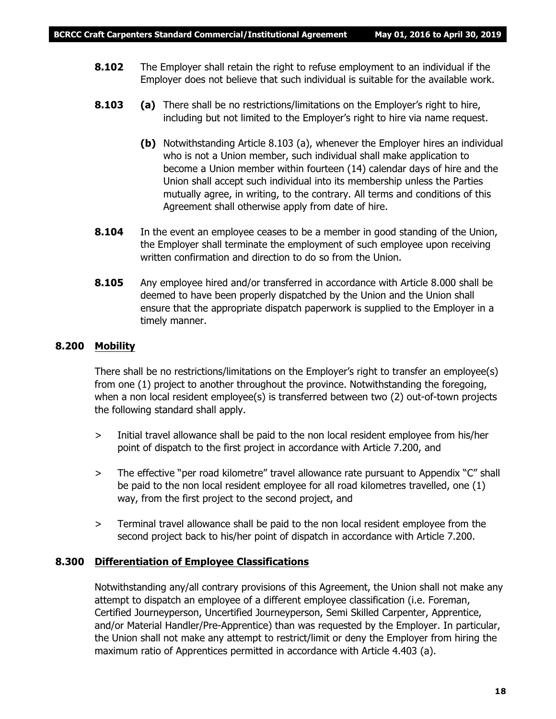- **8.102** The Employer shall retain the right to refuse employment to an individual if the Employer does not believe that such individual is suitable for the available work.
- **8.103 (a)** There shall be no restrictions/limitations on the Employer's right to hire, including but not limited to the Employer's right to hire via name request.
	- **(b)** Notwithstanding Article 8.103 (a), whenever the Employer hires an individual who is not a Union member, such individual shall make application to become a Union member within fourteen (14) calendar days of hire and the Union shall accept such individual into its membership unless the Parties mutually agree, in writing, to the contrary. All terms and conditions of this Agreement shall otherwise apply from date of hire.
- **8.104** In the event an employee ceases to be a member in good standing of the Union, the Employer shall terminate the employment of such employee upon receiving written confirmation and direction to do so from the Union.
- **8.105** Any employee hired and/or transferred in accordance with Article 8.000 shall be deemed to have been properly dispatched by the Union and the Union shall ensure that the appropriate dispatch paperwork is supplied to the Employer in a timely manner.

# **8.200 Mobility**

There shall be no restrictions/limitations on the Employer's right to transfer an employee(s) from one (1) project to another throughout the province. Notwithstanding the foregoing, when a non local resident employee(s) is transferred between two (2) out-of-town projects the following standard shall apply.

- > Initial travel allowance shall be paid to the non local resident employee from his/her point of dispatch to the first project in accordance with Article 7.200, and
- > The effective "per road kilometre" travel allowance rate pursuant to Appendix "C" shall be paid to the non local resident employee for all road kilometres travelled, one (1) way, from the first project to the second project, and
- > Terminal travel allowance shall be paid to the non local resident employee from the second project back to his/her point of dispatch in accordance with Article 7.200.

# **8.300 Differentiation of Employee Classifications**

Notwithstanding any/all contrary provisions of this Agreement, the Union shall not make any attempt to dispatch an employee of a different employee classification (i.e. Foreman, Certified Journeyperson, Uncertified Journeyperson, Semi Skilled Carpenter, Apprentice, and/or Material Handler/Pre-Apprentice) than was requested by the Employer. In particular, the Union shall not make any attempt to restrict/limit or deny the Employer from hiring the maximum ratio of Apprentices permitted in accordance with Article 4.403 (a).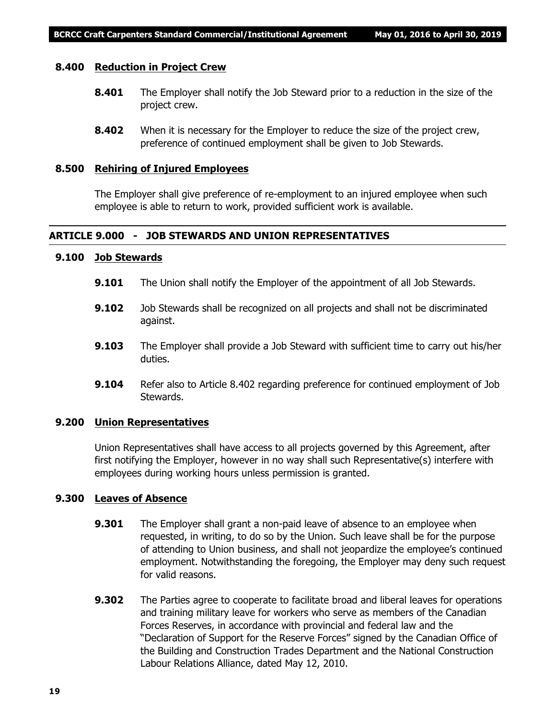#### **8.400 Reduction in Project Crew**

- **8.401** The Employer shall notify the Job Steward prior to a reduction in the size of the project crew.
- **8.402** When it is necessary for the Employer to reduce the size of the project crew, preference of continued employment shall be given to Job Stewards.

#### **8.500 Rehiring of Injured Employees**

The Employer shall give preference of re-employment to an injured employee when such employee is able to return to work, provided sufficient work is available.

# **ARTICLE 9.000 - JOB STEWARDS AND UNION REPRESENTATIVES**

# **9.100 Job Stewards**

- **9.101** The Union shall notify the Employer of the appointment of all Job Stewards.
- **9.102** Job Stewards shall be recognized on all projects and shall not be discriminated against.
- **9.103** The Employer shall provide a Job Steward with sufficient time to carry out his/her duties.
- **9.104** Refer also to Article 8.402 regarding preference for continued employment of Job Stewards.

#### **9.200 Union Representatives**

Union Representatives shall have access to all projects governed by this Agreement, after first notifying the Employer, however in no way shall such Representative(s) interfere with employees during working hours unless permission is granted.

# **9.300 Leaves of Absence**

- **9.301** The Employer shall grant a non-paid leave of absence to an employee when requested, in writing, to do so by the Union. Such leave shall be for the purpose of attending to Union business, and shall not jeopardize the employee's continued employment. Notwithstanding the foregoing, the Employer may deny such request for valid reasons.
- **9.302** The Parties agree to cooperate to facilitate broad and liberal leaves for operations and training military leave for workers who serve as members of the Canadian Forces Reserves, in accordance with provincial and federal law and the "Declaration of Support for the Reserve Forces" signed by the Canadian Office of the Building and Construction Trades Department and the National Construction Labour Relations Alliance, dated May 12, 2010.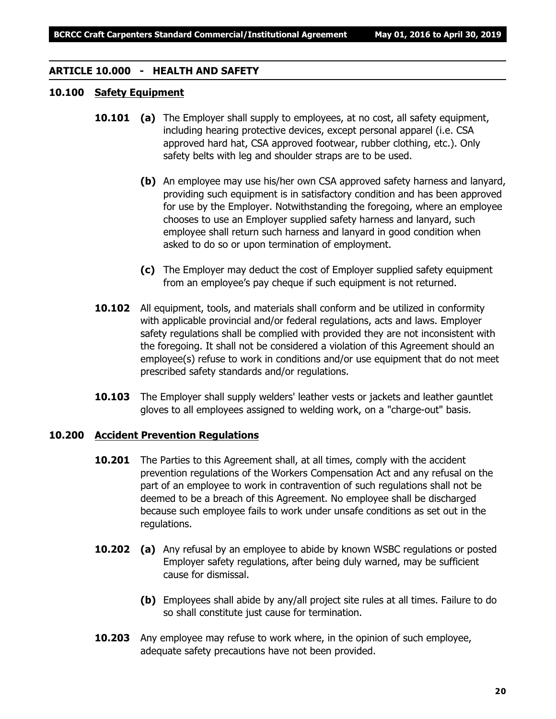# **ARTICLE 10.000 - HEALTH AND SAFETY**

# **10.100 Safety Equipment**

- **10.101 (a)** The Employer shall supply to employees, at no cost, all safety equipment, including hearing protective devices, except personal apparel (i.e. CSA approved hard hat, CSA approved footwear, rubber clothing, etc.). Only safety belts with leg and shoulder straps are to be used.
	- **(b)** An employee may use his/her own CSA approved safety harness and lanyard, providing such equipment is in satisfactory condition and has been approved for use by the Employer. Notwithstanding the foregoing, where an employee chooses to use an Employer supplied safety harness and lanyard, such employee shall return such harness and lanyard in good condition when asked to do so or upon termination of employment.
	- **(c)** The Employer may deduct the cost of Employer supplied safety equipment from an employee's pay cheque if such equipment is not returned.
- **10.102** All equipment, tools, and materials shall conform and be utilized in conformity with applicable provincial and/or federal regulations, acts and laws. Employer safety regulations shall be complied with provided they are not inconsistent with the foregoing. It shall not be considered a violation of this Agreement should an employee(s) refuse to work in conditions and/or use equipment that do not meet prescribed safety standards and/or regulations.
- **10.103** The Employer shall supply welders' leather vests or jackets and leather gauntlet gloves to all employees assigned to welding work, on a "charge-out" basis.

# **10.200 Accident Prevention Regulations**

- **10.201** The Parties to this Agreement shall, at all times, comply with the accident prevention regulations of the *Workers Compensation Act* and any refusal on the part of an employee to work in contravention of such regulations shall not be deemed to be a breach of this Agreement. No employee shall be discharged because such employee fails to work under unsafe conditions as set out in the regulations.
- **10.202 (a)** Any refusal by an employee to abide by known WSBC regulations or posted Employer safety regulations, after being duly warned, may be sufficient cause for dismissal.
	- **(b)** Employees shall abide by any/all project site rules at all times. Failure to do so shall constitute just cause for termination.
- **10.203** Any employee may refuse to work where, in the opinion of such employee, adequate safety precautions have not been provided.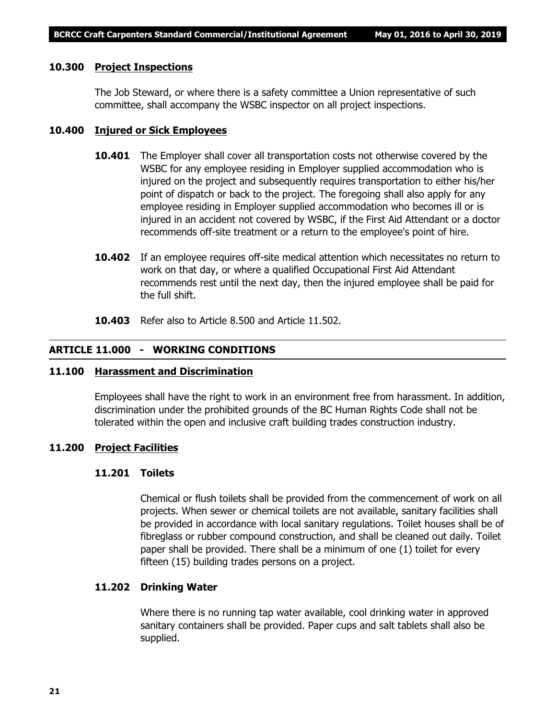#### **10.300 Project Inspections**

The Job Steward, or where there is a safety committee a Union representative of such committee, shall accompany the WSBC inspector on all project inspections.

#### **10.400 Injured or Sick Employees**

- **10.401** The Employer shall cover all transportation costs not otherwise covered by the WSBC for any employee residing in Employer supplied accommodation who is injured on the project and subsequently requires transportation to either his/her point of dispatch or back to the project. The foregoing shall also apply for any employee residing in Employer supplied accommodation who becomes ill or is injured in an accident not covered by WSBC, if the First Aid Attendant or a doctor recommends off-site treatment or a return to the employee's point of hire.
- **10.402** If an employee requires off-site medical attention which necessitates no return to work on that day, or where a qualified Occupational First Aid Attendant recommends rest until the next day, then the injured employee shall be paid for the full shift.
- **10.403** Refer also to Article 8.500 and Article 11.502.

# **ARTICLE 11.000 - WORKING CONDITIONS**

#### **11.100 Harassment and Discrimination**

Employees shall have the right to work in an environment free from harassment. In addition, discrimination under the prohibited grounds of the *BC Human Rights Code* shall not be tolerated within the open and inclusive craft building trades construction industry.

#### **11.200 Project Facilities**

# **11.201 Toilets**

Chemical or flush toilets shall be provided from the commencement of work on all projects. When sewer or chemical toilets are not available, sanitary facilities shall be provided in accordance with local sanitary regulations. Toilet houses shall be of fibreglass or rubber compound construction, and shall be cleaned out daily. Toilet paper shall be provided. There shall be a minimum of one (1) toilet for every fifteen (15) building trades persons on a project.

#### **11.202 Drinking Water**

Where there is no running tap water available, cool drinking water in approved sanitary containers shall be provided. Paper cups and salt tablets shall also be supplied.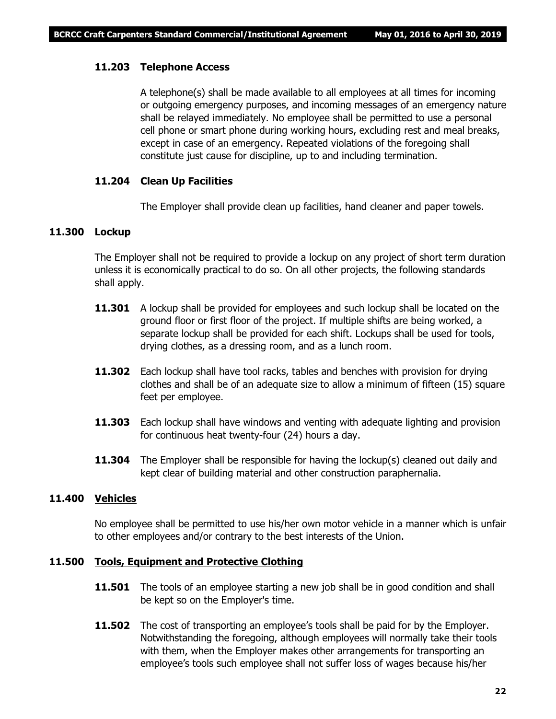# **11.203 Telephone Access**

A telephone(s) shall be made available to all employees at all times for incoming or outgoing emergency purposes, and incoming messages of an emergency nature shall be relayed immediately. No employee shall be permitted to use a personal cell phone or smart phone during working hours, excluding rest and meal breaks, except in case of an emergency. Repeated violations of the foregoing shall constitute just cause for discipline, up to and including termination.

#### **11.204 Clean Up Facilities**

The Employer shall provide clean up facilities, hand cleaner and paper towels.

# **11.300 Lockup**

The Employer shall not be required to provide a lockup on any project of short term duration unless it is economically practical to do so. On all other projects, the following standards shall apply.

- **11.301** A lockup shall be provided for employees and such lockup shall be located on the ground floor or first floor of the project. If multiple shifts are being worked, a separate lockup shall be provided for each shift. Lockups shall be used for tools, drying clothes, as a dressing room, and as a lunch room.
- **11.302** Each lockup shall have tool racks, tables and benches with provision for drying clothes and shall be of an adequate size to allow a minimum of fifteen (15) square feet per employee.
- **11.303** Each lockup shall have windows and venting with adequate lighting and provision for continuous heat twenty-four (24) hours a day.
- **11.304** The Employer shall be responsible for having the lockup(s) cleaned out daily and kept clear of building material and other construction paraphernalia.

#### **11.400 Vehicles**

No employee shall be permitted to use his/her own motor vehicle in a manner which is unfair to other employees and/or contrary to the best interests of the Union.

#### **11.500 Tools, Equipment and Protective Clothing**

- **11.501** The tools of an employee starting a new job shall be in good condition and shall be kept so on the Employer's time.
- **11.502** The cost of transporting an employee's tools shall be paid for by the Employer. Notwithstanding the foregoing, although employees will normally take their tools with them, when the Employer makes other arrangements for transporting an employee's tools such employee shall not suffer loss of wages because his/her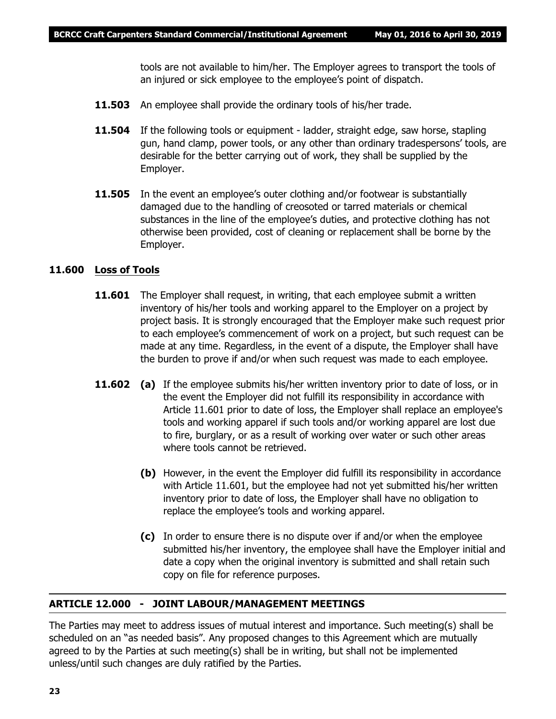tools are not available to him/her. The Employer agrees to transport the tools of an injured or sick employee to the employee's point of dispatch.

- **11.503** An employee shall provide the ordinary tools of his/her trade.
- **11.504** If the following tools or equipment ladder, straight edge, saw horse, stapling gun, hand clamp, power tools, or any other than ordinary tradespersons' tools, are desirable for the better carrying out of work, they shall be supplied by the Employer.
- **11.505** In the event an employee's outer clothing and/or footwear is substantially damaged due to the handling of creosoted or tarred materials or chemical substances in the line of the employee's duties, and protective clothing has not otherwise been provided, cost of cleaning or replacement shall be borne by the Employer.

# **11.600 Loss of Tools**

- **11.601** The Employer shall request, in writing, that each employee submit a written inventory of his/her tools and working apparel to the Employer on a project by project basis. It is strongly encouraged that the Employer make such request prior to each employee's commencement of work on a project, but such request can be made at any time. Regardless, in the event of a dispute, the Employer shall have the burden to prove if and/or when such request was made to each employee.
- **11.602** (a) If the employee submits his/her written inventory prior to date of loss, or in the event the Employer did not fulfill its responsibility in accordance with Article 11.601 prior to date of loss, the Employer shall replace an employee's tools and working apparel if such tools and/or working apparel are lost due to fire, burglary, or as a result of working over water or such other areas where tools cannot be retrieved.
	- **(b)** However, in the event the Employer did fulfill its responsibility in accordance with Article 11.601, but the employee had not yet submitted his/her written inventory prior to date of loss, the Employer shall have no obligation to replace the employee's tools and working apparel.
	- **(c)** In order to ensure there is no dispute over if and/or when the employee submitted his/her inventory, the employee shall have the Employer initial and date a copy when the original inventory is submitted and shall retain such copy on file for reference purposes.

# **ARTICLE 12.000 - JOINT LABOUR/MANAGEMENT MEETINGS**

The Parties may meet to address issues of mutual interest and importance. Such meeting(s) shall be scheduled on an "as needed basis". Any proposed changes to this Agreement which are mutually agreed to by the Parties at such meeting(s) shall be in writing, but shall not be implemented unless/until such changes are duly ratified by the Parties.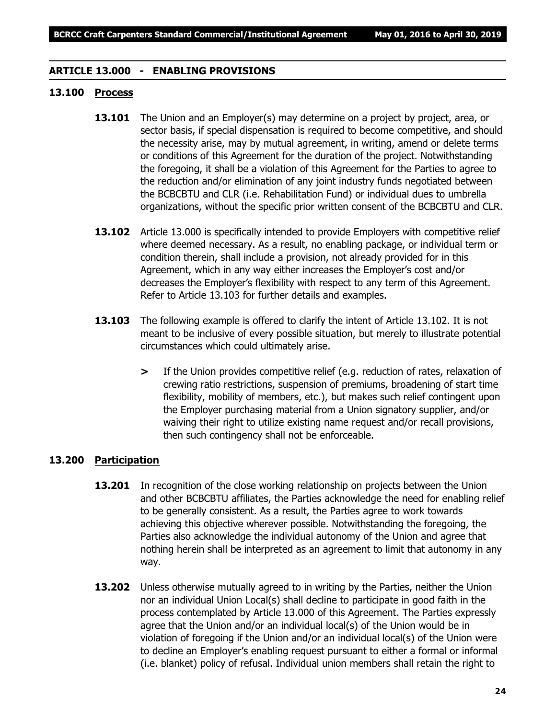# **ARTICLE 13.000 - ENABLING PROVISIONS**

# **13.100 Process**

- **13.101** The Union and an Employer(s) may determine on a project by project, area, or sector basis, if special dispensation is required to become competitive, and should the necessity arise, may by mutual agreement, in writing, amend or delete terms or conditions of this Agreement for the duration of the project. Notwithstanding the foregoing, it shall be a violation of this Agreement for the Parties to agree to the reduction and/or elimination of any joint industry funds negotiated between the BCBCBTU and CLR (i.e. Rehabilitation Fund) or individual dues to umbrella organizations, without the specific prior written consent of the BCBCBTU and CLR.
- **13.102** Article 13.000 is specifically intended to provide Employers with competitive relief where deemed necessary. As a result, no enabling package, or individual term or condition therein, shall include a provision, not already provided for in this Agreement, which in any way either increases the Employer's cost and/or decreases the Employer's flexibility with respect to any term of this Agreement. Refer to Article 13.103 for further details and examples.
- **13.103** The following example is offered to clarify the intent of Article 13.102. It is not meant to be inclusive of every possible situation, but merely to illustrate potential circumstances which could ultimately arise.
	- **>** If the Union provides competitive relief (e.g. reduction of rates, relaxation of crewing ratio restrictions, suspension of premiums, broadening of start time flexibility, mobility of members, etc.), but makes such relief contingent upon the Employer purchasing material from a Union signatory supplier, and/or waiving their right to utilize existing name request and/or recall provisions, then such contingency shall not be enforceable.

# **13.200 Participation**

- **13.201** In recognition of the close working relationship on projects between the Union and other BCBCBTU affiliates, the Parties acknowledge the need for enabling relief to be generally consistent. As a result, the Parties agree to work towards achieving this objective wherever possible. Notwithstanding the foregoing, the Parties also acknowledge the individual autonomy of the Union and agree that nothing herein shall be interpreted as an agreement to limit that autonomy in any way.
- **13.202** Unless otherwise mutually agreed to in writing by the Parties, neither the Union nor an individual Union Local(s) shall decline to participate in good faith in the process contemplated by Article 13.000 of this Agreement. The Parties expressly agree that the Union and/or an individual local(s) of the Union would be in violation of foregoing if the Union and/or an individual local(s) of the Union were to decline an Employer's enabling request pursuant to either a formal or informal (i.e. blanket) policy of refusal. Individual union members shall retain the right to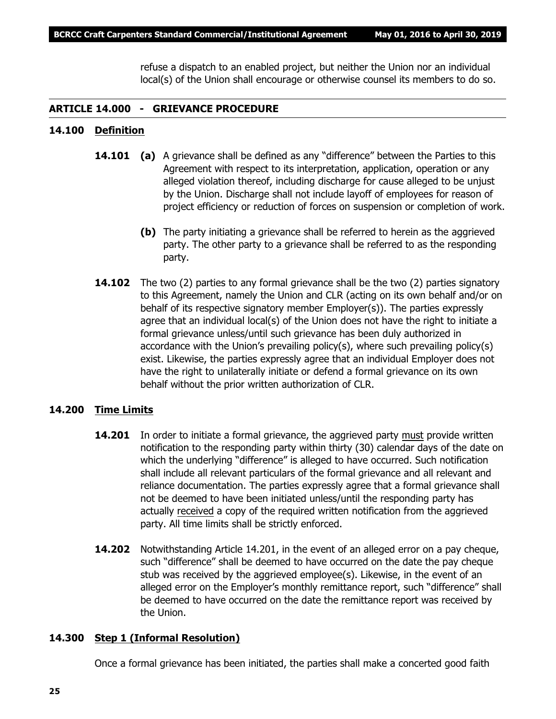refuse a dispatch to an enabled project, but neither the Union nor an individual local(s) of the Union shall encourage or otherwise counsel its members to do so.

# **ARTICLE 14.000 - GRIEVANCE PROCEDURE**

# **14.100 Definition**

- **14.101 (a)** A grievance shall be defined as any "difference" between the Parties to this Agreement with respect to its interpretation, application, operation or any alleged violation thereof, including discharge for cause alleged to be unjust by the Union. Discharge shall not include layoff of employees for reason of project efficiency or reduction of forces on suspension or completion of work.
	- **(b)** The party initiating a grievance shall be referred to herein as the aggrieved party. The other party to a grievance shall be referred to as the responding party.
- **14.102** The two (2) parties to any formal grievance shall be the two (2) parties signatory to this Agreement, namely the Union and CLR (acting on its own behalf and/or on behalf of its respective signatory member Employer(s)). The parties expressly agree that an individual local(s) of the Union does not have the right to initiate a formal grievance unless/until such grievance has been duly authorized in accordance with the Union's prevailing policy(s), where such prevailing policy(s) exist. Likewise, the parties expressly agree that an individual Employer does not have the right to unilaterally initiate or defend a formal grievance on its own behalf without the prior written authorization of CLR.

# **14.200 Time Limits**

- **14.201** In order to initiate a formal grievance, the aggrieved party must provide written notification to the responding party within thirty (30) calendar days of the date on which the underlying "difference" is alleged to have occurred. Such notification shall include all relevant particulars of the formal grievance and all relevant and reliance documentation. The parties expressly agree that a formal grievance shall not be deemed to have been initiated unless/until the responding party has actually received a copy of the required written notification from the aggrieved party. All time limits shall be strictly enforced.
- **14.202** Notwithstanding Article 14.201, in the event of an alleged error on a pay cheque, such "difference" shall be deemed to have occurred on the date the pay cheque stub was received by the aggrieved employee(s). Likewise, in the event of an alleged error on the Employer's monthly remittance report, such "difference" shall be deemed to have occurred on the date the remittance report was received by the Union.

# **14.300 Step 1 (Informal Resolution)**

Once a formal grievance has been initiated, the parties shall make a concerted good faith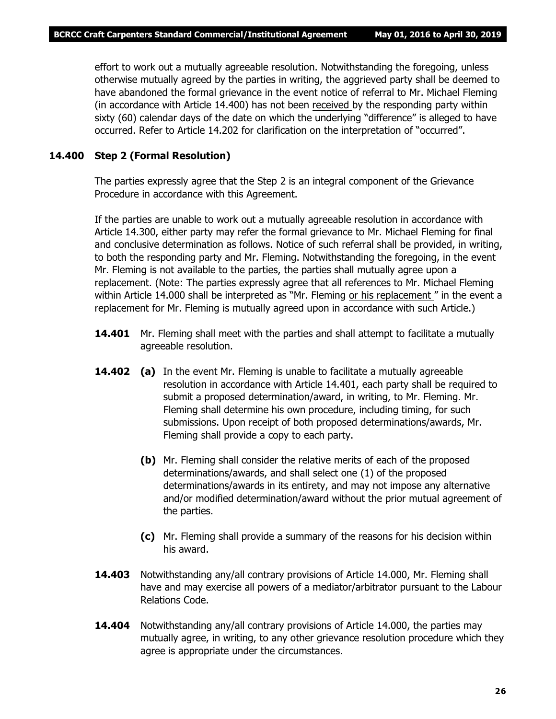effort to work out a mutually agreeable resolution. Notwithstanding the foregoing, unless otherwise mutually agreed by the parties in writing, the aggrieved party shall be deemed to have abandoned the formal grievance in the event notice of referral to Mr. Michael Fleming (in accordance with Article 14.400) has not been received by the responding party within sixty (60) calendar days of the date on which the underlying "difference" is alleged to have occurred. Refer to Article 14.202 for clarification on the interpretation of "occurred".

# **14.400 Step 2 (Formal Resolution)**

The parties expressly agree that the Step 2 is an integral component of the Grievance Procedure in accordance with this Agreement.

If the parties are unable to work out a mutually agreeable resolution in accordance with Article 14.300, either party may refer the formal grievance to Mr. Michael Fleming for final and conclusive determination as follows. Notice of such referral shall be provided, in writing, to both the responding party and Mr. Fleming. Notwithstanding the foregoing, in the event Mr. Fleming is not available to the parties, the parties shall mutually agree upon a replacement. (Note: The parties expressly agree that all references to Mr. Michael Fleming within Article 14.000 shall be interpreted as *"Mr. Fleming or his replacement "* in the event a replacement for Mr. Fleming is mutually agreed upon in accordance with such Article.)

- **14.401** Mr. Fleming shall meet with the parties and shall attempt to facilitate a mutually agreeable resolution.
- **14.402 (a)** In the event Mr. Fleming is unable to facilitate a mutually agreeable resolution in accordance with Article 14.401, each party shall be required to submit a proposed determination/award, in writing, to Mr. Fleming. Mr. Fleming shall determine his own procedure, including timing, for such submissions. Upon receipt of both proposed determinations/awards, Mr. Fleming shall provide a copy to each party.
	- **(b)** Mr. Fleming shall consider the relative merits of each of the proposed determinations/awards, and shall select one (1) of the proposed determinations/awards in its entirety, and may not impose any alternative and/or modified determination/award without the prior mutual agreement of the parties.
	- **(c)** Mr. Fleming shall provide a summary of the reasons for his decision within his award.
- **14.403** Notwithstanding any/all contrary provisions of Article 14.000, Mr. Fleming shall have and may exercise all powers of a mediator/arbitrator pursuant to the *Labour Relations Code.*
- **14.404** Notwithstanding any/all contrary provisions of Article 14.000, the parties may mutually agree, in writing, to any other grievance resolution procedure which they agree is appropriate under the circumstances.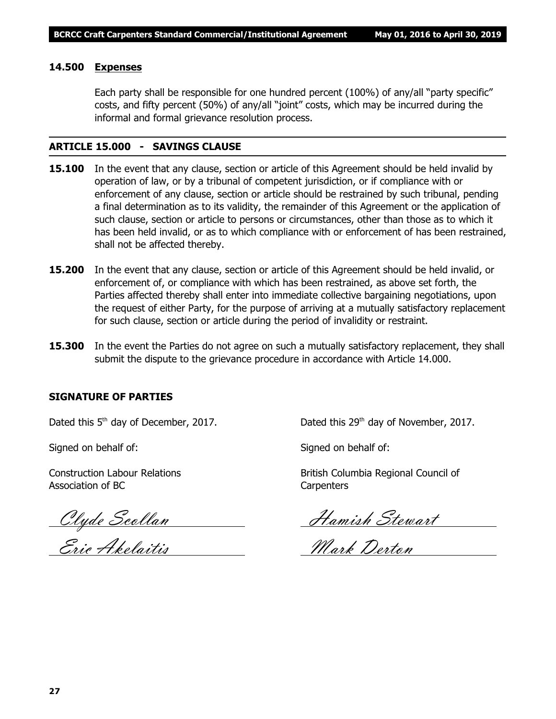# **14.500 Expenses**

Each party shall be responsible for one hundred percent (100%) of any/all "party specific" costs, and fifty percent (50%) of any/all "joint" costs, which may be incurred during the informal and formal grievance resolution process.

# **ARTICLE 15.000 - SAVINGS CLAUSE**

- **15.100** In the event that any clause, section or article of this Agreement should be held invalid by operation of law, or by a tribunal of competent jurisdiction, or if compliance with or enforcement of any clause, section or article should be restrained by such tribunal, pending a final determination as to its validity, the remainder of this Agreement or the application of such clause, section or article to persons or circumstances, other than those as to which it has been held invalid, or as to which compliance with or enforcement of has been restrained, shall not be affected thereby.
- **15.200** In the event that any clause, section or article of this Agreement should be held invalid, or enforcement of, or compliance with which has been restrained, as above set forth, the Parties affected thereby shall enter into immediate collective bargaining negotiations, upon the request of either Party, for the purpose of arriving at a mutually satisfactory replacement for such clause, section or article during the period of invalidity or restraint.
- **15.300** In the event the Parties do not agree on such a mutually satisfactory replacement, they shall submit the dispute to the grievance procedure in accordance with Article 14.000.

# **SIGNATURE OF PARTIES**

Signed on behalf of: Signed on behalf of:

Association of BC Carpenters

Clyde Scollan Hamish Stewart

Eric Akelaitis Mark Derton

Dated this 5<sup>th</sup> day of December, 2017. Dated this 29<sup>th</sup> day of November, 2017.

Construction Labour Relations **British Columbia Regional Council of** British Columbia Regional Council of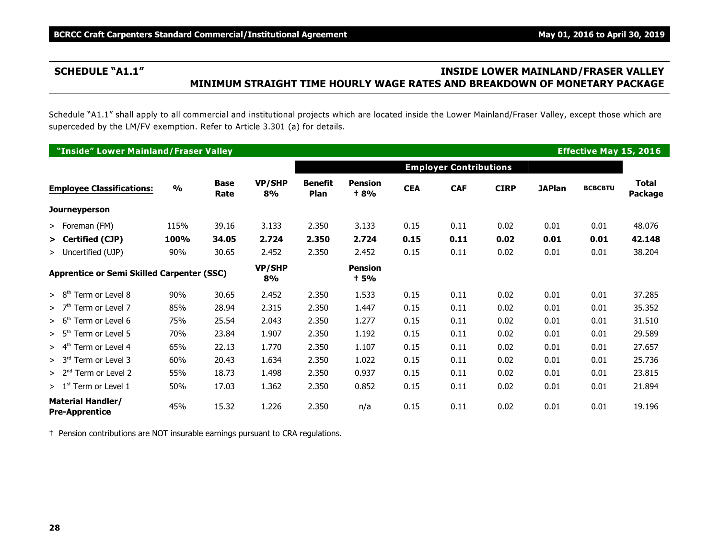# **SCHEDULE "A1.1" INSIDE LOWER MAINLAND/FRASER VALLEY MINIMUM STRAIGHT TIME HOURLY WAGE RATES AND BREAKDOWN OF MONETARY PACKAGE**

Schedule "A1.1" shall apply to all commercial and institutional projects which are located inside the Lower Mainland/Fraser Valley, except those which are superceded by the LM/FV exemption. Refer to Article 3.301 (a) for details.

| "Inside" Lower Mainland/Fraser Valley             |               |                     |                     |                               |                               |            |                               |             |               | <b>Effective May 15, 2016</b> |                         |
|---------------------------------------------------|---------------|---------------------|---------------------|-------------------------------|-------------------------------|------------|-------------------------------|-------------|---------------|-------------------------------|-------------------------|
|                                                   |               |                     |                     |                               |                               |            | <b>Employer Contributions</b> |             |               |                               |                         |
| <b>Employee Classifications:</b>                  | $\frac{0}{0}$ | <b>Base</b><br>Rate | <b>VP/SHP</b><br>8% | <b>Benefit</b><br><b>Plan</b> | <b>Pension</b><br><b>t 8%</b> | <b>CEA</b> | <b>CAF</b>                    | <b>CIRP</b> | <b>JAPlan</b> | <b>BCBCBTU</b>                | <b>Total</b><br>Package |
| <b>Journeyperson</b>                              |               |                     |                     |                               |                               |            |                               |             |               |                               |                         |
| > Foreman (FM)                                    | 115%          | 39.16               | 3.133               | 2.350                         | 3.133                         | 0.15       | 0.11                          | 0.02        | 0.01          | 0.01                          | 48.076                  |
| > Certified (CJP)                                 | 100%          | 34.05               | 2.724               | 2.350                         | 2.724                         | 0.15       | 0.11                          | 0.02        | 0.01          | 0.01                          | 42.148                  |
| > Uncertified (UJP)                               | 90%           | 30.65               | 2.452               | 2.350                         | 2.452                         | 0.15       | 0.11                          | 0.02        | 0.01          | 0.01                          | 38.204                  |
| <b>Apprentice or Semi Skilled Carpenter (SSC)</b> |               |                     | <b>VP/SHP</b><br>8% |                               | <b>Pension</b><br>+ 5%        |            |                               |             |               |                               |                         |
| $> 8th$ Term or Level 8                           | 90%           | 30.65               | 2.452               | 2.350                         | 1.533                         | 0.15       | 0.11                          | 0.02        | 0.01          | 0.01                          | 37.285                  |
| $>$ 7 <sup>th</sup> Term or Level 7               | 85%           | 28.94               | 2.315               | 2.350                         | 1.447                         | 0.15       | 0.11                          | 0.02        | 0.01          | 0.01                          | 35.352                  |
| $> 6th$ Term or Level 6                           | 75%           | 25.54               | 2.043               | 2.350                         | 1.277                         | 0.15       | 0.11                          | 0.02        | 0.01          | 0.01                          | 31.510                  |
| $> 5th$ Term or Level 5                           | 70%           | 23.84               | 1.907               | 2.350                         | 1.192                         | 0.15       | 0.11                          | 0.02        | 0.01          | 0.01                          | 29.589                  |
| $> 4th$ Term or Level 4                           | 65%           | 22.13               | 1.770               | 2.350                         | 1.107                         | 0.15       | 0.11                          | 0.02        | 0.01          | 0.01                          | 27.657                  |
| $> 3rd$ Term or Level 3                           | 60%           | 20.43               | 1.634               | 2.350                         | 1.022                         | 0.15       | 0.11                          | 0.02        | 0.01          | 0.01                          | 25.736                  |
| $> 2nd$ Term or Level 2                           | 55%           | 18.73               | 1.498               | 2.350                         | 0.937                         | 0.15       | 0.11                          | 0.02        | 0.01          | 0.01                          | 23.815                  |
| $> 1st$ Term or Level 1                           | 50%           | 17.03               | 1.362               | 2.350                         | 0.852                         | 0.15       | 0.11                          | 0.02        | 0.01          | 0.01                          | 21.894                  |
| <b>Material Handler/</b><br><b>Pre-Apprentice</b> | 45%           | 15.32               | 1.226               | 2.350                         | n/a                           | 0.15       | 0.11                          | 0.02        | 0.01          | 0.01                          | 19.196                  |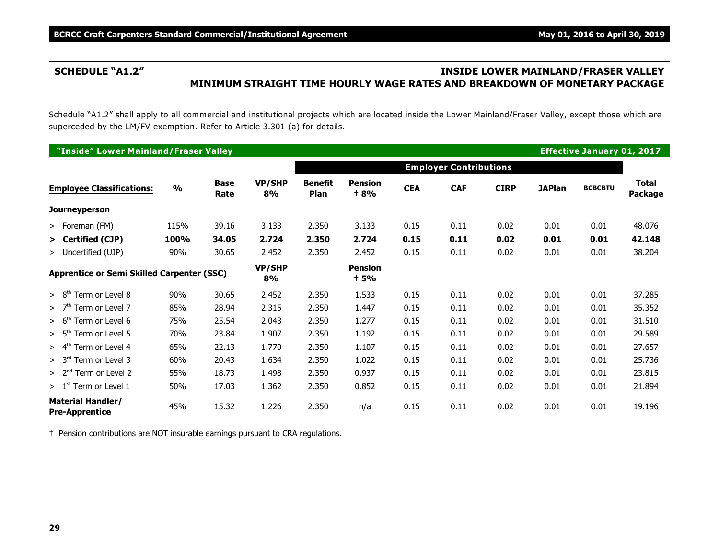# **SCHEDULE "A1.2" INSIDE LOWER MAINLAND/FRASER VALLEY MINIMUM STRAIGHT TIME HOURLY WAGE RATES AND BREAKDOWN OF MONETARY PACKAGE**

Schedule "A1.2" shall apply to all commercial and institutional projects which are located inside the Lower Mainland/Fraser Valley, except those which are superceded by the LM/FV exemption. Refer to Article 3.301 (a) for details.

| "Inside" Lower Mainland/Fraser Valley             |               |                     |                     |                               |                               |            |                               |             |               | <b>Effective January 01, 2017</b> |                         |
|---------------------------------------------------|---------------|---------------------|---------------------|-------------------------------|-------------------------------|------------|-------------------------------|-------------|---------------|-----------------------------------|-------------------------|
|                                                   |               |                     |                     |                               |                               |            | <b>Employer Contributions</b> |             |               |                                   |                         |
| <b>Employee Classifications:</b>                  | $\frac{0}{0}$ | <b>Base</b><br>Rate | <b>VP/SHP</b><br>8% | <b>Benefit</b><br><b>Plan</b> | <b>Pension</b><br><b>t 8%</b> | <b>CEA</b> | <b>CAF</b>                    | <b>CIRP</b> | <b>JAPlan</b> | <b>BCBCBTU</b>                    | <b>Total</b><br>Package |
| <b>Journeyperson</b>                              |               |                     |                     |                               |                               |            |                               |             |               |                                   |                         |
| > Foreman (FM)                                    | 115%          | 39.16               | 3.133               | 2.350                         | 3.133                         | 0.15       | 0.11                          | 0.02        | 0.01          | 0.01                              | 48.076                  |
| > Certified (CJP)                                 | 100%          | 34.05               | 2.724               | 2.350                         | 2.724                         | 0.15       | 0.11                          | 0.02        | 0.01          | 0.01                              | 42.148                  |
| > Uncertified (UJP)                               | 90%           | 30.65               | 2.452               | 2.350                         | 2.452                         | 0.15       | 0.11                          | 0.02        | 0.01          | 0.01                              | 38.204                  |
| <b>Apprentice or Semi Skilled Carpenter (SSC)</b> |               |                     | VP/SHP<br>8%        |                               | <b>Pension</b><br>† 5%        |            |                               |             |               |                                   |                         |
| $> 8th$ Term or Level 8                           | 90%           | 30.65               | 2.452               | 2.350                         | 1.533                         | 0.15       | 0.11                          | 0.02        | 0.01          | 0.01                              | 37.285                  |
| $>7th$ Term or Level 7                            | 85%           | 28.94               | 2.315               | 2.350                         | 1.447                         | 0.15       | 0.11                          | 0.02        | 0.01          | 0.01                              | 35.352                  |
| $> 6th$ Term or Level 6                           | 75%           | 25.54               | 2.043               | 2.350                         | 1.277                         | 0.15       | 0.11                          | 0.02        | 0.01          | 0.01                              | 31.510                  |
| $> 5th$ Term or Level 5                           | 70%           | 23.84               | 1.907               | 2.350                         | 1.192                         | 0.15       | 0.11                          | 0.02        | 0.01          | 0.01                              | 29.589                  |
| $> 4th$ Term or Level 4                           | 65%           | 22.13               | 1.770               | 2.350                         | 1.107                         | 0.15       | 0.11                          | 0.02        | 0.01          | 0.01                              | 27.657                  |
| $> 3rd$ Term or Level 3                           | 60%           | 20.43               | 1.634               | 2.350                         | 1.022                         | 0.15       | 0.11                          | 0.02        | 0.01          | 0.01                              | 25.736                  |
| $> 2nd$ Term or Level 2                           | 55%           | 18.73               | 1.498               | 2.350                         | 0.937                         | 0.15       | 0.11                          | 0.02        | 0.01          | 0.01                              | 23.815                  |
| $>1st$ Term or Level 1                            | 50%           | 17.03               | 1.362               | 2.350                         | 0.852                         | 0.15       | 0.11                          | 0.02        | 0.01          | 0.01                              | 21.894                  |
| <b>Material Handler/</b><br><b>Pre-Apprentice</b> | 45%           | 15.32               | 1.226               | 2.350                         | n/a                           | 0.15       | 0.11                          | 0.02        | 0.01          | 0.01                              | 19.196                  |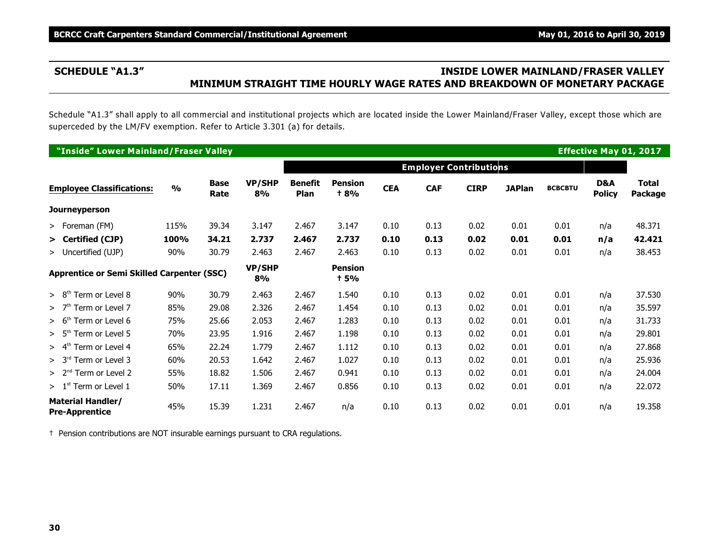# **SCHEDULE "A1.3" INSIDE LOWER MAINLAND/FRASER VALLEY MINIMUM STRAIGHT TIME HOURLY WAGE RATES AND BREAKDOWN OF MONETARY PACKAGE**

Schedule "A1.3" shall apply to all commercial and institutional projects which are located inside the Lower Mainland/Fraser Valley, except those which are superceded by the LM/FV exemption. Refer to Article 3.301 (a) for details.

|                                                   | "Inside" Lower Mainland/Fraser Valley |               |                     |                     |                        |                               |            |                               |             |               |                | <b>Effective May 01, 2017</b> |                                |
|---------------------------------------------------|---------------------------------------|---------------|---------------------|---------------------|------------------------|-------------------------------|------------|-------------------------------|-------------|---------------|----------------|-------------------------------|--------------------------------|
|                                                   |                                       |               |                     |                     |                        |                               |            | <b>Employer Contributions</b> |             |               |                |                               |                                |
|                                                   | <b>Employee Classifications:</b>      | $\frac{0}{0}$ | <b>Base</b><br>Rate | <b>VP/SHP</b><br>8% | <b>Benefit</b><br>Plan | <b>Pension</b><br><b>t 8%</b> | <b>CEA</b> | <b>CAF</b>                    | <b>CIRP</b> | <b>JAPlan</b> | <b>BCBCBTU</b> | D&A<br><b>Policy</b>          | <b>Total</b><br><b>Package</b> |
|                                                   | <b>Journeyperson</b>                  |               |                     |                     |                        |                               |            |                               |             |               |                |                               |                                |
|                                                   | > Foreman (FM)                        | 115%          | 39.34               | 3.147               | 2.467                  | 3.147                         | 0.10       | 0.13                          | 0.02        | 0.01          | 0.01           | n/a                           | 48.371                         |
|                                                   | > Certified (CJP)                     | 100%          | 34.21               | 2.737               | 2.467                  | 2.737                         | 0.10       | 0.13                          | 0.02        | 0.01          | 0.01           | n/a                           | 42.421                         |
|                                                   | > Uncertified (UJP)                   | 90%           | 30.79               | 2.463               | 2.467                  | 2.463                         | 0.10       | 0.13                          | 0.02        | 0.01          | 0.01           | n/a                           | 38.453                         |
| <b>Apprentice or Semi Skilled Carpenter (SSC)</b> |                                       |               |                     | <b>VP/SHP</b><br>8% |                        | <b>Pension</b><br><b>+5%</b>  |            |                               |             |               |                |                               |                                |
|                                                   | $> 8th$ Term or Level 8               | 90%           | 30.79               | 2.463               | 2.467                  | 1.540                         | 0.10       | 0.13                          | 0.02        | 0.01          | 0.01           | n/a                           | 37.530                         |
|                                                   | $>7th$ Term or Level 7                | 85%           | 29.08               | 2.326               | 2.467                  | 1.454                         | 0.10       | 0.13                          | 0.02        | 0.01          | 0.01           | n/a                           | 35.597                         |
|                                                   | $> 6th$ Term or Level 6               | 75%           | 25.66               | 2.053               | 2.467                  | 1.283                         | 0.10       | 0.13                          | 0.02        | 0.01          | 0.01           | n/a                           | 31.733                         |
|                                                   | Term or Level 5<br>> 5 <sup>th</sup>  | 70%           | 23.95               | 1.916               | 2.467                  | 1.198                         | 0.10       | 0.13                          | 0.02        | 0.01          | 0.01           | n/a                           | 29.801                         |
|                                                   | $> 4th$ Term or Level 4               | 65%           | 22.24               | 1.779               | 2.467                  | 1.112                         | 0.10       | 0.13                          | 0.02        | 0.01          | 0.01           | n/a                           | 27.868                         |
|                                                   | $> 3rd$ Term or Level 3               | 60%           | 20.53               | 1.642               | 2.467                  | 1.027                         | 0.10       | 0.13                          | 0.02        | 0.01          | 0.01           | n/a                           | 25.936                         |
|                                                   | $> 2nd$ Term or Level 2               | 55%           | 18.82               | 1.506               | 2.467                  | 0.941                         | 0.10       | 0.13                          | 0.02        | 0.01          | 0.01           | n/a                           | 24.004                         |
|                                                   | $>1st$ Term or Level 1                | 50%           | 17.11               | 1.369               | 2.467                  | 0.856                         | 0.10       | 0.13                          | 0.02        | 0.01          | 0.01           | n/a                           | 22.072                         |
| <b>Material Handler/</b><br><b>Pre-Apprentice</b> |                                       | 45%           | 15.39               | 1.231               | 2.467                  | n/a                           | 0.10       | 0.13                          | 0.02        | 0.01          | 0.01           | n/a                           | 19.358                         |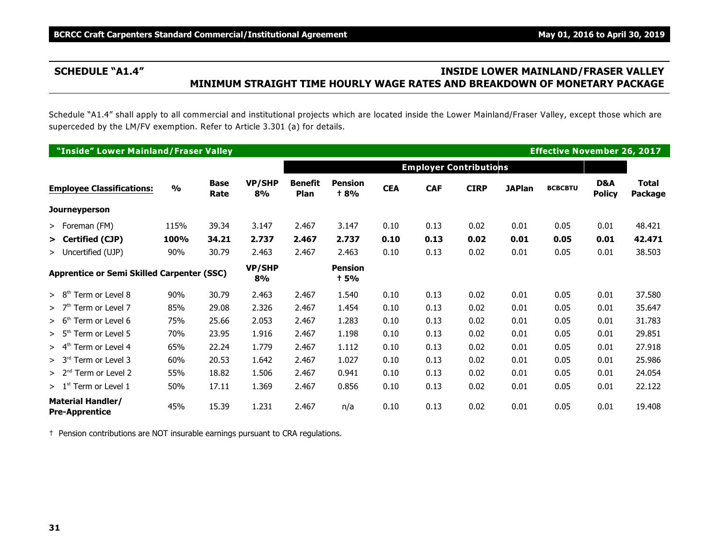# **SCHEDULE "A1.4" INSIDE LOWER MAINLAND/FRASER VALLEY MINIMUM STRAIGHT TIME HOURLY WAGE RATES AND BREAKDOWN OF MONETARY PACKAGE**

Schedule "A1.4" shall apply to all commercial and institutional projects which are located inside the Lower Mainland/Fraser Valley, except those which are superceded by the LM/FV exemption. Refer to Article 3.301 (a) for details.

|                                                   | "Inside" Lower Mainland/Fraser Valley |               |                     |                     |                        |                               |            |                               |             |               | <b>Effective November 26, 2017</b> |                      |                                |
|---------------------------------------------------|---------------------------------------|---------------|---------------------|---------------------|------------------------|-------------------------------|------------|-------------------------------|-------------|---------------|------------------------------------|----------------------|--------------------------------|
|                                                   |                                       |               |                     |                     |                        |                               |            | <b>Employer Contributions</b> |             |               |                                    |                      |                                |
|                                                   | <b>Employee Classifications:</b>      | $\frac{0}{0}$ | <b>Base</b><br>Rate | <b>VP/SHP</b><br>8% | <b>Benefit</b><br>Plan | <b>Pension</b><br><b>t 8%</b> | <b>CEA</b> | <b>CAF</b>                    | <b>CIRP</b> | <b>JAPlan</b> | <b>BCBCBTU</b>                     | D&A<br><b>Policy</b> | <b>Total</b><br><b>Package</b> |
|                                                   | <b>Journeyperson</b>                  |               |                     |                     |                        |                               |            |                               |             |               |                                    |                      |                                |
|                                                   | > Foreman (FM)                        | 115%          | 39.34               | 3.147               | 2.467                  | 3.147                         | 0.10       | 0.13                          | 0.02        | 0.01          | 0.05                               | 0.01                 | 48.421                         |
|                                                   | > Certified (CJP)                     | 100%          | 34.21               | 2.737               | 2.467                  | 2.737                         | 0.10       | 0.13                          | 0.02        | 0.01          | 0.05                               | 0.01                 | 42.471                         |
|                                                   | > Uncertified (UJP)                   | 90%           | 30.79               | 2.463               | 2.467                  | 2.463                         | 0.10       | 0.13                          | 0.02        | 0.01          | 0.05                               | 0.01                 | 38.503                         |
| <b>Apprentice or Semi Skilled Carpenter (SSC)</b> |                                       |               |                     | <b>VP/SHP</b><br>8% |                        | <b>Pension</b><br><b>+5%</b>  |            |                               |             |               |                                    |                      |                                |
|                                                   | Term or Level 8<br>> 8 <sup>th</sup>  | 90%           | 30.79               | 2.463               | 2.467                  | 1.540                         | 0.10       | 0.13                          | 0.02        | 0.01          | 0.05                               | 0.01                 | 37.580                         |
|                                                   | >7 <sup>th</sup><br>Term or Level 7   | 85%           | 29.08               | 2.326               | 2.467                  | 1.454                         | 0.10       | 0.13                          | 0.02        | 0.01          | 0.05                               | 0.01                 | 35.647                         |
|                                                   | > 6 <sup>th</sup><br>Term or Level 6  | 75%           | 25.66               | 2.053               | 2.467                  | 1.283                         | 0.10       | 0.13                          | 0.02        | 0.01          | 0.05                               | 0.01                 | 31.783                         |
|                                                   | > 5 <sup>th</sup><br>Term or Level 5  | 70%           | 23.95               | 1.916               | 2.467                  | 1.198                         | 0.10       | 0.13                          | 0.02        | 0.01          | 0.05                               | 0.01                 | 29.851                         |
|                                                   | > 4 <sup>th</sup><br>Term or Level 4  | 65%           | 22.24               | 1.779               | 2.467                  | 1.112                         | 0.10       | 0.13                          | 0.02        | 0.01          | 0.05                               | 0.01                 | 27.918                         |
|                                                   | > 3 <sup>rd</sup><br>Term or Level 3  | 60%           | 20.53               | 1.642               | 2.467                  | 1.027                         | 0.10       | 0.13                          | 0.02        | 0.01          | 0.05                               | 0.01                 | 25.986                         |
|                                                   | $> 2nd$ Term or Level 2               | 55%           | 18.82               | 1.506               | 2.467                  | 0.941                         | 0.10       | 0.13                          | 0.02        | 0.01          | 0.05                               | 0.01                 | 24.054                         |
|                                                   | $> 1st$ Term or Level 1               | 50%           | 17.11               | 1.369               | 2.467                  | 0.856                         | 0.10       | 0.13                          | 0.02        | 0.01          | 0.05                               | 0.01                 | 22.122                         |
| <b>Material Handler/</b><br><b>Pre-Apprentice</b> |                                       | 45%           | 15.39               | 1.231               | 2.467                  | n/a                           | 0.10       | 0.13                          | 0.02        | 0.01          | 0.05                               | 0.01                 | 19.408                         |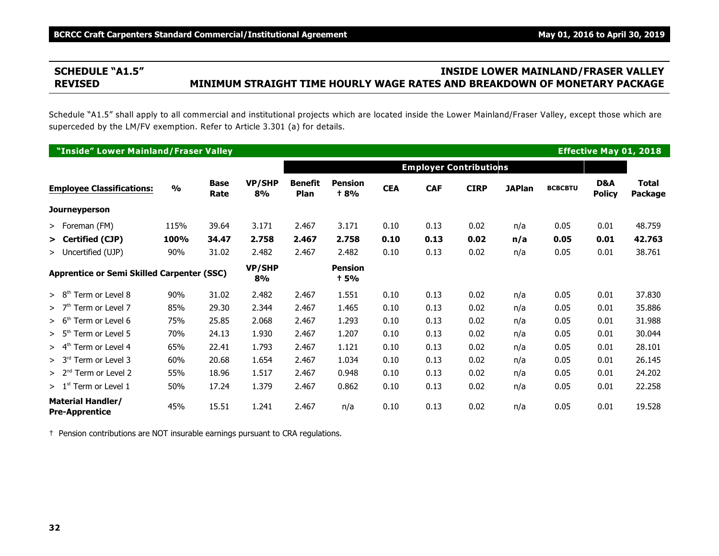# **SCHEDULE "A1.5" INSIDE LOWER MAINLAND/FRASER VALLEY REVISED MINIMUM STRAIGHT TIME HOURLY WAGE RATES AND BREAKDOWN OF MONETARY PACKAGE**

Schedule "A1.5" shall apply to all commercial and institutional projects which are located inside the Lower Mainland/Fraser Valley, except those which are superceded by the LM/FV exemption. Refer to Article 3.301 (a) for details.

| "Inside" Lower Mainland/Fraser Valley             |               |                     |                     |                        |                               |            |                               |             |               |                |                      | <b>Effective May 01, 2018</b> |
|---------------------------------------------------|---------------|---------------------|---------------------|------------------------|-------------------------------|------------|-------------------------------|-------------|---------------|----------------|----------------------|-------------------------------|
|                                                   |               |                     |                     |                        |                               |            | <b>Employer Contributions</b> |             |               |                |                      |                               |
| <b>Employee Classifications:</b>                  | $\frac{0}{0}$ | <b>Base</b><br>Rate | <b>VP/SHP</b><br>8% | <b>Benefit</b><br>Plan | <b>Pension</b><br><b>t 8%</b> | <b>CEA</b> | <b>CAF</b>                    | <b>CIRP</b> | <b>JAPlan</b> | <b>BCBCBTU</b> | D&A<br><b>Policy</b> | <b>Total</b><br>Package       |
| <b>Journeyperson</b>                              |               |                     |                     |                        |                               |            |                               |             |               |                |                      |                               |
| > Foreman (FM)                                    | 115%          | 39.64               | 3.171               | 2.467                  | 3.171                         | 0.10       | 0.13                          | 0.02        | n/a           | 0.05           | 0.01                 | 48.759                        |
| > Certified (CJP)                                 | 100%          | 34.47               | 2.758               | 2.467                  | 2.758                         | 0.10       | 0.13                          | 0.02        | n/a           | 0.05           | 0.01                 | 42.763                        |
| > Uncertified (UJP)                               | 90%           | 31.02               | 2.482               | 2.467                  | 2.482                         | 0.10       | 0.13                          | 0.02        | n/a           | 0.05           | 0.01                 | 38.761                        |
| <b>Apprentice or Semi Skilled Carpenter (SSC)</b> |               |                     | <b>VP/SHP</b><br>8% |                        | <b>Pension</b><br>+ 5%        |            |                               |             |               |                |                      |                               |
| Term or Level 8<br>> 8 <sup>tn</sup>              | 90%           | 31.02               | 2.482               | 2.467                  | 1.551                         | 0.10       | 0.13                          | 0.02        | n/a           | 0.05           | 0.01                 | 37.830                        |
| >7 <sup>th</sup><br>Term or Level 7               | 85%           | 29.30               | 2.344               | 2.467                  | 1.465                         | 0.10       | 0.13                          | 0.02        | n/a           | 0.05           | 0.01                 | 35.886                        |
| $> 6th$ Term or Level 6                           | 75%           | 25.85               | 2.068               | 2.467                  | 1.293                         | 0.10       | 0.13                          | 0.02        | n/a           | 0.05           | 0.01                 | 31.988                        |
| $> 5th$ Term or Level 5                           | 70%           | 24.13               | 1.930               | 2.467                  | 1.207                         | 0.10       | 0.13                          | 0.02        | n/a           | 0.05           | 0.01                 | 30.044                        |
| $> 4th$ Term or Level 4                           | 65%           | 22.41               | 1.793               | 2.467                  | 1.121                         | 0.10       | 0.13                          | 0.02        | n/a           | 0.05           | 0.01                 | 28.101                        |
| $> 3rd$ Term or Level 3                           | 60%           | 20.68               | 1.654               | 2.467                  | 1.034                         | 0.10       | 0.13                          | 0.02        | n/a           | 0.05           | 0.01                 | 26.145                        |
| $> 2nd$ Term or Level 2                           | 55%           | 18.96               | 1.517               | 2.467                  | 0.948                         | 0.10       | 0.13                          | 0.02        | n/a           | 0.05           | 0.01                 | 24.202                        |
| $> 1st$ Term or Level 1                           | 50%           | 17.24               | 1.379               | 2.467                  | 0.862                         | 0.10       | 0.13                          | 0.02        | n/a           | 0.05           | 0.01                 | 22.258                        |
| <b>Material Handler/</b><br><b>Pre-Apprentice</b> | 45%           | 15.51               | 1.241               | 2.467                  | n/a                           | 0.10       | 0.13                          | 0.02        | n/a           | 0.05           | 0.01                 | 19.528                        |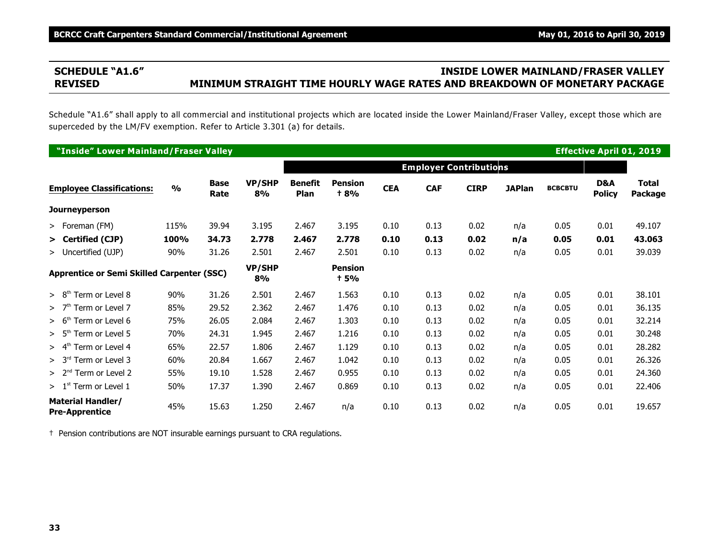# **SCHEDULE "A1.6" INSIDE LOWER MAINLAND/FRASER VALLEY REVISED MINIMUM STRAIGHT TIME HOURLY WAGE RATES AND BREAKDOWN OF MONETARY PACKAGE**

Schedule "A1.6" shall apply to all commercial and institutional projects which are located inside the Lower Mainland/Fraser Valley, except those which are superceded by the LM/FV exemption. Refer to Article 3.301 (a) for details.

| "Inside" Lower Mainland/Fraser Valley             |               |                     |                     |                        |                               |            |                               |             |               |                |                      | <b>Effective April 01, 2019</b> |
|---------------------------------------------------|---------------|---------------------|---------------------|------------------------|-------------------------------|------------|-------------------------------|-------------|---------------|----------------|----------------------|---------------------------------|
|                                                   |               |                     |                     |                        |                               |            | <b>Employer Contributions</b> |             |               |                |                      |                                 |
| <b>Employee Classifications:</b>                  | $\frac{0}{0}$ | <b>Base</b><br>Rate | <b>VP/SHP</b><br>8% | <b>Benefit</b><br>Plan | <b>Pension</b><br><b>t 8%</b> | <b>CEA</b> | <b>CAF</b>                    | <b>CIRP</b> | <b>JAPlan</b> | <b>BCBCBTU</b> | D&A<br><b>Policy</b> | <b>Total</b><br>Package         |
| <b>Journeyperson</b>                              |               |                     |                     |                        |                               |            |                               |             |               |                |                      |                                 |
| > Foreman (FM)                                    | 115%          | 39.94               | 3.195               | 2.467                  | 3.195                         | 0.10       | 0.13                          | 0.02        | n/a           | 0.05           | 0.01                 | 49.107                          |
| > Certified (CJP)                                 | 100%          | 34.73               | 2.778               | 2.467                  | 2.778                         | 0.10       | 0.13                          | 0.02        | n/a           | 0.05           | 0.01                 | 43.063                          |
| > Uncertified (UJP)                               | 90%           | 31.26               | 2.501               | 2.467                  | 2.501                         | 0.10       | 0.13                          | 0.02        | n/a           | 0.05           | 0.01                 | 39.039                          |
| <b>Apprentice or Semi Skilled Carpenter (SSC)</b> |               |                     | <b>VP/SHP</b><br>8% |                        | <b>Pension</b><br>+ 5%        |            |                               |             |               |                |                      |                                 |
| Term or Level 8<br>> 8 <sup>tn</sup>              | 90%           | 31.26               | 2.501               | 2.467                  | 1.563                         | 0.10       | 0.13                          | 0.02        | n/a           | 0.05           | 0.01                 | 38.101                          |
| >7 <sup>th</sup><br>Term or Level 7               | 85%           | 29.52               | 2.362               | 2.467                  | 1.476                         | 0.10       | 0.13                          | 0.02        | n/a           | 0.05           | 0.01                 | 36.135                          |
| $> 6th$ Term or Level 6                           | 75%           | 26.05               | 2.084               | 2.467                  | 1.303                         | 0.10       | 0.13                          | 0.02        | n/a           | 0.05           | 0.01                 | 32.214                          |
| > 5 <sup>th</sup><br>Term or Level 5              | 70%           | 24.31               | 1.945               | 2.467                  | 1.216                         | 0.10       | 0.13                          | 0.02        | n/a           | 0.05           | 0.01                 | 30.248                          |
| $> 4th$ Term or Level 4                           | 65%           | 22.57               | 1.806               | 2.467                  | 1.129                         | 0.10       | 0.13                          | 0.02        | n/a           | 0.05           | 0.01                 | 28.282                          |
| > 3 <sup>rd</sup><br><sup>1</sup> Term or Level 3 | 60%           | 20.84               | 1.667               | 2.467                  | 1.042                         | 0.10       | 0.13                          | 0.02        | n/a           | 0.05           | 0.01                 | 26.326                          |
| $> 2nd$ Term or Level 2                           | 55%           | 19.10               | 1.528               | 2.467                  | 0.955                         | 0.10       | 0.13                          | 0.02        | n/a           | 0.05           | 0.01                 | 24.360                          |
| $> 1st$ Term or Level 1                           | 50%           | 17.37               | 1.390               | 2.467                  | 0.869                         | 0.10       | 0.13                          | 0.02        | n/a           | 0.05           | 0.01                 | 22.406                          |
| <b>Material Handler/</b><br><b>Pre-Apprentice</b> | 45%           | 15.63               | 1.250               | 2.467                  | n/a                           | 0.10       | 0.13                          | 0.02        | n/a           | 0.05           | 0.01                 | 19.657                          |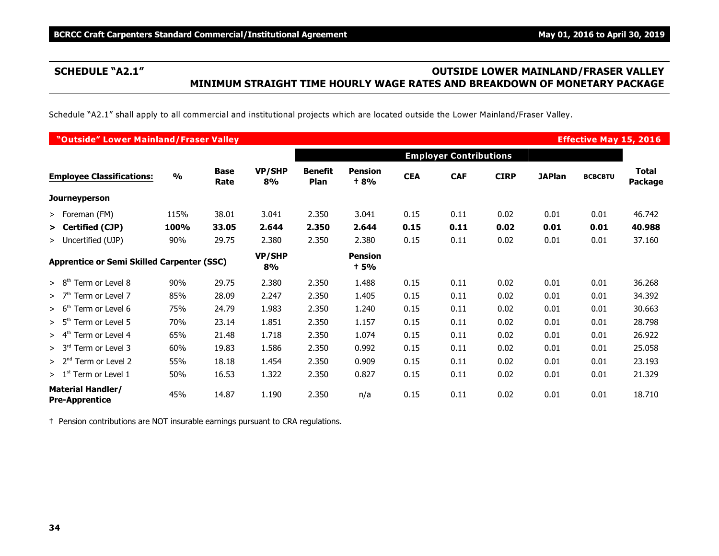# **SCHEDULE "A2.1" OUTSIDE LOWER MAINLAND/FRASER VALLEY MINIMUM STRAIGHT TIME HOURLY WAGE RATES AND BREAKDOWN OF MONETARY PACKAGE**

Schedule "A2.1" shall apply to all commercial and institutional projects which are located outside the Lower Mainland/Fraser Valley.

| "Outside" Lower Mainland/Fraser Valley                                      |               |                     |                     |                        |                        |            |                               |             |               | <b>Effective May 15, 2016</b> |                         |
|-----------------------------------------------------------------------------|---------------|---------------------|---------------------|------------------------|------------------------|------------|-------------------------------|-------------|---------------|-------------------------------|-------------------------|
|                                                                             |               |                     |                     |                        |                        |            | <b>Employer Contributions</b> |             |               |                               |                         |
| <b>Employee Classifications:</b>                                            | $\frac{0}{0}$ | <b>Base</b><br>Rate | <b>VP/SHP</b><br>8% | <b>Benefit</b><br>Plan | <b>Pension</b><br>+ 8% | <b>CEA</b> | <b>CAF</b>                    | <b>CIRP</b> | <b>JAPlan</b> | <b>BCBCBTU</b>                | <b>Total</b><br>Package |
| <b>Journeyperson</b>                                                        |               |                     |                     |                        |                        |            |                               |             |               |                               |                         |
| > Foreman (FM)                                                              | 115%          | 38.01               | 3.041               | 2.350                  | 3.041                  | 0.15       | 0.11                          | 0.02        | 0.01          | 0.01                          | 46.742                  |
| > Certified (CJP)                                                           | 100%          | 33.05               | 2.644               | 2.350                  | 2.644                  | 0.15       | 0.11                          | 0.02        | 0.01          | 0.01                          | 40.988                  |
| > Uncertified (UJP)                                                         | 90%           | 29.75               | 2.380               | 2.350                  | 2.380                  | 0.15       | 0.11                          | 0.02        | 0.01          | 0.01                          | 37.160                  |
| <b>Apprentice or Semi Skilled Carpenter (SSC)</b><br>Term or Level 8<br>90% |               |                     | VP/SHP<br>8%        |                        | <b>Pension</b><br>+ 5% |            |                               |             |               |                               |                         |
| > 8 <sup>th</sup>                                                           |               | 29.75               | 2.380               | 2.350                  | 1.488                  | 0.15       | 0.11                          | 0.02        | 0.01          | 0.01                          | 36.268                  |
| Term or Level 7<br>>7 <sup>th</sup>                                         | 85%           | 28.09               | 2.247               | 2.350                  | 1.405                  | 0.15       | 0.11                          | 0.02        | 0.01          | 0.01                          | 34.392                  |
| Term or Level 6<br>> 6 <sup>th</sup>                                        | 75%           | 24.79               | 1.983               | 2.350                  | 1.240                  | 0.15       | 0.11                          | 0.02        | 0.01          | 0.01                          | 30.663                  |
| > 5 <sup>th</sup><br>Term or Level 5                                        | 70%           | 23.14               | 1.851               | 2.350                  | 1.157                  | 0.15       | 0.11                          | 0.02        | 0.01          | 0.01                          | 28.798                  |
| > 4 <sup>th</sup><br>Term or Level 4                                        | 65%           | 21.48               | 1.718               | 2.350                  | 1.074                  | 0.15       | 0.11                          | 0.02        | 0.01          | 0.01                          | 26.922                  |
| > 3 <sup>rd</sup><br>Term or Level 3                                        | 60%           | 19.83               | 1.586               | 2.350                  | 0.992                  | 0.15       | 0.11                          | 0.02        | 0.01          | 0.01                          | 25.058                  |
| $> 2nd$ Term or Level 2                                                     | 55%           | 18.18               | 1.454               | 2.350                  | 0.909                  | 0.15       | 0.11                          | 0.02        | 0.01          | 0.01                          | 23.193                  |
| $> 1st$ Term or Level 1                                                     | 50%           | 16.53               | 1.322               | 2.350                  | 0.827                  | 0.15       | 0.11                          | 0.02        | 0.01          | 0.01                          | 21.329                  |
| <b>Material Handler/</b><br><b>Pre-Apprentice</b>                           | 45%           | 14.87               | 1.190               | 2.350                  | n/a                    | 0.15       | 0.11                          | 0.02        | 0.01          | 0.01                          | 18.710                  |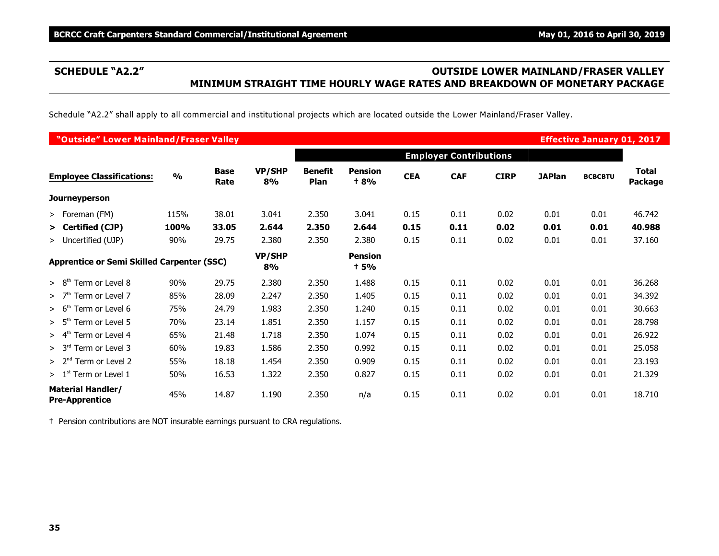# **SCHEDULE "A2.2" OUTSIDE LOWER MAINLAND/FRASER VALLEY MINIMUM STRAIGHT TIME HOURLY WAGE RATES AND BREAKDOWN OF MONETARY PACKAGE**

Schedule "A2.2" shall apply to all commercial and institutional projects which are located outside the Lower Mainland/Fraser Valley.

| "Outside" Lower Mainland/Fraser Valley            |               |                     |              |                               |                               |            |                               |             |               | <b>Effective January 01, 2017</b> |                         |
|---------------------------------------------------|---------------|---------------------|--------------|-------------------------------|-------------------------------|------------|-------------------------------|-------------|---------------|-----------------------------------|-------------------------|
|                                                   |               |                     |              |                               |                               |            | <b>Employer Contributions</b> |             |               |                                   |                         |
| <b>Employee Classifications:</b>                  | $\frac{0}{0}$ | <b>Base</b><br>Rate | VP/SHP<br>8% | <b>Benefit</b><br><b>Plan</b> | <b>Pension</b><br><b>t 8%</b> | <b>CEA</b> | <b>CAF</b>                    | <b>CIRP</b> | <b>JAPlan</b> | <b>BCBCBTU</b>                    | <b>Total</b><br>Package |
| <b>Journeyperson</b>                              |               |                     |              |                               |                               |            |                               |             |               |                                   |                         |
| > Foreman (FM)                                    | 115%          | 38.01               | 3.041        | 2.350                         | 3.041                         | 0.15       | 0.11                          | 0.02        | 0.01          | 0.01                              | 46.742                  |
| > Certified (CJP)                                 | 100%          | 33.05               | 2.644        | 2.350                         | 2.644                         | 0.15       | 0.11                          | 0.02        | 0.01          | 0.01                              | 40.988                  |
| > Uncertified (UJP)                               | 90%           | 29.75               | 2.380        | 2.350                         | 2.380                         | 0.15       | 0.11                          | 0.02        | 0.01          | 0.01                              | 37.160                  |
| <b>Apprentice or Semi Skilled Carpenter (SSC)</b> |               |                     | VP/SHP<br>8% |                               | <b>Pension</b><br><b>t 5%</b> |            |                               |             |               |                                   |                         |
| > 8 <sup>th</sup><br>Term or Level 8              | 90%           | 29.75               | 2.380        | 2.350                         | 1.488                         | 0.15       | 0.11                          | 0.02        | 0.01          | 0.01                              | 36.268                  |
| $>$ 7 <sup>th</sup> Term or Level 7               | 85%           | 28.09               | 2.247        | 2.350                         | 1.405                         | 0.15       | 0.11                          | 0.02        | 0.01          | 0.01                              | 34.392                  |
| Term or Level 6<br>> 6 <sup>th</sup>              | 75%           | 24.79               | 1.983        | 2.350                         | 1.240                         | 0.15       | 0.11                          | 0.02        | 0.01          | 0.01                              | 30.663                  |
| > 5 <sup>th</sup><br>Term or Level 5              | 70%           | 23.14               | 1.851        | 2.350                         | 1.157                         | 0.15       | 0.11                          | 0.02        | 0.01          | 0.01                              | 28.798                  |
| Term or Level 4<br>> 4 <sup>th</sup>              | 65%           | 21.48               | 1.718        | 2.350                         | 1.074                         | 0.15       | 0.11                          | 0.02        | 0.01          | 0.01                              | 26.922                  |
| > 3 <sup>rd</sup><br>Term or Level 3              | 60%           | 19.83               | 1.586        | 2.350                         | 0.992                         | 0.15       | 0.11                          | 0.02        | 0.01          | 0.01                              | 25.058                  |
| $> 2nd$ Term or Level 2                           | 55%           | 18.18               | 1.454        | 2.350                         | 0.909                         | 0.15       | 0.11                          | 0.02        | 0.01          | 0.01                              | 23.193                  |
| $>1st$ Term or Level 1                            | 50%           | 16.53               | 1.322        | 2.350                         | 0.827                         | 0.15       | 0.11                          | 0.02        | 0.01          | 0.01                              | 21.329                  |
| <b>Material Handler/</b><br><b>Pre-Apprentice</b> | 45%           | 14.87               | 1.190        | 2.350                         | n/a                           | 0.15       | 0.11                          | 0.02        | 0.01          | 0.01                              | 18.710                  |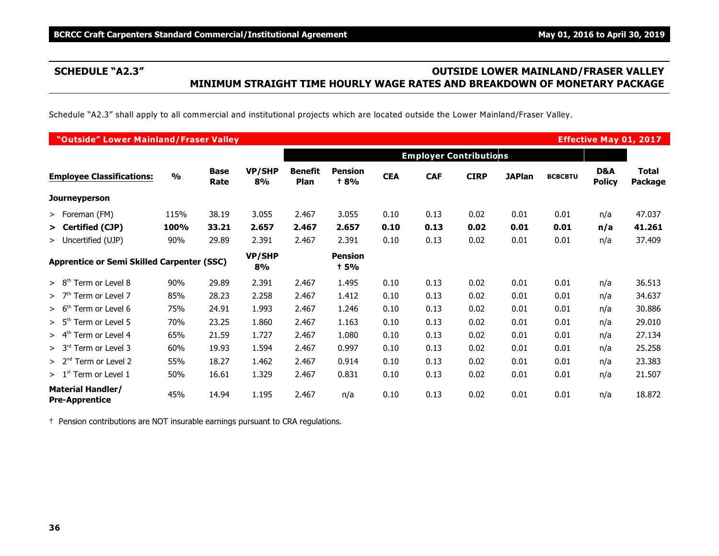# **SCHEDULE "A2.3" OUTSIDE LOWER MAINLAND/FRASER VALLEY MINIMUM STRAIGHT TIME HOURLY WAGE RATES AND BREAKDOWN OF MONETARY PACKAGE**

Schedule "A2.3" shall apply to all commercial and institutional projects which are located outside the Lower Mainland/Fraser Valley.

| "Outside" Lower Mainland/Fraser Valley            |               |                     |                     |                        |                               |            |                               |             |               |                | <b>Effective May 01, 2017</b> |                         |
|---------------------------------------------------|---------------|---------------------|---------------------|------------------------|-------------------------------|------------|-------------------------------|-------------|---------------|----------------|-------------------------------|-------------------------|
|                                                   |               |                     |                     |                        |                               |            | <b>Employer Contributions</b> |             |               |                |                               |                         |
| <b>Employee Classifications:</b>                  | $\frac{0}{0}$ | <b>Base</b><br>Rate | <b>VP/SHP</b><br>8% | <b>Benefit</b><br>Plan | <b>Pension</b><br><b>+8%</b>  | <b>CEA</b> | <b>CAF</b>                    | <b>CIRP</b> | <b>JAPlan</b> | <b>BCBCBTU</b> | D&A<br><b>Policy</b>          | <b>Total</b><br>Package |
| <b>Journeyperson</b>                              |               |                     |                     |                        |                               |            |                               |             |               |                |                               |                         |
| > Foreman (FM)                                    | 115%          | 38.19               | 3.055               | 2.467                  | 3.055                         | 0.10       | 0.13                          | 0.02        | 0.01          | 0.01           | n/a                           | 47.037                  |
| > Certified (CJP)                                 | 100%          | 33.21               | 2.657               | 2.467                  | 2.657                         | 0.10       | 0.13                          | 0.02        | 0.01          | 0.01           | n/a                           | 41.261                  |
| > Uncertified (UJP)                               | 90%           | 29.89               | 2.391               | 2.467                  | 2.391                         | 0.10       | 0.13                          | 0.02        | 0.01          | 0.01           | n/a                           | 37.409                  |
| <b>Apprentice or Semi Skilled Carpenter (SSC)</b> |               |                     | <b>VP/SHP</b><br>8% |                        | <b>Pension</b><br><b>t 5%</b> |            |                               |             |               |                |                               |                         |
| > 8 <sup>th</sup><br>Term or Level 8              | 90%           | 29.89               | 2.391               | 2.467                  | 1.495                         | 0.10       | 0.13                          | 0.02        | 0.01          | 0.01           | n/a                           | 36.513                  |
| >7 <sup>th</sup><br>Term or Level 7               | 85%           | 28.23               | 2.258               | 2.467                  | 1.412                         | 0.10       | 0.13                          | 0.02        | 0.01          | 0.01           | n/a                           | 34.637                  |
| Term or Level 6<br>> 6 <sup>tr</sup>              | 75%           | 24.91               | 1.993               | 2.467                  | 1.246                         | 0.10       | 0.13                          | 0.02        | 0.01          | 0.01           | n/a                           | 30.886                  |
| > 5 <sup>th</sup><br>Term or Level 5              | 70%           | 23.25               | 1.860               | 2.467                  | 1.163                         | 0.10       | 0.13                          | 0.02        | 0.01          | 0.01           | n/a                           | 29.010                  |
| Term or Level 4<br>> 4 <sup>th</sup>              | 65%           | 21.59               | 1.727               | 2.467                  | 1.080                         | 0.10       | 0.13                          | 0.02        | 0.01          | 0.01           | n/a                           | 27.134                  |
| Term or Level 3<br>> 3 <sup>rd</sup>              | 60%           | 19.93               | 1.594               | 2.467                  | 0.997                         | 0.10       | 0.13                          | 0.02        | 0.01          | 0.01           | n/a                           | 25.258                  |
| > 2 <sup>nd</sup><br>Term or Level 2              | 55%           | 18.27               | 1.462               | 2.467                  | 0.914                         | 0.10       | 0.13                          | 0.02        | 0.01          | 0.01           | n/a                           | 23.383                  |
| > 1 <sup>st</sup><br>Term or Level 1              | 50%           | 16.61               | 1.329               | 2.467                  | 0.831                         | 0.10       | 0.13                          | 0.02        | 0.01          | 0.01           | n/a                           | 21.507                  |
| <b>Material Handler/</b><br><b>Pre-Apprentice</b> | 45%           | 14.94               | 1.195               | 2.467                  | n/a                           | 0.10       | 0.13                          | 0.02        | 0.01          | 0.01           | n/a                           | 18.872                  |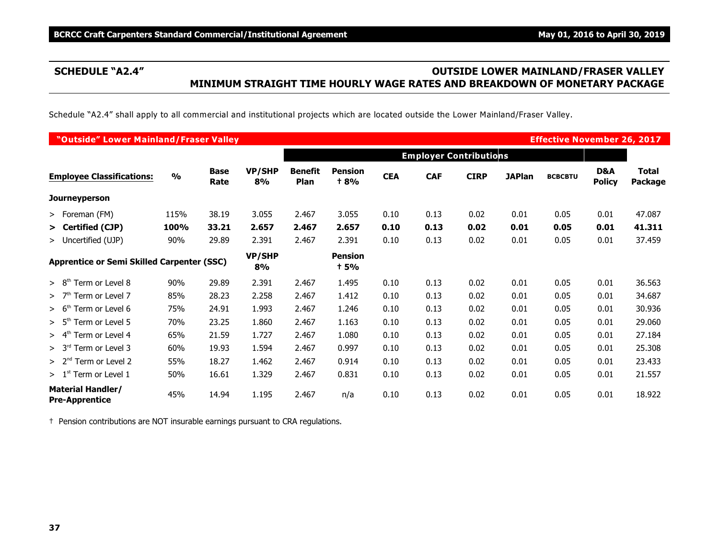# **SCHEDULE "A2.4" OUTSIDE LOWER MAINLAND/FRASER VALLEY MINIMUM STRAIGHT TIME HOURLY WAGE RATES AND BREAKDOWN OF MONETARY PACKAGE**

Schedule "A2.4" shall apply to all commercial and institutional projects which are located outside the Lower Mainland/Fraser Valley.

| "Outside" Lower Mainland/Fraser Valley            |               |                     |                     |                        |                               |            |                               |             |               | <b>Effective November 26, 2017</b> |                      |                         |
|---------------------------------------------------|---------------|---------------------|---------------------|------------------------|-------------------------------|------------|-------------------------------|-------------|---------------|------------------------------------|----------------------|-------------------------|
|                                                   |               |                     |                     |                        |                               |            | <b>Employer Contributions</b> |             |               |                                    |                      |                         |
| <b>Employee Classifications:</b>                  | $\frac{0}{0}$ | <b>Base</b><br>Rate | <b>VP/SHP</b><br>8% | <b>Benefit</b><br>Plan | <b>Pension</b><br><b>+8%</b>  | <b>CEA</b> | <b>CAF</b>                    | <b>CIRP</b> | <b>JAPlan</b> | <b>BCBCBTU</b>                     | D&A<br><b>Policy</b> | <b>Total</b><br>Package |
| <b>Journeyperson</b>                              |               |                     |                     |                        |                               |            |                               |             |               |                                    |                      |                         |
| > Foreman (FM)                                    | 115%          | 38.19               | 3.055               | 2.467                  | 3.055                         | 0.10       | 0.13                          | 0.02        | 0.01          | 0.05                               | 0.01                 | 47.087                  |
| > Certified (CJP)                                 | 100%          | 33.21               | 2.657               | 2.467                  | 2.657                         | 0.10       | 0.13                          | 0.02        | 0.01          | 0.05                               | 0.01                 | 41.311                  |
| > Uncertified (UJP)                               | 90%           | 29.89               | 2.391               | 2.467                  | 2.391                         | 0.10       | 0.13                          | 0.02        | 0.01          | 0.05                               | 0.01                 | 37.459                  |
| <b>Apprentice or Semi Skilled Carpenter (SSC)</b> |               |                     | <b>VP/SHP</b><br>8% |                        | <b>Pension</b><br><b>t 5%</b> |            |                               |             |               |                                    |                      |                         |
| > 8 <sup>th</sup><br>Term or Level 8              | 90%           | 29.89               | 2.391               | 2.467                  | 1.495                         | 0.10       | 0.13                          | 0.02        | 0.01          | 0.05                               | 0.01                 | 36.563                  |
| >7 <sup>th</sup><br>Term or Level 7               | 85%           | 28.23               | 2.258               | 2.467                  | 1.412                         | 0.10       | 0.13                          | 0.02        | 0.01          | 0.05                               | 0.01                 | 34.687                  |
| Term or Level 6<br>> 6 <sup>th</sup>              | 75%           | 24.91               | 1.993               | 2.467                  | 1.246                         | 0.10       | 0.13                          | 0.02        | 0.01          | 0.05                               | 0.01                 | 30.936                  |
| > 5 <sup>th</sup><br>Term or Level 5              | 70%           | 23.25               | 1.860               | 2.467                  | 1.163                         | 0.10       | 0.13                          | 0.02        | 0.01          | 0.05                               | 0.01                 | 29.060                  |
| Term or Level 4<br>> 4 <sup>th</sup>              | 65%           | 21.59               | 1.727               | 2.467                  | 1.080                         | 0.10       | 0.13                          | 0.02        | 0.01          | 0.05                               | 0.01                 | 27.184                  |
| > 3 <sup>rd</sup><br>Term or Level 3              | 60%           | 19.93               | 1.594               | 2.467                  | 0.997                         | 0.10       | 0.13                          | 0.02        | 0.01          | 0.05                               | 0.01                 | 25.308                  |
| > 2 <sup>nd</sup><br>Term or Level 2              | 55%           | 18.27               | 1.462               | 2.467                  | 0.914                         | 0.10       | 0.13                          | 0.02        | 0.01          | 0.05                               | 0.01                 | 23.433                  |
| > 1 <sup>st</sup><br>Term or Level 1              | 50%           | 16.61               | 1.329               | 2.467                  | 0.831                         | 0.10       | 0.13                          | 0.02        | 0.01          | 0.05                               | 0.01                 | 21.557                  |
| <b>Material Handler/</b><br><b>Pre-Apprentice</b> | 45%           | 14.94               | 1.195               | 2.467                  | n/a                           | 0.10       | 0.13                          | 0.02        | 0.01          | 0.05                               | 0.01                 | 18.922                  |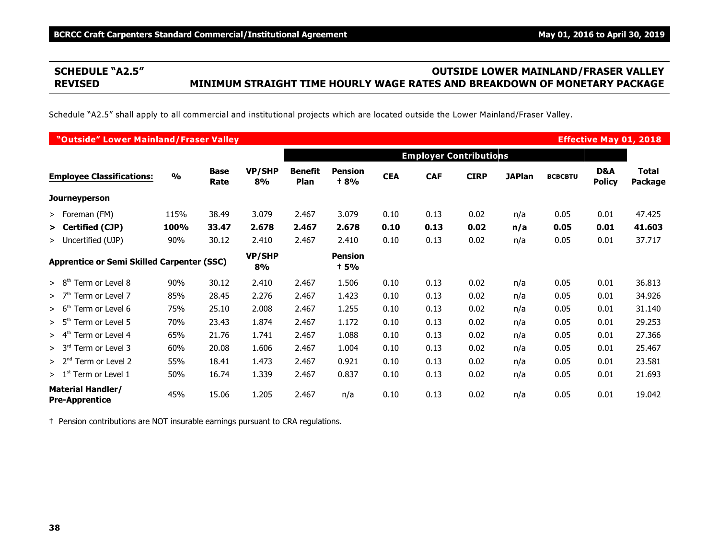# **SCHEDULE "A2.5" OUTSIDE LOWER MAINLAND/FRASER VALLEY REVISED MINIMUM STRAIGHT TIME HOURLY WAGE RATES AND BREAKDOWN OF MONETARY PACKAGE**

Schedule "A2.5" shall apply to all commercial and institutional projects which are located outside the Lower Mainland/Fraser Valley.

| "Outside" Lower Mainland/Fraser Valley            |               |                     |                     |                        |                        |            |                               |             |               |                | <b>Effective May 01, 2018</b> |                                |
|---------------------------------------------------|---------------|---------------------|---------------------|------------------------|------------------------|------------|-------------------------------|-------------|---------------|----------------|-------------------------------|--------------------------------|
|                                                   |               |                     |                     |                        |                        |            | <b>Employer Contributions</b> |             |               |                |                               |                                |
| <b>Employee Classifications:</b>                  | $\frac{0}{0}$ | <b>Base</b><br>Rate | <b>VP/SHP</b><br>8% | <b>Benefit</b><br>Plan | <b>Pension</b><br>+ 8% | <b>CEA</b> | <b>CAF</b>                    | <b>CIRP</b> | <b>JAPlan</b> | <b>BCBCBTU</b> | D&A<br><b>Policy</b>          | <b>Total</b><br><b>Package</b> |
| <b>Journeyperson</b>                              |               |                     |                     |                        |                        |            |                               |             |               |                |                               |                                |
| > Foreman (FM)                                    | 115%          | 38.49               | 3.079               | 2.467                  | 3.079                  | 0.10       | 0.13                          | 0.02        | n/a           | 0.05           | 0.01                          | 47.425                         |
| > Certified (CJP)                                 | 100%          | 33.47               | 2.678               | 2.467                  | 2.678                  | 0.10       | 0.13                          | 0.02        | n/a           | 0.05           | 0.01                          | 41.603                         |
| > Uncertified (UJP)                               | 90%           | 30.12               | 2.410               | 2.467                  | 2.410                  | 0.10       | 0.13                          | 0.02        | n/a           | 0.05           | 0.01                          | 37.717                         |
| <b>Apprentice or Semi Skilled Carpenter (SSC)</b> |               |                     | <b>VP/SHP</b><br>8% |                        | <b>Pension</b><br>† 5% |            |                               |             |               |                |                               |                                |
| Term or Level 8<br>> 8 <sup>th</sup>              | 90%           | 30.12               | 2.410               | 2.467                  | 1.506                  | 0.10       | 0.13                          | 0.02        | n/a           | 0.05           | 0.01                          | 36.813                         |
| >7 <sup>th</sup><br>Term or Level 7               | 85%           | 28.45               | 2.276               | 2.467                  | 1.423                  | 0.10       | 0.13                          | 0.02        | n/a           | 0.05           | 0.01                          | 34.926                         |
| Term or Level 6<br>> 6 <sup>tr</sup>              | 75%           | 25.10               | 2.008               | 2.467                  | 1.255                  | 0.10       | 0.13                          | 0.02        | n/a           | 0.05           | 0.01                          | 31.140                         |
| > 5 <sup>th</sup><br>Term or Level 5              | 70%           | 23.43               | 1.874               | 2.467                  | 1.172                  | 0.10       | 0.13                          | 0.02        | n/a           | 0.05           | 0.01                          | 29.253                         |
| > 4 <sup>th</sup><br>Term or Level 4              | 65%           | 21.76               | 1.741               | 2.467                  | 1.088                  | 0.10       | 0.13                          | 0.02        | n/a           | 0.05           | 0.01                          | 27.366                         |
| > 3 <sup>rd</sup><br>Term or Level 3              | 60%           | 20.08               | 1.606               | 2.467                  | 1.004                  | 0.10       | 0.13                          | 0.02        | n/a           | 0.05           | 0.01                          | 25.467                         |
| Term or Level 2<br>> 2 <sup>nd</sup>              | 55%           | 18.41               | 1.473               | 2.467                  | 0.921                  | 0.10       | 0.13                          | 0.02        | n/a           | 0.05           | 0.01                          | 23.581                         |
| $>1st$ Term or Level 1                            | 50%           | 16.74               | 1.339               | 2.467                  | 0.837                  | 0.10       | 0.13                          | 0.02        | n/a           | 0.05           | 0.01                          | 21.693                         |
| <b>Material Handler/</b><br><b>Pre-Apprentice</b> | 45%           | 15.06               | 1.205               | 2.467                  | n/a                    | 0.10       | 0.13                          | 0.02        | n/a           | 0.05           | 0.01                          | 19.042                         |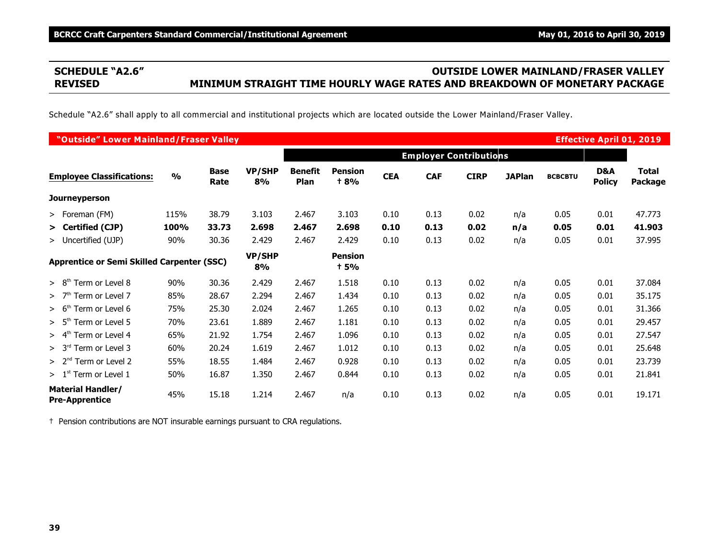# **SCHEDULE "A2.6" OUTSIDE LOWER MAINLAND/FRASER VALLEY REVISED MINIMUM STRAIGHT TIME HOURLY WAGE RATES AND BREAKDOWN OF MONETARY PACKAGE**

Schedule "A2.6" shall apply to all commercial and institutional projects which are located outside the Lower Mainland/Fraser Valley.

| "Outside" Lower Mainland/Fraser Valley            |               |                     |                     |                        |                               |            |                               |             |               |                | <b>Effective April 01, 2019</b> |                         |
|---------------------------------------------------|---------------|---------------------|---------------------|------------------------|-------------------------------|------------|-------------------------------|-------------|---------------|----------------|---------------------------------|-------------------------|
|                                                   |               |                     |                     |                        |                               |            | <b>Employer Contributions</b> |             |               |                |                                 |                         |
| <b>Employee Classifications:</b>                  | $\frac{0}{0}$ | <b>Base</b><br>Rate | <b>VP/SHP</b><br>8% | <b>Benefit</b><br>Plan | <b>Pension</b><br><b>t 8%</b> | <b>CEA</b> | <b>CAF</b>                    | <b>CIRP</b> | <b>JAPlan</b> | <b>BCBCBTU</b> | D&A<br><b>Policy</b>            | <b>Total</b><br>Package |
| <b>Journeyperson</b>                              |               |                     |                     |                        |                               |            |                               |             |               |                |                                 |                         |
| > Foreman (FM)                                    | 115%          | 38.79               | 3.103               | 2.467                  | 3.103                         | 0.10       | 0.13                          | 0.02        | n/a           | 0.05           | 0.01                            | 47.773                  |
| > Certified (CJP)                                 | 100%          | 33.73               | 2.698               | 2.467                  | 2.698                         | 0.10       | 0.13                          | 0.02        | n/a           | 0.05           | 0.01                            | 41.903                  |
| > Uncertified (UJP)                               | 90%           | 30.36               | 2.429               | 2.467                  | 2.429                         | 0.10       | 0.13                          | 0.02        | n/a           | 0.05           | 0.01                            | 37.995                  |
| <b>Apprentice or Semi Skilled Carpenter (SSC)</b> |               |                     | <b>VP/SHP</b><br>8% |                        | <b>Pension</b><br><b>+5%</b>  |            |                               |             |               |                |                                 |                         |
| > 8 <sup>th</sup><br>Term or Level 8              | 90%           | 30.36               | 2.429               | 2.467                  | 1.518                         | 0.10       | 0.13                          | 0.02        | n/a           | 0.05           | 0.01                            | 37.084                  |
| >7 <sup>th</sup><br>Term or Level 7               | 85%           | 28.67               | 2.294               | 2.467                  | 1.434                         | 0.10       | 0.13                          | 0.02        | n/a           | 0.05           | 0.01                            | 35.175                  |
| > 6 <sup>th</sup><br>Term or Level 6              | 75%           | 25.30               | 2.024               | 2.467                  | 1.265                         | 0.10       | 0.13                          | 0.02        | n/a           | 0.05           | 0.01                            | 31.366                  |
| > 5 <sup>th</sup><br>Term or Level 5              | 70%           | 23.61               | 1.889               | 2.467                  | 1.181                         | 0.10       | 0.13                          | 0.02        | n/a           | 0.05           | 0.01                            | 29.457                  |
| > 4 <sup>th</sup><br>Term or Level 4              | 65%           | 21.92               | 1.754               | 2.467                  | 1.096                         | 0.10       | 0.13                          | 0.02        | n/a           | 0.05           | 0.01                            | 27.547                  |
| > 3 <sup>rd</sup><br>Term or Level 3              | 60%           | 20.24               | 1.619               | 2.467                  | 1.012                         | 0.10       | 0.13                          | 0.02        | n/a           | 0.05           | 0.01                            | 25.648                  |
| > 2 <sup>nd</sup><br>Term or Level 2              | 55%           | 18.55               | 1.484               | 2.467                  | 0.928                         | 0.10       | 0.13                          | 0.02        | n/a           | 0.05           | 0.01                            | 23.739                  |
| > 1 <sup>st</sup><br>Term or Level 1              | 50%           | 16.87               | 1.350               | 2.467                  | 0.844                         | 0.10       | 0.13                          | 0.02        | n/a           | 0.05           | 0.01                            | 21.841                  |
| <b>Material Handler/</b><br><b>Pre-Apprentice</b> | 45%           | 15.18               | 1.214               | 2.467                  | n/a                           | 0.10       | 0.13                          | 0.02        | n/a           | 0.05           | 0.01                            | 19.171                  |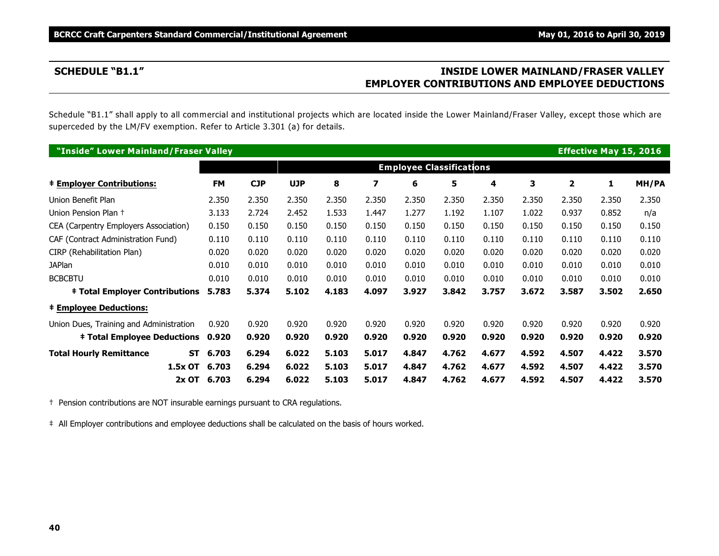# **SCHEDULE "B1.1" INSIDE LOWER MAINLAND/FRASER VALLEY EMPLOYER CONTRIBUTIONS AND EMPLOYEE DEDUCTIONS**

Schedule "B1.1" shall apply to all commercial and institutional projects which are located inside the Lower Mainland/Fraser Valley, except those which are superceded by the LM/FV exemption. Refer to Article 3.301 (a) for details.

| "Inside" Lower Mainland/Fraser Valley   |                    |            |            |       |       |                                 |       |       |       |       | <b>Effective May 15, 2016</b> |              |
|-----------------------------------------|--------------------|------------|------------|-------|-------|---------------------------------|-------|-------|-------|-------|-------------------------------|--------------|
|                                         |                    |            |            |       |       | <b>Employee Classifications</b> |       |       |       |       |                               |              |
| <b>‡ Employer Contributions:</b>        | <b>FM</b>          | <b>CJP</b> | <b>UJP</b> | 8     | 7     | 6                               | 5     | 4     | 3     | 2     | 1                             | <b>MH/PA</b> |
| Union Benefit Plan                      | 2.350              | 2.350      | 2.350      | 2.350 | 2.350 | 2.350                           | 2.350 | 2.350 | 2.350 | 2.350 | 2.350                         | 2.350        |
| Union Pension Plan +                    | 3.133              | 2.724      | 2.452      | 1.533 | 1.447 | 1.277                           | 1.192 | 1.107 | 1.022 | 0.937 | 0.852                         | n/a          |
| CEA (Carpentry Employers Association)   | 0.150              | 0.150      | 0.150      | 0.150 | 0.150 | 0.150                           | 0.150 | 0.150 | 0.150 | 0.150 | 0.150                         | 0.150        |
| CAF (Contract Administration Fund)      | 0.110              | 0.110      | 0.110      | 0.110 | 0.110 | 0.110                           | 0.110 | 0.110 | 0.110 | 0.110 | 0.110                         | 0.110        |
| CIRP (Rehabilitation Plan)              | 0.020              | 0.020      | 0.020      | 0.020 | 0.020 | 0.020                           | 0.020 | 0.020 | 0.020 | 0.020 | 0.020                         | 0.020        |
| <b>JAPlan</b>                           | 0.010              | 0.010      | 0.010      | 0.010 | 0.010 | 0.010                           | 0.010 | 0.010 | 0.010 | 0.010 | 0.010                         | 0.010        |
| <b>BCBCBTU</b>                          | 0.010              | 0.010      | 0.010      | 0.010 | 0.010 | 0.010                           | 0.010 | 0.010 | 0.010 | 0.010 | 0.010                         | 0.010        |
| <b>‡ Total Employer Contributions</b>   | 5.783              | 5.374      | 5.102      | 4.183 | 4.097 | 3.927                           | 3.842 | 3.757 | 3.672 | 3.587 | 3.502                         | 2.650        |
| <b>‡ Employee Deductions:</b>           |                    |            |            |       |       |                                 |       |       |       |       |                               |              |
| Union Dues, Training and Administration | 0.920              | 0.920      | 0.920      | 0.920 | 0.920 | 0.920                           | 0.920 | 0.920 | 0.920 | 0.920 | 0.920                         | 0.920        |
| <b>‡ Total Employee Deductions</b>      | 0.920              | 0.920      | 0.920      | 0.920 | 0.920 | 0.920                           | 0.920 | 0.920 | 0.920 | 0.920 | 0.920                         | 0.920        |
| <b>Total Hourly Remittance</b>          | 6.703<br><b>ST</b> | 6.294      | 6.022      | 5.103 | 5.017 | 4.847                           | 4.762 | 4.677 | 4.592 | 4.507 | 4.422                         | 3.570        |
| 1.5x OT                                 | 6.703              | 6.294      | 6.022      | 5.103 | 5.017 | 4.847                           | 4.762 | 4.677 | 4.592 | 4.507 | 4.422                         | 3.570        |
| $2x$ OT                                 | 6.703              | 6.294      | 6.022      | 5.103 | 5.017 | 4.847                           | 4.762 | 4.677 | 4.592 | 4.507 | 4.422                         | 3.570        |

† Pension contributions are NOT insurable earnings pursuant to CRA regulations.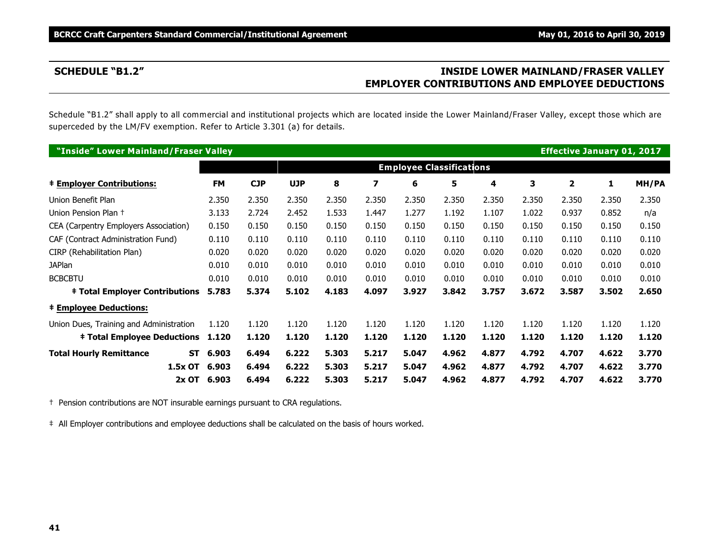# **SCHEDULE "B1.2" INSIDE LOWER MAINLAND/FRASER VALLEY EMPLOYER CONTRIBUTIONS AND EMPLOYEE DEDUCTIONS**

Schedule "B1.2" shall apply to all commercial and institutional projects which are located inside the Lower Mainland/Fraser Valley, except those which are superceded by the LM/FV exemption. Refer to Article 3.301 (a) for details.

| "Inside" Lower Mainland/Fraser Valley   |                    |            |            |       |       |                                 |       |       |       | <b>Effective January 01, 2017</b> |       |       |
|-----------------------------------------|--------------------|------------|------------|-------|-------|---------------------------------|-------|-------|-------|-----------------------------------|-------|-------|
|                                         |                    |            |            |       |       | <b>Employee Classifications</b> |       |       |       |                                   |       |       |
| <b>‡ Employer Contributions:</b>        | <b>FM</b>          | <b>CJP</b> | <b>UJP</b> | 8     | 7     | 6                               | 5     | 4     | 3     | $\mathbf{z}$                      | 1     | MH/PA |
| Union Benefit Plan                      | 2.350              | 2.350      | 2.350      | 2.350 | 2.350 | 2.350                           | 2.350 | 2.350 | 2.350 | 2.350                             | 2.350 | 2.350 |
| Union Pension Plan +                    | 3.133              | 2.724      | 2.452      | 1.533 | 1.447 | 1.277                           | 1.192 | 1.107 | 1.022 | 0.937                             | 0.852 | n/a   |
| CEA (Carpentry Employers Association)   | 0.150              | 0.150      | 0.150      | 0.150 | 0.150 | 0.150                           | 0.150 | 0.150 | 0.150 | 0.150                             | 0.150 | 0.150 |
| CAF (Contract Administration Fund)      | 0.110              | 0.110      | 0.110      | 0.110 | 0.110 | 0.110                           | 0.110 | 0.110 | 0.110 | 0.110                             | 0.110 | 0.110 |
| CIRP (Rehabilitation Plan)              | 0.020              | 0.020      | 0.020      | 0.020 | 0.020 | 0.020                           | 0.020 | 0.020 | 0.020 | 0.020                             | 0.020 | 0.020 |
| <b>JAPlan</b>                           | 0.010              | 0.010      | 0.010      | 0.010 | 0.010 | 0.010                           | 0.010 | 0.010 | 0.010 | 0.010                             | 0.010 | 0.010 |
| <b>BCBCBTU</b>                          | 0.010              | 0.010      | 0.010      | 0.010 | 0.010 | 0.010                           | 0.010 | 0.010 | 0.010 | 0.010                             | 0.010 | 0.010 |
| <b>‡ Total Employer Contributions</b>   | 5.783              | 5.374      | 5.102      | 4.183 | 4.097 | 3.927                           | 3.842 | 3.757 | 3.672 | 3.587                             | 3.502 | 2.650 |
| <b>‡ Employee Deductions:</b>           |                    |            |            |       |       |                                 |       |       |       |                                   |       |       |
| Union Dues, Training and Administration | 1.120              | 1.120      | 1.120      | 1.120 | 1.120 | 1.120                           | 1.120 | 1.120 | 1.120 | 1.120                             | 1.120 | 1.120 |
| <b>‡ Total Employee Deductions</b>      | 1.120              | 1.120      | 1.120      | 1.120 | 1.120 | 1.120                           | 1.120 | 1.120 | 1.120 | 1.120                             | 1.120 | 1.120 |
| <b>Total Hourly Remittance</b>          | 6.903<br><b>ST</b> | 6.494      | 6.222      | 5.303 | 5.217 | 5.047                           | 4.962 | 4.877 | 4.792 | 4.707                             | 4.622 | 3.770 |
| 1.5x OT                                 | 6.903              | 6.494      | 6.222      | 5.303 | 5.217 | 5.047                           | 4.962 | 4.877 | 4.792 | 4.707                             | 4.622 | 3.770 |
| $2x$ OT                                 | 6.903              | 6.494      | 6.222      | 5.303 | 5.217 | 5.047                           | 4.962 | 4.877 | 4.792 | 4.707                             | 4.622 | 3.770 |

† Pension contributions are NOT insurable earnings pursuant to CRA regulations.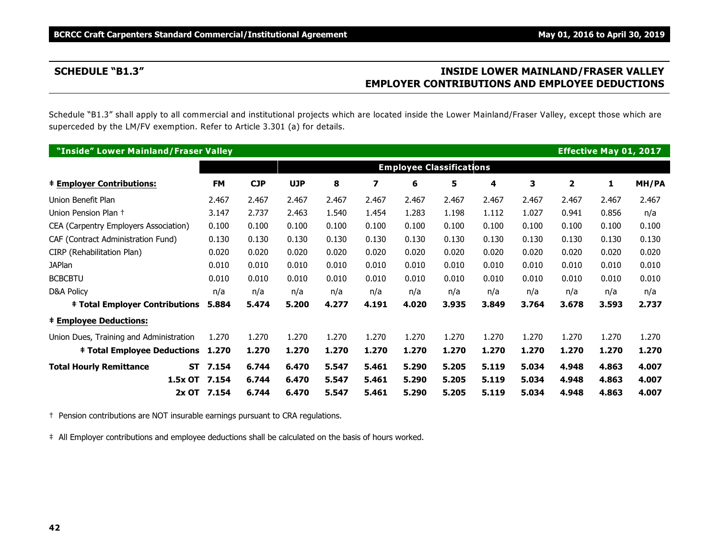# **SCHEDULE "B1.3" INSIDE LOWER MAINLAND/FRASER VALLEY EMPLOYER CONTRIBUTIONS AND EMPLOYEE DEDUCTIONS**

Schedule "B1.3" shall apply to all commercial and institutional projects which are located inside the Lower Mainland/Fraser Valley, except those which are superceded by the LM/FV exemption. Refer to Article 3.301 (a) for details.

| "Inside" Lower Mainland/Fraser Valley   |           |           |            |            |       |       |                                 |       |       |       |                | <b>Effective May 01, 2017</b> |       |
|-----------------------------------------|-----------|-----------|------------|------------|-------|-------|---------------------------------|-------|-------|-------|----------------|-------------------------------|-------|
|                                         |           |           |            |            |       |       | <b>Employee Classifications</b> |       |       |       |                |                               |       |
| <b>‡ Employer Contributions:</b>        |           | <b>FM</b> | <b>CJP</b> | <b>UJP</b> | 8     | 7     | 6                               | 5     | 4     | 3     | $\overline{2}$ | 1                             | MH/PA |
| Union Benefit Plan                      |           | 2.467     | 2.467      | 2.467      | 2.467 | 2.467 | 2.467                           | 2.467 | 2.467 | 2.467 | 2.467          | 2.467                         | 2.467 |
| Union Pension Plan +                    |           | 3.147     | 2.737      | 2.463      | 1.540 | 1.454 | 1.283                           | 1.198 | 1.112 | 1.027 | 0.941          | 0.856                         | n/a   |
| CEA (Carpentry Employers Association)   |           | 0.100     | 0.100      | 0.100      | 0.100 | 0.100 | 0.100                           | 0.100 | 0.100 | 0.100 | 0.100          | 0.100                         | 0.100 |
| CAF (Contract Administration Fund)      |           | 0.130     | 0.130      | 0.130      | 0.130 | 0.130 | 0.130                           | 0.130 | 0.130 | 0.130 | 0.130          | 0.130                         | 0.130 |
| CIRP (Rehabilitation Plan)              |           | 0.020     | 0.020      | 0.020      | 0.020 | 0.020 | 0.020                           | 0.020 | 0.020 | 0.020 | 0.020          | 0.020                         | 0.020 |
| <b>JAPlan</b>                           |           | 0.010     | 0.010      | 0.010      | 0.010 | 0.010 | 0.010                           | 0.010 | 0.010 | 0.010 | 0.010          | 0.010                         | 0.010 |
| <b>BCBCBTU</b>                          |           | 0.010     | 0.010      | 0.010      | 0.010 | 0.010 | 0.010                           | 0.010 | 0.010 | 0.010 | 0.010          | 0.010                         | 0.010 |
| D&A Policy                              |           | n/a       | n/a        | n/a        | n/a   | n/a   | n/a                             | n/a   | n/a   | n/a   | n/a            | n/a                           | n/a   |
| <b>‡ Total Employer Contributions</b>   |           | 5.884     | 5.474      | 5.200      | 4.277 | 4.191 | 4.020                           | 3.935 | 3.849 | 3.764 | 3.678          | 3.593                         | 2.737 |
| <b>‡ Employee Deductions:</b>           |           |           |            |            |       |       |                                 |       |       |       |                |                               |       |
| Union Dues, Training and Administration |           | 1.270     | 1.270      | 1.270      | 1.270 | 1.270 | 1.270                           | 1.270 | 1.270 | 1.270 | 1.270          | 1.270                         | 1.270 |
| <b>‡ Total Employee Deductions</b>      |           | 1.270     | 1.270      | 1.270      | 1.270 | 1.270 | 1.270                           | 1.270 | 1.270 | 1.270 | 1.270          | 1.270                         | 1.270 |
| <b>Total Hourly Remittance</b>          | <b>ST</b> | 7.154     | 6.744      | 6.470      | 5.547 | 5.461 | 5.290                           | 5.205 | 5.119 | 5.034 | 4.948          | 4.863                         | 4.007 |
|                                         | 1.5x OT   | 7.154     | 6.744      | 6.470      | 5.547 | 5.461 | 5.290                           | 5.205 | 5.119 | 5.034 | 4.948          | 4.863                         | 4.007 |
|                                         | $2x$ OT   | 7.154     | 6.744      | 6.470      | 5.547 | 5.461 | 5.290                           | 5.205 | 5.119 | 5.034 | 4.948          | 4.863                         | 4.007 |

† Pension contributions are NOT insurable earnings pursuant to CRA regulations.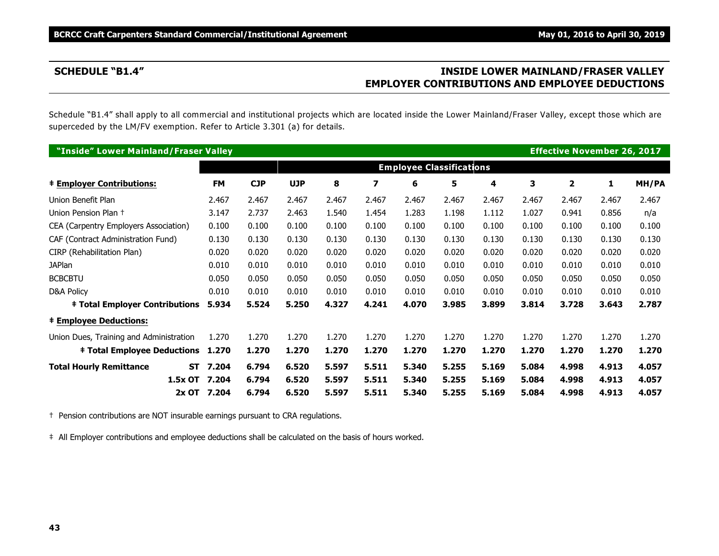# **SCHEDULE "B1.4" INSIDE LOWER MAINLAND/FRASER VALLEY EMPLOYER CONTRIBUTIONS AND EMPLOYEE DEDUCTIONS**

Schedule "B1.4" shall apply to all commercial and institutional projects which are located inside the Lower Mainland/Fraser Valley, except those which are superceded by the LM/FV exemption. Refer to Article 3.301 (a) for details.

| "Inside" Lower Mainland/Fraser Valley   |           |           |            |            |       |       |                                 |       |       |       | <b>Effective November 26, 2017</b> |       |       |
|-----------------------------------------|-----------|-----------|------------|------------|-------|-------|---------------------------------|-------|-------|-------|------------------------------------|-------|-------|
|                                         |           |           |            |            |       |       | <b>Employee Classifications</b> |       |       |       |                                    |       |       |
| <b>‡ Employer Contributions:</b>        |           | <b>FM</b> | <b>CJP</b> | <b>UJP</b> | 8     | 7     | 6                               | 5     | 4     | 3     | $\overline{2}$                     | 1     | MH/PA |
| Union Benefit Plan                      |           | 2.467     | 2.467      | 2.467      | 2.467 | 2.467 | 2.467                           | 2.467 | 2.467 | 2.467 | 2.467                              | 2.467 | 2.467 |
| Union Pension Plan +                    |           | 3.147     | 2.737      | 2.463      | 1.540 | 1.454 | 1.283                           | 1.198 | 1.112 | 1.027 | 0.941                              | 0.856 | n/a   |
| CEA (Carpentry Employers Association)   |           | 0.100     | 0.100      | 0.100      | 0.100 | 0.100 | 0.100                           | 0.100 | 0.100 | 0.100 | 0.100                              | 0.100 | 0.100 |
| CAF (Contract Administration Fund)      |           | 0.130     | 0.130      | 0.130      | 0.130 | 0.130 | 0.130                           | 0.130 | 0.130 | 0.130 | 0.130                              | 0.130 | 0.130 |
| CIRP (Rehabilitation Plan)              |           | 0.020     | 0.020      | 0.020      | 0.020 | 0.020 | 0.020                           | 0.020 | 0.020 | 0.020 | 0.020                              | 0.020 | 0.020 |
| <b>JAPlan</b>                           |           | 0.010     | 0.010      | 0.010      | 0.010 | 0.010 | 0.010                           | 0.010 | 0.010 | 0.010 | 0.010                              | 0.010 | 0.010 |
| <b>BCBCBTU</b>                          |           | 0.050     | 0.050      | 0.050      | 0.050 | 0.050 | 0.050                           | 0.050 | 0.050 | 0.050 | 0.050                              | 0.050 | 0.050 |
| D&A Policy                              |           | 0.010     | 0.010      | 0.010      | 0.010 | 0.010 | 0.010                           | 0.010 | 0.010 | 0.010 | 0.010                              | 0.010 | 0.010 |
| <b>‡ Total Employer Contributions</b>   |           | 5.934     | 5.524      | 5.250      | 4.327 | 4.241 | 4.070                           | 3.985 | 3.899 | 3.814 | 3.728                              | 3.643 | 2.787 |
| <b>‡ Employee Deductions:</b>           |           |           |            |            |       |       |                                 |       |       |       |                                    |       |       |
| Union Dues, Training and Administration |           | 1.270     | 1.270      | 1.270      | 1.270 | 1.270 | 1.270                           | 1.270 | 1.270 | 1.270 | 1.270                              | 1.270 | 1.270 |
| <b>‡ Total Employee Deductions</b>      |           | 1.270     | 1.270      | 1.270      | 1.270 | 1.270 | 1.270                           | 1.270 | 1.270 | 1.270 | 1.270                              | 1.270 | 1.270 |
| <b>Total Hourly Remittance</b>          | <b>ST</b> | 7.204     | 6.794      | 6.520      | 5.597 | 5.511 | 5.340                           | 5.255 | 5.169 | 5.084 | 4.998                              | 4.913 | 4.057 |
|                                         | 1.5x OT   | 7.204     | 6.794      | 6.520      | 5.597 | 5.511 | 5.340                           | 5.255 | 5.169 | 5.084 | 4.998                              | 4.913 | 4.057 |
|                                         | $2x$ OT   | 7.204     | 6.794      | 6.520      | 5.597 | 5.511 | 5.340                           | 5.255 | 5.169 | 5.084 | 4.998                              | 4.913 | 4.057 |

† Pension contributions are NOT insurable earnings pursuant to CRA regulations.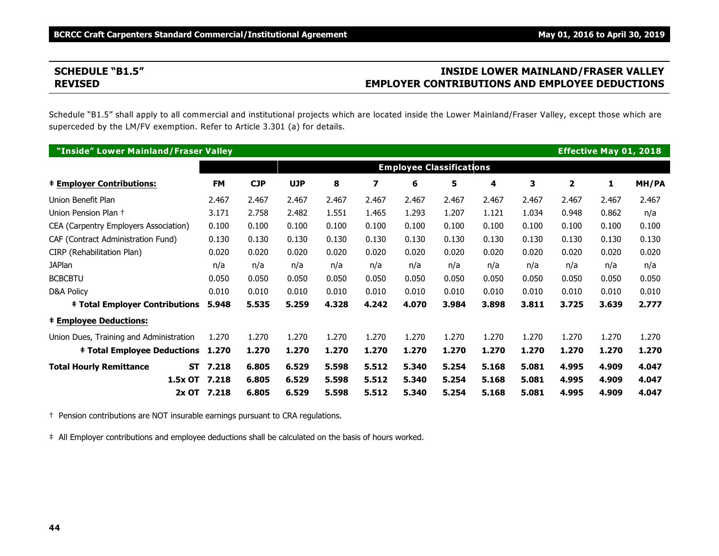# **SCHEDULE "B1.5" INSIDE LOWER MAINLAND/FRASER VALLEY REVISED EMPLOYER CONTRIBUTIONS AND EMPLOYEE DEDUCTIONS**

Schedule "B1.5" shall apply to all commercial and institutional projects which are located inside the Lower Mainland/Fraser Valley, except those which are superceded by the LM/FV exemption. Refer to Article 3.301 (a) for details.

| "Inside" Lower Mainland/Fraser Valley   |                    |            |            |       |       |                                 |       |       |       |                | <b>Effective May 01, 2018</b> |       |
|-----------------------------------------|--------------------|------------|------------|-------|-------|---------------------------------|-------|-------|-------|----------------|-------------------------------|-------|
|                                         |                    |            |            |       |       | <b>Employee Classifications</b> |       |       |       |                |                               |       |
| <b>‡ Employer Contributions:</b>        | <b>FM</b>          | <b>CJP</b> | <b>UJP</b> | 8     | 7     | 6                               | 5     | 4     | 3     | $\overline{2}$ | 1                             | MH/PA |
| Union Benefit Plan                      | 2.467              | 2.467      | 2.467      | 2.467 | 2.467 | 2.467                           | 2.467 | 2.467 | 2.467 | 2.467          | 2.467                         | 2.467 |
| Union Pension Plan +                    | 3.171              | 2.758      | 2.482      | 1.551 | 1.465 | 1.293                           | 1.207 | 1.121 | 1.034 | 0.948          | 0.862                         | n/a   |
| CEA (Carpentry Employers Association)   | 0.100              | 0.100      | 0.100      | 0.100 | 0.100 | 0.100                           | 0.100 | 0.100 | 0.100 | 0.100          | 0.100                         | 0.100 |
| CAF (Contract Administration Fund)      | 0.130              | 0.130      | 0.130      | 0.130 | 0.130 | 0.130                           | 0.130 | 0.130 | 0.130 | 0.130          | 0.130                         | 0.130 |
| CIRP (Rehabilitation Plan)              | 0.020              | 0.020      | 0.020      | 0.020 | 0.020 | 0.020                           | 0.020 | 0.020 | 0.020 | 0.020          | 0.020                         | 0.020 |
| <b>JAPlan</b>                           | n/a                | n/a        | n/a        | n/a   | n/a   | n/a                             | n/a   | n/a   | n/a   | n/a            | n/a                           | n/a   |
| <b>BCBCBTU</b>                          | 0.050              | 0.050      | 0.050      | 0.050 | 0.050 | 0.050                           | 0.050 | 0.050 | 0.050 | 0.050          | 0.050                         | 0.050 |
| <b>D&amp;A Policy</b>                   | 0.010              | 0.010      | 0.010      | 0.010 | 0.010 | 0.010                           | 0.010 | 0.010 | 0.010 | 0.010          | 0.010                         | 0.010 |
| <b>‡ Total Employer Contributions</b>   | 5.948              | 5.535      | 5.259      | 4.328 | 4.242 | 4.070                           | 3.984 | 3.898 | 3.811 | 3.725          | 3.639                         | 2.777 |
| <b>‡ Employee Deductions:</b>           |                    |            |            |       |       |                                 |       |       |       |                |                               |       |
| Union Dues, Training and Administration | 1.270              | 1.270      | 1.270      | 1.270 | 1.270 | 1.270                           | 1.270 | 1.270 | 1.270 | 1.270          | 1.270                         | 1.270 |
| <b>‡ Total Employee Deductions</b>      | 1.270              | 1.270      | 1.270      | 1.270 | 1.270 | 1.270                           | 1.270 | 1.270 | 1.270 | 1.270          | 1.270                         | 1.270 |
| <b>Total Hourly Remittance</b>          | 7.218<br><b>ST</b> | 6.805      | 6.529      | 5.598 | 5.512 | 5.340                           | 5.254 | 5.168 | 5.081 | 4.995          | 4.909                         | 4.047 |
| 1.5x OT                                 | 7.218              | 6.805      | 6.529      | 5.598 | 5.512 | 5.340                           | 5.254 | 5.168 | 5.081 | 4.995          | 4.909                         | 4.047 |
|                                         | 2x OT 7.218        | 6.805      | 6.529      | 5.598 | 5.512 | 5.340                           | 5.254 | 5.168 | 5.081 | 4.995          | 4.909                         | 4.047 |

† Pension contributions are NOT insurable earnings pursuant to CRA regulations.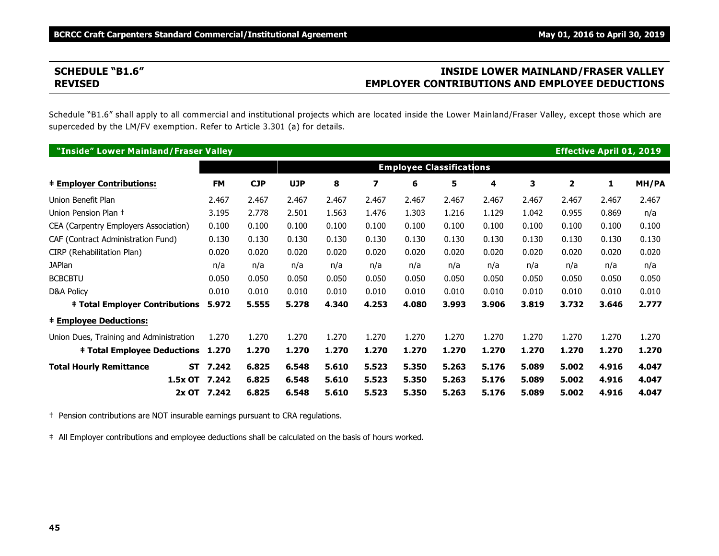# **SCHEDULE "B1.6" INSIDE LOWER MAINLAND/FRASER VALLEY REVISED EMPLOYER CONTRIBUTIONS AND EMPLOYEE DEDUCTIONS**

Schedule "B1.6" shall apply to all commercial and institutional projects which are located inside the Lower Mainland/Fraser Valley, except those which are superceded by the LM/FV exemption. Refer to Article 3.301 (a) for details.

| "Inside" Lower Mainland/Fraser Valley   |                    |            |            |       |       |                                 |       |       |       |                | <b>Effective April 01, 2019</b> |       |
|-----------------------------------------|--------------------|------------|------------|-------|-------|---------------------------------|-------|-------|-------|----------------|---------------------------------|-------|
|                                         |                    |            |            |       |       | <b>Employee Classifications</b> |       |       |       |                |                                 |       |
| <b>‡ Employer Contributions:</b>        | <b>FM</b>          | <b>CJP</b> | <b>UJP</b> | 8     | 7     | 6                               | 5     | 4     | 3     | $\overline{2}$ | 1                               | MH/PA |
| Union Benefit Plan                      | 2.467              | 2.467      | 2.467      | 2.467 | 2.467 | 2.467                           | 2.467 | 2.467 | 2.467 | 2.467          | 2.467                           | 2.467 |
| Union Pension Plan +                    | 3.195              | 2.778      | 2.501      | 1.563 | 1.476 | 1.303                           | 1.216 | 1.129 | 1.042 | 0.955          | 0.869                           | n/a   |
| CEA (Carpentry Employers Association)   | 0.100              | 0.100      | 0.100      | 0.100 | 0.100 | 0.100                           | 0.100 | 0.100 | 0.100 | 0.100          | 0.100                           | 0.100 |
| CAF (Contract Administration Fund)      | 0.130              | 0.130      | 0.130      | 0.130 | 0.130 | 0.130                           | 0.130 | 0.130 | 0.130 | 0.130          | 0.130                           | 0.130 |
| CIRP (Rehabilitation Plan)              | 0.020              | 0.020      | 0.020      | 0.020 | 0.020 | 0.020                           | 0.020 | 0.020 | 0.020 | 0.020          | 0.020                           | 0.020 |
| <b>JAPlan</b>                           | n/a                | n/a        | n/a        | n/a   | n/a   | n/a                             | n/a   | n/a   | n/a   | n/a            | n/a                             | n/a   |
| <b>BCBCBTU</b>                          | 0.050              | 0.050      | 0.050      | 0.050 | 0.050 | 0.050                           | 0.050 | 0.050 | 0.050 | 0.050          | 0.050                           | 0.050 |
| D&A Policy                              | 0.010              | 0.010      | 0.010      | 0.010 | 0.010 | 0.010                           | 0.010 | 0.010 | 0.010 | 0.010          | 0.010                           | 0.010 |
| <b>‡ Total Employer Contributions</b>   | 5.972              | 5.555      | 5.278      | 4.340 | 4.253 | 4.080                           | 3.993 | 3.906 | 3.819 | 3.732          | 3.646                           | 2.777 |
| <b>‡ Employee Deductions:</b>           |                    |            |            |       |       |                                 |       |       |       |                |                                 |       |
| Union Dues, Training and Administration | 1.270              | 1.270      | 1.270      | 1.270 | 1.270 | 1.270                           | 1.270 | 1.270 | 1.270 | 1.270          | 1.270                           | 1.270 |
| <b>‡ Total Employee Deductions</b>      | 1.270              | 1.270      | 1.270      | 1.270 | 1.270 | 1.270                           | 1.270 | 1.270 | 1.270 | 1.270          | 1.270                           | 1.270 |
| <b>Total Hourly Remittance</b>          | 7.242<br><b>ST</b> | 6.825      | 6.548      | 5.610 | 5.523 | 5.350                           | 5.263 | 5.176 | 5.089 | 5.002          | 4.916                           | 4.047 |
| 1.5x OT                                 | 7.242              | 6.825      | 6.548      | 5.610 | 5.523 | 5.350                           | 5.263 | 5.176 | 5.089 | 5.002          | 4.916                           | 4.047 |
|                                         | 2x OT 7.242        | 6.825      | 6.548      | 5.610 | 5.523 | 5.350                           | 5.263 | 5.176 | 5.089 | 5.002          | 4.916                           | 4.047 |

† Pension contributions are NOT insurable earnings pursuant to CRA regulations.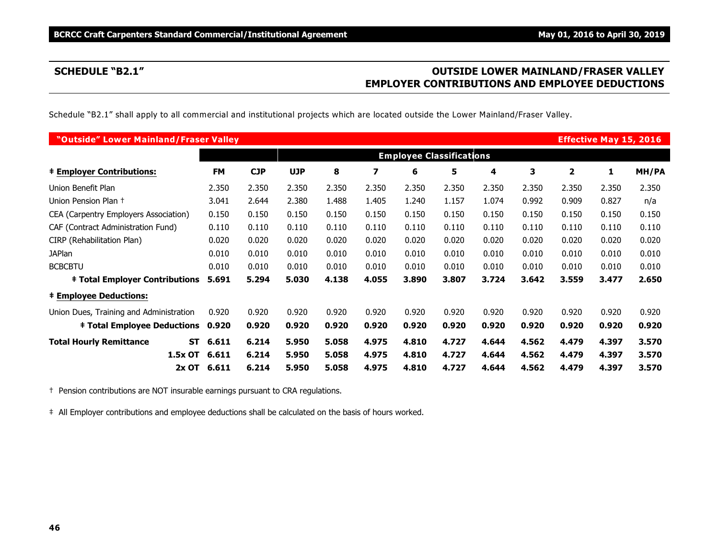# **SCHEDULE "B2.1" OUTSIDE LOWER MAINLAND/FRASER VALLEY EMPLOYER CONTRIBUTIONS AND EMPLOYEE DEDUCTIONS**

Schedule "B2.1" shall apply to all commercial and institutional projects which are located outside the Lower Mainland/Fraser Valley.

| "Outside" Lower Mainland/Fraser Valley  |                    |                                 |            |       |       |       |       |       |       |              | <b>Effective May 15, 2016</b> |       |
|-----------------------------------------|--------------------|---------------------------------|------------|-------|-------|-------|-------|-------|-------|--------------|-------------------------------|-------|
|                                         |                    | <b>Employee Classifications</b> |            |       |       |       |       |       |       |              |                               |       |
| <b>‡ Employer Contributions:</b>        | <b>FM</b>          | <b>CJP</b>                      | <b>UJP</b> | 8     | 7     | 6     | 5     | 4     | 3     | $\mathbf{2}$ | 1                             | MH/PA |
| Union Benefit Plan                      | 2.350              | 2.350                           | 2.350      | 2.350 | 2.350 | 2.350 | 2.350 | 2.350 | 2.350 | 2.350        | 2.350                         | 2.350 |
| Union Pension Plan +                    | 3.041              | 2.644                           | 2.380      | 1.488 | 1.405 | 1.240 | 1.157 | 1.074 | 0.992 | 0.909        | 0.827                         | n/a   |
| CEA (Carpentry Employers Association)   | 0.150              | 0.150                           | 0.150      | 0.150 | 0.150 | 0.150 | 0.150 | 0.150 | 0.150 | 0.150        | 0.150                         | 0.150 |
| CAF (Contract Administration Fund)      | 0.110              | 0.110                           | 0.110      | 0.110 | 0.110 | 0.110 | 0.110 | 0.110 | 0.110 | 0.110        | 0.110                         | 0.110 |
| CIRP (Rehabilitation Plan)              | 0.020              | 0.020                           | 0.020      | 0.020 | 0.020 | 0.020 | 0.020 | 0.020 | 0.020 | 0.020        | 0.020                         | 0.020 |
| <b>JAPlan</b>                           | 0.010              | 0.010                           | 0.010      | 0.010 | 0.010 | 0.010 | 0.010 | 0.010 | 0.010 | 0.010        | 0.010                         | 0.010 |
| <b>BCBCBTU</b>                          | 0.010              | 0.010                           | 0.010      | 0.010 | 0.010 | 0.010 | 0.010 | 0.010 | 0.010 | 0.010        | 0.010                         | 0.010 |
| <b>‡ Total Employer Contributions</b>   | 5.691              | 5.294                           | 5.030      | 4.138 | 4.055 | 3.890 | 3.807 | 3.724 | 3.642 | 3.559        | 3.477                         | 2.650 |
| <b>‡ Employee Deductions:</b>           |                    |                                 |            |       |       |       |       |       |       |              |                               |       |
| Union Dues, Training and Administration | 0.920              | 0.920                           | 0.920      | 0.920 | 0.920 | 0.920 | 0.920 | 0.920 | 0.920 | 0.920        | 0.920                         | 0.920 |
| <b>‡ Total Employee Deductions</b>      | 0.920              | 0.920                           | 0.920      | 0.920 | 0.920 | 0.920 | 0.920 | 0.920 | 0.920 | 0.920        | 0.920                         | 0.920 |
| <b>Total Hourly Remittance</b>          | 6.611<br><b>ST</b> | 6.214                           | 5.950      | 5.058 | 4.975 | 4.810 | 4.727 | 4.644 | 4.562 | 4.479        | 4.397                         | 3.570 |
| 1.5x OT                                 | 6.611              | 6.214                           | 5.950      | 5.058 | 4.975 | 4.810 | 4.727 | 4.644 | 4.562 | 4.479        | 4.397                         | 3.570 |
| $2x$ OT                                 | 6.611              | 6.214                           | 5.950      | 5.058 | 4.975 | 4.810 | 4.727 | 4.644 | 4.562 | 4.479        | 4.397                         | 3.570 |

† Pension contributions are NOT insurable earnings pursuant to CRA regulations.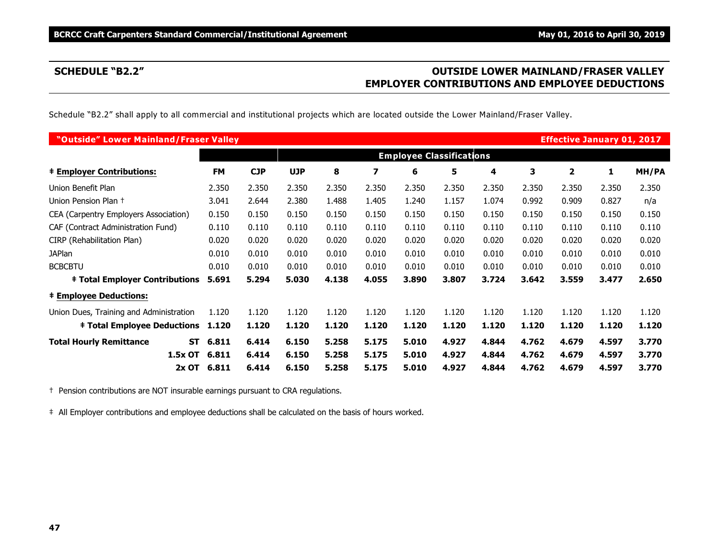# **SCHEDULE "B2.2" OUTSIDE LOWER MAINLAND/FRASER VALLEY EMPLOYER CONTRIBUTIONS AND EMPLOYEE DEDUCTIONS**

Schedule "B2.2" shall apply to all commercial and institutional projects which are located outside the Lower Mainland/Fraser Valley.

| "Outside" Lower Mainland/Fraser Valley      |           |                                 |            |       |       |       |       |       |       | <b>Effective January 01, 2017</b> |       |       |
|---------------------------------------------|-----------|---------------------------------|------------|-------|-------|-------|-------|-------|-------|-----------------------------------|-------|-------|
|                                             |           | <b>Employee Classifications</b> |            |       |       |       |       |       |       |                                   |       |       |
| <b>‡ Employer Contributions:</b>            | <b>FM</b> | <b>CJP</b>                      | <b>UJP</b> | 8     | 7     | 6     | 5     | 4     | 3     | $\overline{\mathbf{2}}$           | 1     | MH/PA |
| Union Benefit Plan                          | 2.350     | 2.350                           | 2.350      | 2.350 | 2.350 | 2.350 | 2.350 | 2.350 | 2.350 | 2.350                             | 2.350 | 2.350 |
| Union Pension Plan +                        | 3.041     | 2.644                           | 2.380      | 1.488 | 1.405 | 1.240 | 1.157 | 1.074 | 0.992 | 0.909                             | 0.827 | n/a   |
| CEA (Carpentry Employers Association)       | 0.150     | 0.150                           | 0.150      | 0.150 | 0.150 | 0.150 | 0.150 | 0.150 | 0.150 | 0.150                             | 0.150 | 0.150 |
| CAF (Contract Administration Fund)          | 0.110     | 0.110                           | 0.110      | 0.110 | 0.110 | 0.110 | 0.110 | 0.110 | 0.110 | 0.110                             | 0.110 | 0.110 |
| CIRP (Rehabilitation Plan)                  | 0.020     | 0.020                           | 0.020      | 0.020 | 0.020 | 0.020 | 0.020 | 0.020 | 0.020 | 0.020                             | 0.020 | 0.020 |
| <b>JAPlan</b>                               | 0.010     | 0.010                           | 0.010      | 0.010 | 0.010 | 0.010 | 0.010 | 0.010 | 0.010 | 0.010                             | 0.010 | 0.010 |
| <b>BCBCBTU</b>                              | 0.010     | 0.010                           | 0.010      | 0.010 | 0.010 | 0.010 | 0.010 | 0.010 | 0.010 | 0.010                             | 0.010 | 0.010 |
| <b>‡ Total Employer Contributions</b>       | 5.691     | 5.294                           | 5.030      | 4.138 | 4.055 | 3.890 | 3.807 | 3.724 | 3.642 | 3.559                             | 3.477 | 2.650 |
| <b>‡ Employee Deductions:</b>               |           |                                 |            |       |       |       |       |       |       |                                   |       |       |
| Union Dues, Training and Administration     | 1.120     | 1.120                           | 1.120      | 1.120 | 1.120 | 1.120 | 1.120 | 1.120 | 1.120 | 1.120                             | 1.120 | 1.120 |
| <b>‡ Total Employee Deductions</b>          | 1.120     | 1.120                           | 1.120      | 1.120 | 1.120 | 1.120 | 1.120 | 1.120 | 1.120 | 1.120                             | 1.120 | 1.120 |
| <b>Total Hourly Remittance</b><br><b>ST</b> | 6.811     | 6.414                           | 6.150      | 5.258 | 5.175 | 5.010 | 4.927 | 4.844 | 4.762 | 4.679                             | 4.597 | 3.770 |
| 1.5x OT                                     | 6.811     | 6.414                           | 6.150      | 5.258 | 5.175 | 5.010 | 4.927 | 4.844 | 4.762 | 4.679                             | 4.597 | 3.770 |
| 2x OT                                       | 6.811     | 6.414                           | 6.150      | 5.258 | 5.175 | 5.010 | 4.927 | 4.844 | 4.762 | 4.679                             | 4.597 | 3.770 |

† Pension contributions are NOT insurable earnings pursuant to CRA regulations.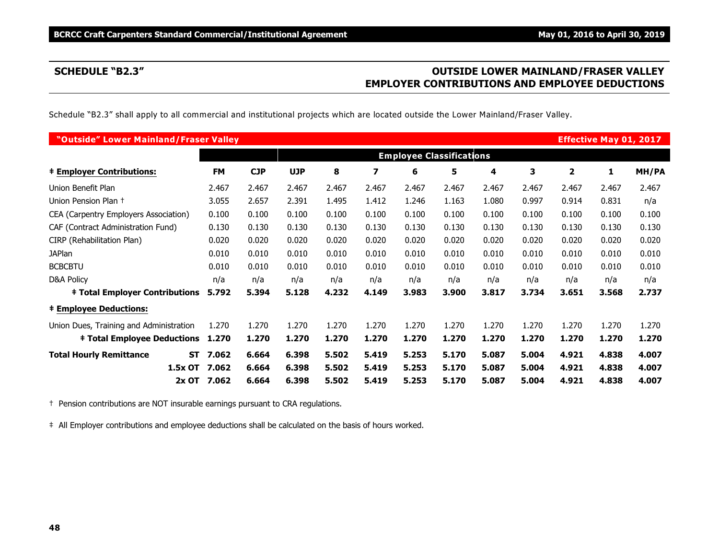# **SCHEDULE "B2.3" OUTSIDE LOWER MAINLAND/FRASER VALLEY EMPLOYER CONTRIBUTIONS AND EMPLOYEE DEDUCTIONS**

Schedule "B2.3" shall apply to all commercial and institutional projects which are located outside the Lower Mainland/Fraser Valley.

| "Outside" Lower Mainland/Fraser Valley  |           |             |            |            |       |       |                                 |       |       |       |       | <b>Effective May 01, 2017</b> |       |
|-----------------------------------------|-----------|-------------|------------|------------|-------|-------|---------------------------------|-------|-------|-------|-------|-------------------------------|-------|
|                                         |           |             |            |            |       |       | <b>Employee Classifications</b> |       |       |       |       |                               |       |
| <b>‡ Employer Contributions:</b>        |           | <b>FM</b>   | <b>CJP</b> | <b>UJP</b> | 8     | 7     | 6                               | 5     | 4     | 3     | 2     | 1                             | MH/PA |
| Union Benefit Plan                      |           | 2.467       | 2.467      | 2.467      | 2.467 | 2.467 | 2.467                           | 2.467 | 2.467 | 2.467 | 2.467 | 2.467                         | 2.467 |
| Union Pension Plan +                    |           | 3.055       | 2.657      | 2.391      | 1.495 | 1.412 | 1.246                           | 1.163 | 1.080 | 0.997 | 0.914 | 0.831                         | n/a   |
| CEA (Carpentry Employers Association)   |           | 0.100       | 0.100      | 0.100      | 0.100 | 0.100 | 0.100                           | 0.100 | 0.100 | 0.100 | 0.100 | 0.100                         | 0.100 |
| CAF (Contract Administration Fund)      |           | 0.130       | 0.130      | 0.130      | 0.130 | 0.130 | 0.130                           | 0.130 | 0.130 | 0.130 | 0.130 | 0.130                         | 0.130 |
| CIRP (Rehabilitation Plan)              |           | 0.020       | 0.020      | 0.020      | 0.020 | 0.020 | 0.020                           | 0.020 | 0.020 | 0.020 | 0.020 | 0.020                         | 0.020 |
| <b>JAPlan</b>                           |           | 0.010       | 0.010      | 0.010      | 0.010 | 0.010 | 0.010                           | 0.010 | 0.010 | 0.010 | 0.010 | 0.010                         | 0.010 |
| <b>BCBCBTU</b>                          |           | 0.010       | 0.010      | 0.010      | 0.010 | 0.010 | 0.010                           | 0.010 | 0.010 | 0.010 | 0.010 | 0.010                         | 0.010 |
| <b>D&amp;A Policy</b>                   |           | n/a         | n/a        | n/a        | n/a   | n/a   | n/a                             | n/a   | n/a   | n/a   | n/a   | n/a                           | n/a   |
| <b>‡ Total Employer Contributions</b>   |           | 5.792       | 5.394      | 5.128      | 4.232 | 4.149 | 3.983                           | 3.900 | 3.817 | 3.734 | 3.651 | 3.568                         | 2.737 |
| <b>‡ Employee Deductions:</b>           |           |             |            |            |       |       |                                 |       |       |       |       |                               |       |
| Union Dues, Training and Administration |           | 1.270       | 1.270      | 1.270      | 1.270 | 1.270 | 1.270                           | 1.270 | 1.270 | 1.270 | 1.270 | 1.270                         | 1.270 |
| <b>‡ Total Employee Deductions</b>      |           | 1.270       | 1.270      | 1.270      | 1.270 | 1.270 | 1.270                           | 1.270 | 1.270 | 1.270 | 1.270 | 1.270                         | 1.270 |
| <b>Total Hourly Remittance</b>          | <b>ST</b> | 7.062       | 6.664      | 6.398      | 5.502 | 5.419 | 5.253                           | 5.170 | 5.087 | 5.004 | 4.921 | 4.838                         | 4.007 |
|                                         | 1.5x OT   | 7.062       | 6.664      | 6.398      | 5.502 | 5.419 | 5.253                           | 5.170 | 5.087 | 5.004 | 4.921 | 4.838                         | 4.007 |
|                                         |           | 2x OT 7.062 | 6.664      | 6.398      | 5.502 | 5.419 | 5.253                           | 5.170 | 5.087 | 5.004 | 4.921 | 4.838                         | 4.007 |

† Pension contributions are NOT insurable earnings pursuant to CRA regulations.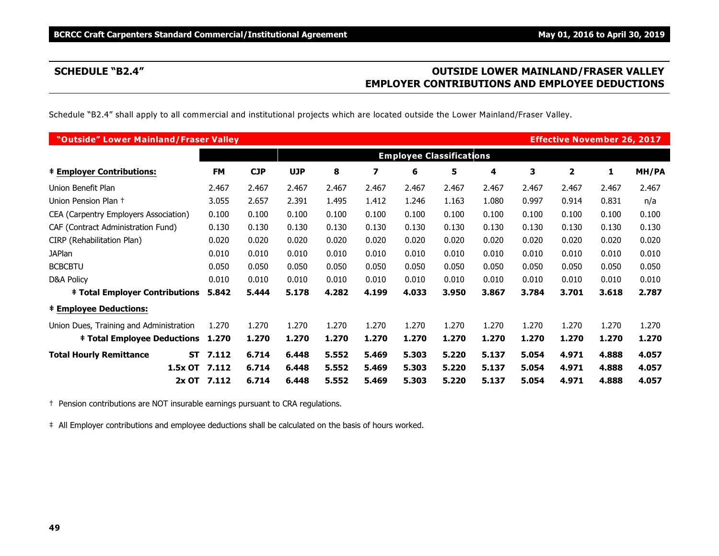# **SCHEDULE "B2.4" OUTSIDE LOWER MAINLAND/FRASER VALLEY EMPLOYER CONTRIBUTIONS AND EMPLOYEE DEDUCTIONS**

Schedule "B2.4" shall apply to all commercial and institutional projects which are located outside the Lower Mainland/Fraser Valley.

| "Outside" Lower Mainland/Fraser Valley  |           |             |                                 |            |       |       |       |       |       |       | <b>Effective November 26, 2017</b> |       |       |
|-----------------------------------------|-----------|-------------|---------------------------------|------------|-------|-------|-------|-------|-------|-------|------------------------------------|-------|-------|
|                                         |           |             | <b>Employee Classifications</b> |            |       |       |       |       |       |       |                                    |       |       |
| <b>‡ Employer Contributions:</b>        |           | <b>FM</b>   | <b>CJP</b>                      | <b>UJP</b> | 8     | 7     | 6     | 5     | 4     | 3     | $\overline{\mathbf{2}}$            | 1     | MH/PA |
| Union Benefit Plan                      |           | 2.467       | 2.467                           | 2.467      | 2.467 | 2.467 | 2.467 | 2.467 | 2.467 | 2.467 | 2.467                              | 2.467 | 2.467 |
| Union Pension Plan +                    |           | 3.055       | 2.657                           | 2.391      | 1.495 | 1.412 | 1.246 | 1.163 | 1.080 | 0.997 | 0.914                              | 0.831 | n/a   |
| CEA (Carpentry Employers Association)   |           | 0.100       | 0.100                           | 0.100      | 0.100 | 0.100 | 0.100 | 0.100 | 0.100 | 0.100 | 0.100                              | 0.100 | 0.100 |
| CAF (Contract Administration Fund)      |           | 0.130       | 0.130                           | 0.130      | 0.130 | 0.130 | 0.130 | 0.130 | 0.130 | 0.130 | 0.130                              | 0.130 | 0.130 |
| CIRP (Rehabilitation Plan)              |           | 0.020       | 0.020                           | 0.020      | 0.020 | 0.020 | 0.020 | 0.020 | 0.020 | 0.020 | 0.020                              | 0.020 | 0.020 |
| <b>JAPlan</b>                           |           | 0.010       | 0.010                           | 0.010      | 0.010 | 0.010 | 0.010 | 0.010 | 0.010 | 0.010 | 0.010                              | 0.010 | 0.010 |
| <b>BCBCBTU</b>                          |           | 0.050       | 0.050                           | 0.050      | 0.050 | 0.050 | 0.050 | 0.050 | 0.050 | 0.050 | 0.050                              | 0.050 | 0.050 |
| <b>D&amp;A Policy</b>                   |           | 0.010       | 0.010                           | 0.010      | 0.010 | 0.010 | 0.010 | 0.010 | 0.010 | 0.010 | 0.010                              | 0.010 | 0.010 |
| <b>‡ Total Employer Contributions</b>   |           | 5.842       | 5.444                           | 5.178      | 4.282 | 4.199 | 4.033 | 3.950 | 3.867 | 3.784 | 3.701                              | 3.618 | 2.787 |
| <b>‡ Employee Deductions:</b>           |           |             |                                 |            |       |       |       |       |       |       |                                    |       |       |
| Union Dues, Training and Administration |           | 1.270       | 1.270                           | 1.270      | 1.270 | 1.270 | 1.270 | 1.270 | 1.270 | 1.270 | 1.270                              | 1.270 | 1.270 |
| <b>‡ Total Employee Deductions</b>      |           | 1.270       | 1.270                           | 1.270      | 1.270 | 1.270 | 1.270 | 1.270 | 1.270 | 1.270 | 1.270                              | 1.270 | 1.270 |
| <b>Total Hourly Remittance</b>          | <b>ST</b> | 7.112       | 6.714                           | 6.448      | 5.552 | 5.469 | 5.303 | 5.220 | 5.137 | 5.054 | 4.971                              | 4.888 | 4.057 |
|                                         | 1.5x OT   | 7.112       | 6.714                           | 6.448      | 5.552 | 5.469 | 5.303 | 5.220 | 5.137 | 5.054 | 4.971                              | 4.888 | 4.057 |
|                                         |           | 2x OT 7.112 | 6.714                           | 6.448      | 5.552 | 5.469 | 5.303 | 5.220 | 5.137 | 5.054 | 4.971                              | 4.888 | 4.057 |

† Pension contributions are NOT insurable earnings pursuant to CRA regulations.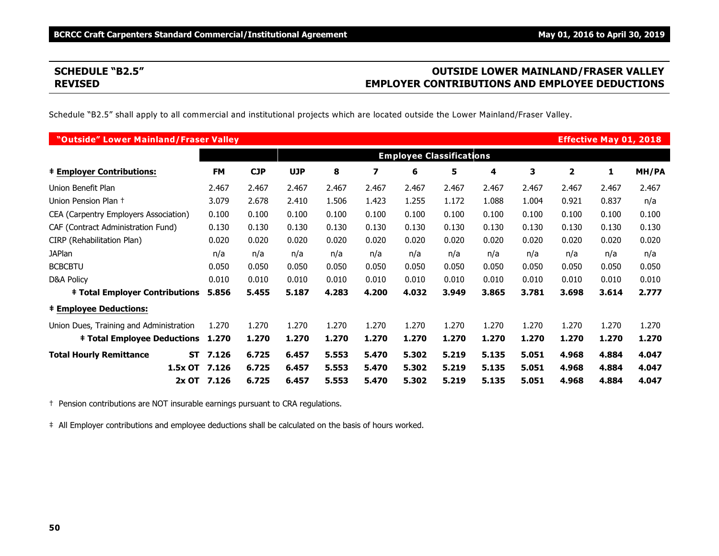# **SCHEDULE "B2.5" OUTSIDE LOWER MAINLAND/FRASER VALLEY REVISED EMPLOYER CONTRIBUTIONS AND EMPLOYEE DEDUCTIONS**

Schedule "B2.5" shall apply to all commercial and institutional projects which are located outside the Lower Mainland/Fraser Valley.

| "Outside" Lower Mainland/Fraser Valley      |             |            |            |       |       |                                 |       |       |       |       | <b>Effective May 01, 2018</b> |       |
|---------------------------------------------|-------------|------------|------------|-------|-------|---------------------------------|-------|-------|-------|-------|-------------------------------|-------|
|                                             |             |            |            |       |       | <b>Employee Classifications</b> |       |       |       |       |                               |       |
| <b>‡ Employer Contributions:</b>            | <b>FM</b>   | <b>CJP</b> | <b>UJP</b> | 8     | 7     | 6                               | 5     | 4     | 3     | 2     | 1                             | MH/PA |
| Union Benefit Plan                          | 2.467       | 2.467      | 2.467      | 2.467 | 2.467 | 2.467                           | 2.467 | 2.467 | 2.467 | 2.467 | 2.467                         | 2.467 |
| Union Pension Plan +                        | 3.079       | 2.678      | 2.410      | 1.506 | 1.423 | 1.255                           | 1.172 | 1.088 | 1.004 | 0.921 | 0.837                         | n/a   |
| CEA (Carpentry Employers Association)       | 0.100       | 0.100      | 0.100      | 0.100 | 0.100 | 0.100                           | 0.100 | 0.100 | 0.100 | 0.100 | 0.100                         | 0.100 |
| CAF (Contract Administration Fund)          | 0.130       | 0.130      | 0.130      | 0.130 | 0.130 | 0.130                           | 0.130 | 0.130 | 0.130 | 0.130 | 0.130                         | 0.130 |
| CIRP (Rehabilitation Plan)                  | 0.020       | 0.020      | 0.020      | 0.020 | 0.020 | 0.020                           | 0.020 | 0.020 | 0.020 | 0.020 | 0.020                         | 0.020 |
| <b>JAPlan</b>                               | n/a         | n/a        | n/a        | n/a   | n/a   | n/a                             | n/a   | n/a   | n/a   | n/a   | n/a                           | n/a   |
| <b>BCBCBTU</b>                              | 0.050       | 0.050      | 0.050      | 0.050 | 0.050 | 0.050                           | 0.050 | 0.050 | 0.050 | 0.050 | 0.050                         | 0.050 |
| <b>D&amp;A Policy</b>                       | 0.010       | 0.010      | 0.010      | 0.010 | 0.010 | 0.010                           | 0.010 | 0.010 | 0.010 | 0.010 | 0.010                         | 0.010 |
| <b>‡ Total Employer Contributions</b>       | 5.856       | 5.455      | 5.187      | 4.283 | 4.200 | 4.032                           | 3.949 | 3.865 | 3.781 | 3.698 | 3.614                         | 2.777 |
| <b>‡ Employee Deductions:</b>               |             |            |            |       |       |                                 |       |       |       |       |                               |       |
| Union Dues, Training and Administration     | 1.270       | 1.270      | 1.270      | 1.270 | 1.270 | 1.270                           | 1.270 | 1.270 | 1.270 | 1.270 | 1.270                         | 1.270 |
| <b>‡ Total Employee Deductions</b>          | 1.270       | 1.270      | 1.270      | 1.270 | 1.270 | 1.270                           | 1.270 | 1.270 | 1.270 | 1.270 | 1.270                         | 1.270 |
| <b>Total Hourly Remittance</b><br><b>ST</b> | 7.126       | 6.725      | 6.457      | 5.553 | 5.470 | 5.302                           | 5.219 | 5.135 | 5.051 | 4.968 | 4.884                         | 4.047 |
| 1.5x OT                                     | 7.126       | 6.725      | 6.457      | 5.553 | 5.470 | 5.302                           | 5.219 | 5.135 | 5.051 | 4.968 | 4.884                         | 4.047 |
|                                             | 2x OT 7.126 | 6.725      | 6.457      | 5.553 | 5.470 | 5.302                           | 5.219 | 5.135 | 5.051 | 4.968 | 4.884                         | 4.047 |

† Pension contributions are NOT insurable earnings pursuant to CRA regulations.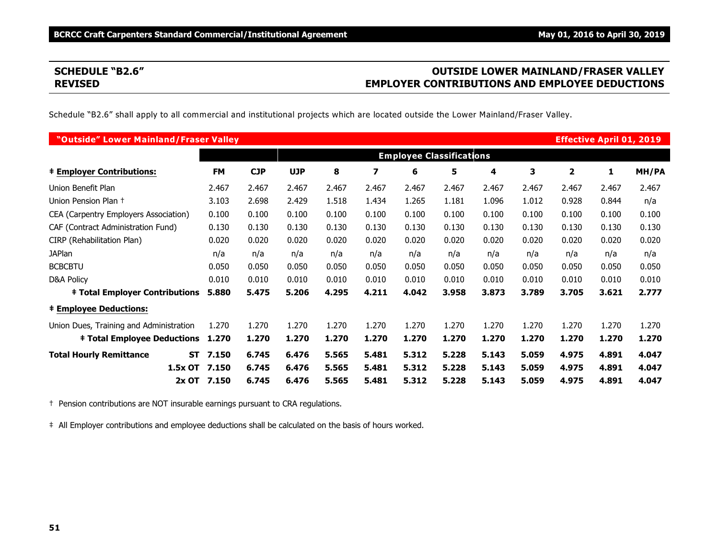# **SCHEDULE "B2.6" OUTSIDE LOWER MAINLAND/FRASER VALLEY REVISED EMPLOYER CONTRIBUTIONS AND EMPLOYEE DEDUCTIONS**

Schedule "B2.6" shall apply to all commercial and institutional projects which are located outside the Lower Mainland/Fraser Valley.

| "Outside" Lower Mainland/Fraser Valley  |                    |            |            |       |       |                                 |       |       |       |                         | <b>Effective April 01, 2019</b> |       |
|-----------------------------------------|--------------------|------------|------------|-------|-------|---------------------------------|-------|-------|-------|-------------------------|---------------------------------|-------|
|                                         |                    |            |            |       |       | <b>Employee Classifications</b> |       |       |       |                         |                                 |       |
| <b># Employer Contributions:</b>        | <b>FM</b>          | <b>CJP</b> | <b>UJP</b> | 8     | 7     | 6                               | 5     | 4     | 3     | $\overline{\mathbf{2}}$ | 1                               | MH/PA |
| Union Benefit Plan                      | 2.467              | 2.467      | 2.467      | 2.467 | 2.467 | 2.467                           | 2.467 | 2.467 | 2.467 | 2.467                   | 2.467                           | 2.467 |
| Union Pension Plan +                    | 3.103              | 2.698      | 2.429      | 1.518 | 1.434 | 1.265                           | 1.181 | 1.096 | 1.012 | 0.928                   | 0.844                           | n/a   |
| CEA (Carpentry Employers Association)   | 0.100              | 0.100      | 0.100      | 0.100 | 0.100 | 0.100                           | 0.100 | 0.100 | 0.100 | 0.100                   | 0.100                           | 0.100 |
| CAF (Contract Administration Fund)      | 0.130              | 0.130      | 0.130      | 0.130 | 0.130 | 0.130                           | 0.130 | 0.130 | 0.130 | 0.130                   | 0.130                           | 0.130 |
| CIRP (Rehabilitation Plan)              | 0.020              | 0.020      | 0.020      | 0.020 | 0.020 | 0.020                           | 0.020 | 0.020 | 0.020 | 0.020                   | 0.020                           | 0.020 |
| <b>JAPlan</b>                           | n/a                | n/a        | n/a        | n/a   | n/a   | n/a                             | n/a   | n/a   | n/a   | n/a                     | n/a                             | n/a   |
| <b>BCBCBTU</b>                          | 0.050              | 0.050      | 0.050      | 0.050 | 0.050 | 0.050                           | 0.050 | 0.050 | 0.050 | 0.050                   | 0.050                           | 0.050 |
| D&A Policy                              | 0.010              | 0.010      | 0.010      | 0.010 | 0.010 | 0.010                           | 0.010 | 0.010 | 0.010 | 0.010                   | 0.010                           | 0.010 |
| <b>‡ Total Employer Contributions</b>   | 5.880              | 5.475      | 5.206      | 4.295 | 4.211 | 4.042                           | 3.958 | 3.873 | 3.789 | 3.705                   | 3.621                           | 2.777 |
| <b>‡ Employee Deductions:</b>           |                    |            |            |       |       |                                 |       |       |       |                         |                                 |       |
| Union Dues, Training and Administration | 1.270              | 1.270      | 1.270      | 1.270 | 1.270 | 1.270                           | 1.270 | 1.270 | 1.270 | 1.270                   | 1.270                           | 1.270 |
| <b>‡ Total Employee Deductions</b>      | 1.270              | 1.270      | 1.270      | 1.270 | 1.270 | 1.270                           | 1.270 | 1.270 | 1.270 | 1.270                   | 1.270                           | 1.270 |
| <b>Total Hourly Remittance</b>          | <b>ST</b><br>7.150 | 6.745      | 6.476      | 5.565 | 5.481 | 5.312                           | 5.228 | 5.143 | 5.059 | 4.975                   | 4.891                           | 4.047 |
|                                         | 1.5x OT<br>7.150   | 6.745      | 6.476      | 5.565 | 5.481 | 5.312                           | 5.228 | 5.143 | 5.059 | 4.975                   | 4.891                           | 4.047 |
|                                         | 2x OT 7.150        | 6.745      | 6.476      | 5.565 | 5.481 | 5.312                           | 5.228 | 5.143 | 5.059 | 4.975                   | 4.891                           | 4.047 |

† Pension contributions are NOT insurable earnings pursuant to CRA regulations.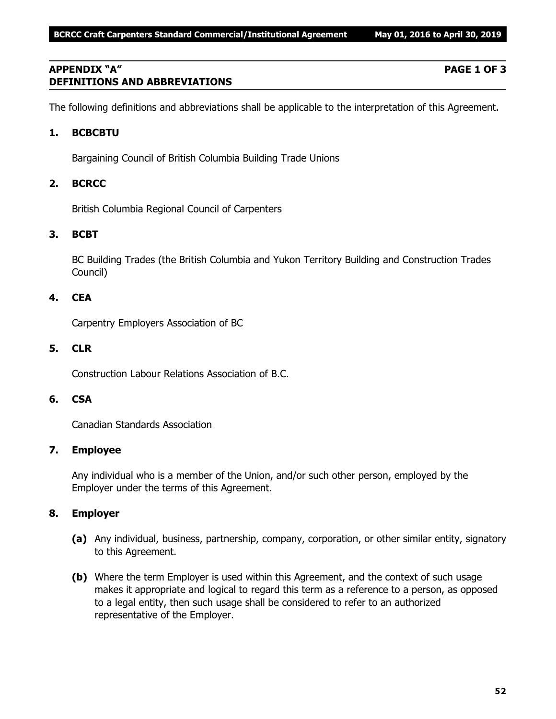# **APPENDIX "A" PAGE 1 OF 3 DEFINITIONS AND ABBREVIATIONS**

The following definitions and abbreviations shall be applicable to the interpretation of this Agreement.

# **1. BCBCBTU**

Bargaining Council of British Columbia Building Trade Unions

# **2. BCRCC**

British Columbia Regional Council of Carpenters

# **3. BCBT**

BC Building Trades (the British Columbia and Yukon Territory Building and Construction Trades Council)

# **4. CEA**

Carpentry Employers Association of BC

# **5. CLR**

Construction Labour Relations Association of B.C.

# **6. CSA**

Canadian Standards Association

# **7. Employee**

Any individual who is a member of the Union, and/or such other person, employed by the Employer under the terms of this Agreement.

# **8. Employer**

- **(a)** Any individual, business, partnership, company, corporation, or other similar entity, signatory to this Agreement.
- **(b)** Where the term Employer is used within this Agreement, and the context of such usage makes it appropriate and logical to regard this term as a reference to a person, as opposed to a legal entity, then such usage shall be considered to refer to an authorized representative of the Employer.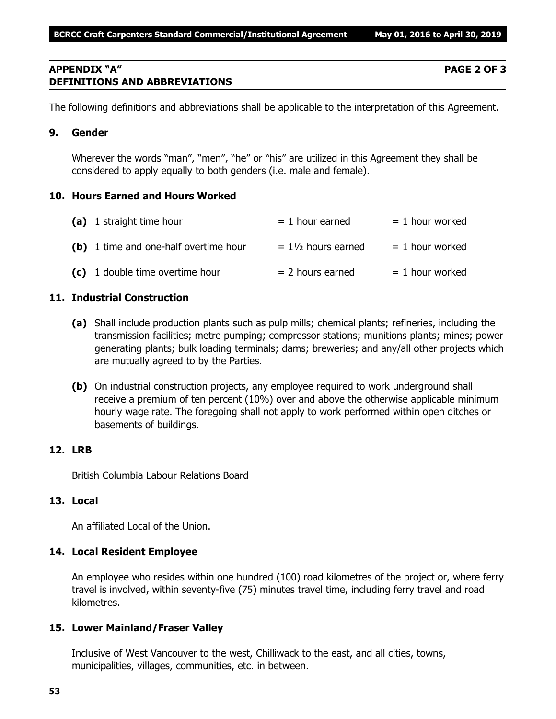# **APPENDIX "A" PAGE 2 OF 3 DEFINITIONS AND ABBREVIATIONS**

The following definitions and abbreviations shall be applicable to the interpretation of this Agreement.

# **9. Gender**

Wherever the words "man", "men", "he" or "his" are utilized in this Agreement they shall be considered to apply equally to both genders (i.e. male and female).

# **10. Hours Earned and Hours Worked**

| (a) 1 straight time hour              | $= 1$ hour earned             | $= 1$ hour worked |
|---------------------------------------|-------------------------------|-------------------|
| (b) 1 time and one-half overtime hour | $= 1\frac{1}{2}$ hours earned | $= 1$ hour worked |
| (c) 1 double time overtime hour       | $= 2$ hours earned            | $= 1$ hour worked |

# **11. Industrial Construction**

- **(a)** Shall include production plants such as pulp mills; chemical plants; refineries, including the transmission facilities; metre pumping; compressor stations; munitions plants; mines; power generating plants; bulk loading terminals; dams; breweries; and any/all other projects which are mutually agreed to by the Parties.
- **(b)** On industrial construction projects, any employee required to work underground shall receive a premium of ten percent (10%) over and above the otherwise applicable minimum hourly wage rate. The foregoing shall not apply to work performed within open ditches or basements of buildings.

# **12. LRB**

British Columbia Labour Relations Board

# **13. Local**

An affiliated Local of the Union.

# **14. Local Resident Employee**

An employee who resides within one hundred (100) road kilometres of the project or, where ferry travel is involved, within seventy-five (75) minutes travel time, including ferry travel and road kilometres.

# **15. Lower Mainland/Fraser Valley**

Inclusive of West Vancouver to the west, Chilliwack to the east, and all cities, towns, municipalities, villages, communities, etc. in between.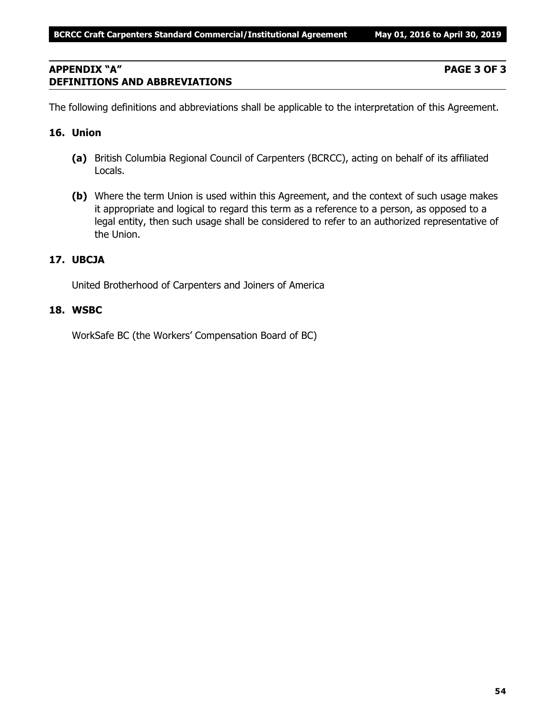# **APPENDIX "A" PAGE 3 OF 3 DEFINITIONS AND ABBREVIATIONS**

The following definitions and abbreviations shall be applicable to the interpretation of this Agreement.

# **16. Union**

- **(a)** British Columbia Regional Council of Carpenters (BCRCC), acting on behalf of its affiliated Locals.
- **(b)** Where the term Union is used within this Agreement, and the context of such usage makes it appropriate and logical to regard this term as a reference to a person, as opposed to a legal entity, then such usage shall be considered to refer to an authorized representative of the Union.

# **17. UBCJA**

United Brotherhood of Carpenters and Joiners of America

# **18. WSBC**

WorkSafe BC (the Workers' Compensation Board of BC)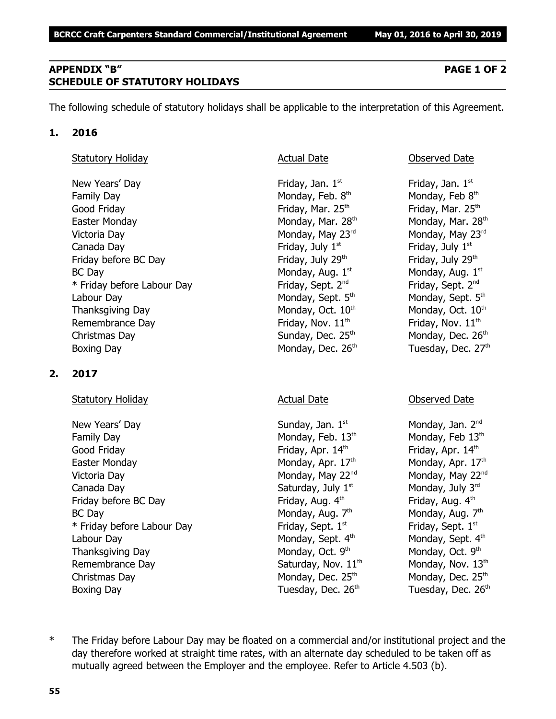# **APPENDIX "B" PAGE 1 OF 2 SCHEDULE OF STATUTORY HOLIDAYS**

The following schedule of statutory holidays shall be applicable to the interpretation of this Agreement.

# **1. 2016**

# Statutory Holiday **Actual Date Actual Date Conserved Date Observed Date**

New Years' Day **Friday**, Jan. 1<sup>st</sup> Family Day **Monday, Feb. 8th** Monday, Feb. 8th Good Friday **Friday** Friday, Mar. 25<sup>th</sup> Friday, Mar. 25<sup>th</sup> Friday, Mar. 25<sup>th</sup> Easter Monday Monday, Mar. 28<sup>th</sup> Monday, Mar. 28<sup>th</sup> Monday, Mar. 28<sup>th</sup> Victoria Day **Monday, May 23<sup>rd</sup>** Monday, May 23<sup>rd</sup> Monday, May 23<sup>rd</sup> Canada Day **Friday, July 1<sup>st</sup>** Friday, July 1<sup>st</sup> Friday, July 1<sup>st</sup> Friday before BC Day  $Friday$ , July 29<sup>th</sup> Friday, July 29<sup>th</sup>  $BC$  Day Monday, Aug.  $1<sup>st</sup>$ \* Friday before Labour Day Friday, Sept. 2<sup>nd</sup> Labour Day Monday, Sept. 5<sup>th</sup> Monday, Sept. 5<sup>th</sup> Monday, Sept. 5<sup>th</sup> Thanksgiving Day Monday, Oct.  $10<sup>th</sup>$  Monday, Oct.  $10<sup>th</sup>$  Monday, Oct.  $10<sup>th</sup>$ Remembrance Day  $\qquad \qquad$  Friday, Nov.  $11^{\text{th}}$  Friday, Nov.  $11^{\text{th}}$ Christmas Day  $S$ unday, Dec. 25<sup>th</sup> Monday, Dec. 26<sup>th</sup> Boxing Day Monday, Dec. 26<sup>th</sup> Tuesday, Dec. 27<sup>th</sup>

# **2. 2017**

# Statutory Holiday **Actual Date** Actual Date **Conserved Date** Observed Date

New Years' Day North Sunday, Jan. 1<sup>st</sup> Monday, Jan. 2<sup>nd</sup> Monday, Jan. 2<sup>nd</sup> Family Day Monday, Feb.  $13<sup>th</sup>$  Monday, Feb  $13<sup>th</sup>$  Monday, Feb  $13<sup>th</sup>$ Good Friday **Friday**, Apr. 14<sup>th</sup> Friday, Apr. 14<sup>th</sup> Friday, Apr. 14<sup>th</sup> Easter Monday **Monday, Apr. 17<sup>th</sup> Monday, Apr. 17<sup>th</sup> Monday, Apr. 17<sup>th</sup>** Victoria Day **Monday, May 22<sup>nd</sup> Monday, May 22<sup>nd</sup> Monday, May 22<sup>nd</sup> Monday, May 22<sup>nd</sup>** Canada Day Saturday, July  $1^{\text{st}}$  Monday, July  $3^{\text{rd}}$ Friday before BC Day **Friday, Aug. 4<sup>th</sup> Friday, Aug. 4<sup>th</sup> Friday, Aug. 4<sup>th</sup>** BC Day Monday, Aug. 7<sup>th</sup>  $*$  Friday before Labour Day Friday, Sept.  $1<sup>st</sup>$ Labour Day Monday, Sept. 4<sup>th</sup> Monday, Sept. 4<sup>th</sup> Monday, Sept. 4<sup>th</sup> Thanksgiving Day Monday, Oct. 9th Remembrance Day  $Saturday$ , Nov.  $11<sup>th</sup>$  Monday, Nov.  $13<sup>th</sup>$ Christmas Day  $M$ onday, Dec. 25<sup>th</sup> Monday, Dec. 25<sup>th</sup> Monday, Dec. 25<sup>th</sup> Boxing Day **Bridge Community Community** Tuesday, Dec. 26<sup>th</sup> Tuesday, Dec. 26<sup>th</sup>

Friday, Jan.  $1<sup>st</sup>$ Monday, Feb 8th Monday, Aug. 1st Friday, Sept. 2<sup>nd</sup>

Monday, Aug.  $7<sup>th</sup>$ Friday, Sept. 1st Monday, Oct. 9th

\* The Friday before Labour Day may be floated on a commercial and/or institutional project and the day therefore worked at straight time rates, with an alternate day scheduled to be taken off as mutually agreed between the Employer and the employee. Refer to Article 4.503 (b).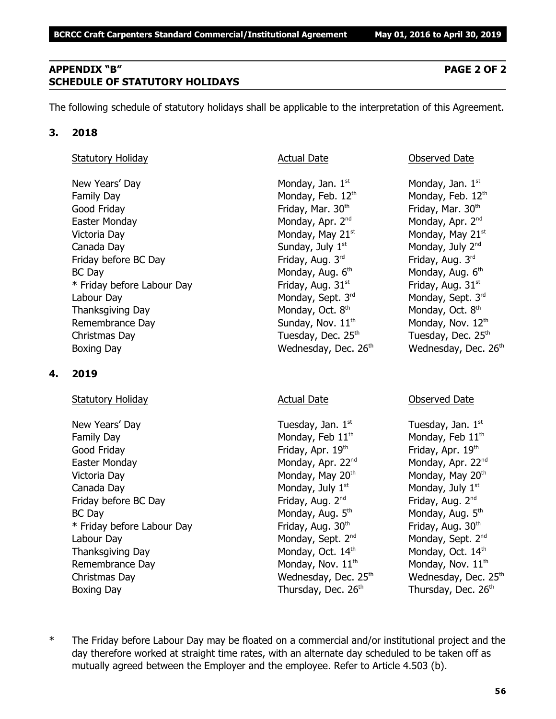# **APPENDIX "B" PAGE 2 OF 2 SCHEDULE OF STATUTORY HOLIDAYS**

The following schedule of statutory holidays shall be applicable to the interpretation of this Agreement.

# **3. 2018**

# Statutory Holiday **Actual Date Actual Date Observed Date Observed Date**

New Years' Day  $\blacksquare$  Monday, Jan. 1st  $\blacksquare$  Monday, Jan. 1st structure  $\blacksquare$  Monday, Jan. 1st Family Day Monday, Feb. 12<sup>th</sup> Monday, Feb. 12<sup>th</sup> Monday, Feb. 12<sup>th</sup> Good Friday **Friday**, Mar. 30<sup>th</sup> Friday, Mar. 30<sup>th</sup> Friday, Mar. 30<sup>th</sup> Easter Monday **Monday, Apr. 2<sup>nd</sup> Monday, Apr. 2<sup>nd</sup> Monday, Apr. 2<sup>nd</sup> Monday, Apr. 2<sup>nd</sup>** Victoria Day **Monday, May 21**<sup>st</sup> Monday, May 21<sup>st</sup> Monday, May 21<sup>st</sup> Canada Day  $\sim$  Sunday, July 1<sup>st</sup>  $\sim$  Monday, July 2<sup>nd</sup> Friday before BC Day Friday, Aug. 3<sup>rd</sup> Friday, Aug. 3<sup>rd</sup> Friday, Aug. 3<sup>rd</sup> Friday, Aug. 3<sup>rd</sup>  $BC$  Day Monday, Aug.  $6<sup>th</sup>$ \* Friday before Labour Day Friday, Aug. 31 $^{\rm st}$  Friday, Aug. 31 $^{\rm st}$  Friday, Aug. 31 $^{\rm st}$ Labour Day Monday, Sept. 3<sup>rd</sup> Monday, Sept. 3<sup>rd</sup> Monday, Sept. 3<sup>rd</sup> Rept. 3<sup>rd</sup> Rept. 3<sup>rd</sup> Thanksgiving Day Monday, Oct. 8<sup>th</sup> Remembrance Day  $Sunday, Nov. 11<sup>th</sup>$  Monday, Nov.  $12<sup>th</sup>$ Christmas Day  $\qquad \qquad$  Tuesday, Dec. 25<sup>th</sup>  $\qquad \qquad$  Tuesday, Dec. 25<sup>th</sup> Boxing Day **Bridge Community Community** Wednesday, Dec. 26<sup>th</sup> Wednesday, Dec. 26<sup>th</sup>

# **4. 2019**

# Statutory Holiday **Actual Date** Actual Date **Conserved Date** Observed Date

New Years' Day  $\qquad \qquad$  Tuesday, Jan.  $1^{st}$  Tuesday, Jan.  $1^{st}$ Family Day Monday, Feb  $11<sup>th</sup>$  Monday, Feb  $11<sup>th</sup>$ Good Friday **Friday, Apr. 19th Friday, Apr. 19th 19th** Friday, Apr. 19th the three states of the three states of the three states of the three states of the three states of the three states of the three states of the three Easter Monday **Monday, Apr. 22<sup>nd</sup> Monday, Apr. 22**<sup>nd</sup> Monday, Apr. 22<sup>nd</sup> Victoria Day **Monday, May 20<sup>th</sup> Monday, May 20<sup>th</sup> Monday, May 20<sup>th</sup> Monday, May 20<sup>th</sup>** Canada Day  $\qquad \qquad \qquad \qquad$  Monday, July 1st structure  $\qquad$  Monday, July 1st structure  $\qquad$ Friday before BC Day Friday, Aug. 2<sup>nd</sup> Friday, Aug. 2<sup>nd</sup> Friday, Aug. 2<sup>nd</sup> Friday, Aug. 2<sup>nd</sup> BC Day Monday, Aug. 5<sup>th</sup>  $*$  Friday before Labour Day Friday, Aug. 30<sup>th</sup> Friday, Aug. 30<sup>th</sup> Friday, Aug. 30<sup>th</sup> Labour Day Monday, Sept. 2<sup>nd</sup> Monday, Sept. 2<sup>nd</sup> Monday, Sept. 2<sup>nd</sup> Thanksgiving Day Monday, Oct.  $14<sup>th</sup>$  Monday, Oct.  $14<sup>th</sup>$  Monday, Oct.  $14<sup>th</sup>$ Remembrance Day  $M$ onday, Nov.  $11<sup>th</sup>$  Monday, Nov.  $11<sup>th</sup>$ Christmas Day **Mathem Christmas Day Christmas Day Christmas Day Christmas Day Area** Wednesday, Dec. 25<sup>th</sup> Boxing Day Thursday, Dec. 26<sup>th</sup> Thursday, Dec. 26<sup>th</sup> Thursday, Dec. 26<sup>th</sup>

Monday, Aug. 6th Monday, Oct. 8th

Monday, Aug.  $5<sup>th</sup>$ 

\* The Friday before Labour Day may be floated on a commercial and/or institutional project and the day therefore worked at straight time rates, with an alternate day scheduled to be taken off as mutually agreed between the Employer and the employee. Refer to Article 4.503 (b).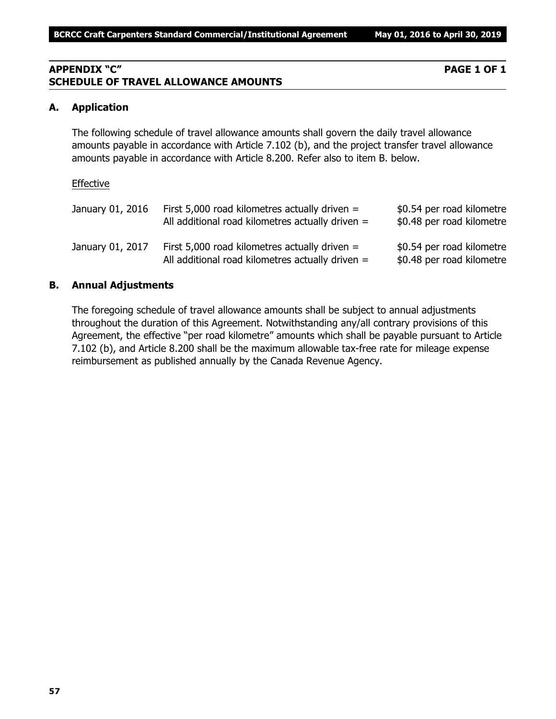# **APPENDIX "C" PAGE 1 OF 1 SCHEDULE OF TRAVEL ALLOWANCE AMOUNTS**

# **A. Application**

The following schedule of travel allowance amounts shall govern the daily travel allowance amounts payable in accordance with Article 7.102 (b), and the project transfer travel allowance amounts payable in accordance with Article 8.200. Refer also to item B. below.

#### Effective

| January 01, 2016 | First 5,000 road kilometres actually driven $=$<br>All additional road kilometres actually driven $=$ | \$0.54 per road kilometre<br>\$0.48 per road kilometre |
|------------------|-------------------------------------------------------------------------------------------------------|--------------------------------------------------------|
| January 01, 2017 | First 5,000 road kilometres actually driven $=$<br>All additional road kilometres actually driven $=$ | \$0.54 per road kilometre<br>\$0.48 per road kilometre |

# **B. Annual Adjustments**

The foregoing schedule of travel allowance amounts shall be subject to annual adjustments throughout the duration of this Agreement. Notwithstanding any/all contrary provisions of this Agreement, the effective "per road kilometre" amounts which shall be payable pursuant to Article 7.102 (b), and Article 8.200 shall be the maximum allowable tax-free rate for mileage expense reimbursement as published annually by the Canada Revenue Agency.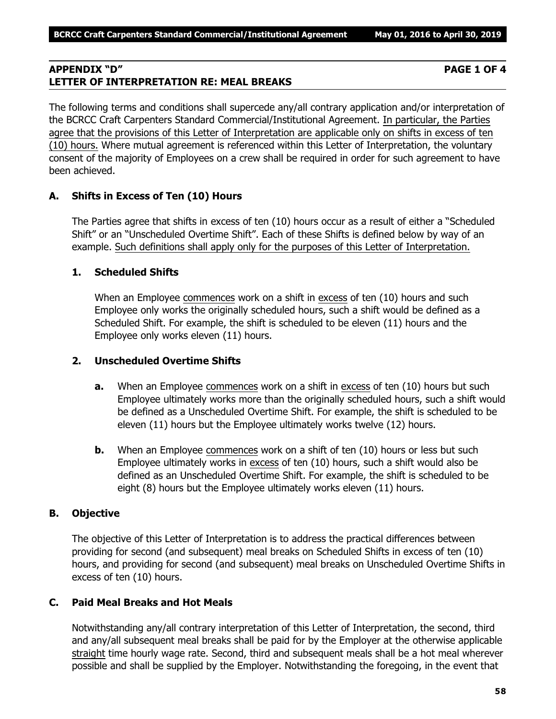# **APPENDIX "D" PAGE 1 OF 4 LETTER OF INTERPRETATION RE: MEAL BREAKS**

The following terms and conditions shall supercede any/all contrary application and/or interpretation of the BCRCC Craft Carpenters Standard Commercial/Institutional Agreement. In particular, the Parties agree that the provisions of this Letter of Interpretation are applicable only on shifts in excess of ten (10) hours. Where mutual agreement is referenced within this Letter of Interpretation, the voluntary consent of the majority of Employees on a crew shall be required in order for such agreement to have been achieved.

# **A. Shifts in Excess of Ten (10) Hours**

The Parties agree that shifts in excess of ten (10) hours occur as a result of either a "Scheduled Shift" or an "Unscheduled Overtime Shift". Each of these Shifts is defined below by way of an example. Such definitions shall apply only for the purposes of this Letter of Interpretation.

# **1. Scheduled Shifts**

When an Employee commences work on a shift in excess of ten (10) hours and such Employee only works the originally scheduled hours, such a shift would be defined as a Scheduled Shift. For example, the shift is scheduled to be eleven (11) hours and the Employee only works eleven (11) hours.

# **2. Unscheduled Overtime Shifts**

- **a.** When an Employee commences work on a shift in excess of ten (10) hours but such Employee ultimately works more than the originally scheduled hours, such a shift would be defined as a Unscheduled Overtime Shift. For example, the shift is scheduled to be eleven (11) hours but the Employee ultimately works twelve (12) hours.
- **b.** When an Employee commences work on a shift of ten (10) hours or less but such Employee ultimately works in excess of ten (10) hours, such a shift would also be defined as an Unscheduled Overtime Shift. For example, the shift is scheduled to be eight (8) hours but the Employee ultimately works eleven (11) hours.

# **B. Objective**

The objective of this Letter of Interpretation is to address the practical differences between providing for second (and subsequent) meal breaks on Scheduled Shifts in excess of ten (10) hours, and providing for second (and subsequent) meal breaks on Unscheduled Overtime Shifts in excess of ten (10) hours.

# **C. Paid Meal Breaks and Hot Meals**

Notwithstanding any/all contrary interpretation of this Letter of Interpretation, the second, third and any/all subsequent meal breaks shall be paid for by the Employer at the otherwise applicable straight time hourly wage rate. Second, third and subsequent meals shall be a hot meal wherever possible and shall be supplied by the Employer. Notwithstanding the foregoing, in the event that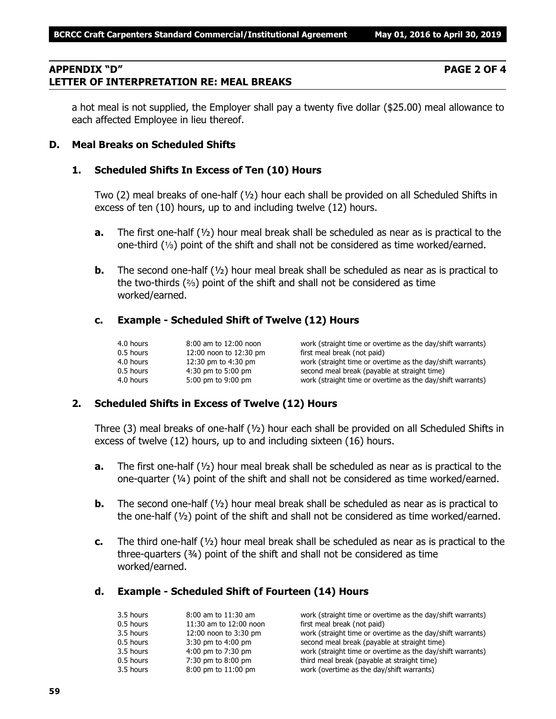# **APPENDIX "D" PAGE 2 OF 4 LETTER OF INTERPRETATION RE: MEAL BREAKS**

a hot meal is not supplied, the Employer shall pay a twenty five dollar (\$25.00) meal allowance to each affected Employee in lieu thereof.

# **D. Meal Breaks on Scheduled Shifts**

# **1. Scheduled Shifts In Excess of Ten (10) Hours**

Two (2) meal breaks of one-half (½) hour each shall be provided on all Scheduled Shifts in excess of ten (10) hours, up to and including twelve (12) hours.

- **a.** The first one-half (½) hour meal break shall be scheduled as near as is practical to the one-third  $(1/3)$  point of the shift and shall not be considered as time worked/earned.
- **b.** The second one-half ( $\frac{1}{2}$ ) hour meal break shall be scheduled as near as is practical to the two-thirds  $(2)$  point of the shift and shall not be considered as time worked/earned.

# **c. Example - Scheduled Shift of Twelve (12) Hours**

| 4.0 hours   | 8:00 am to 12:00 noon  | work (straight time or overtime as the day/shift warrants) |
|-------------|------------------------|------------------------------------------------------------|
| 0.5 hours   | 12:00 noon to 12:30 pm | first meal break (not paid)                                |
| 4.0 hours   | 12:30 pm to 4:30 pm    | work (straight time or overtime as the day/shift warrants) |
| $0.5$ hours | $4:30$ pm to 5:00 pm   | second meal break (payable at straight time)               |
| 4.0 hours   | 5:00 pm to 9:00 pm     | work (straight time or overtime as the day/shift warrants) |

# **2. Scheduled Shifts in Excess of Twelve (12) Hours**

Three (3) meal breaks of one-half ( $\frac{1}{2}$ ) hour each shall be provided on all Scheduled Shifts in excess of twelve (12) hours, up to and including sixteen (16) hours.

- **a.** The first one-half (½) hour meal break shall be scheduled as near as is practical to the one-quarter (¼) point of the shift and shall not be considered as time worked/earned.
- **b.** The second one-half ( $\frac{1}{2}$ ) hour meal break shall be scheduled as near as is practical to the one-half  $(V_2)$  point of the shift and shall not be considered as time worked/earned.
- **c.** The third one-half (½) hour meal break shall be scheduled as near as is practical to the three-quarters (¾) point of the shift and shall not be considered as time worked/earned.

# **d. Example - Scheduled Shift of Fourteen (14) Hours**

| 3.5 hours | $8:00$ am to $11:30$ am | work (straight time or overtime as the day/shift warrants) |
|-----------|-------------------------|------------------------------------------------------------|
| 0.5 hours | 11:30 am to 12:00 noon  | first meal break (not paid)                                |
| 3.5 hours | 12:00 noon to 3:30 pm   | work (straight time or overtime as the day/shift warrants) |
| 0.5 hours | $3:30$ pm to $4:00$ pm  | second meal break (payable at straight time)               |
| 3.5 hours | 4:00 pm to 7:30 pm      | work (straight time or overtime as the day/shift warrants) |
| 0.5 hours | 7:30 pm to 8:00 pm      | third meal break (payable at straight time)                |
| 3.5 hours | 8:00 pm to 11:00 pm     | work (overtime as the day/shift warrants)                  |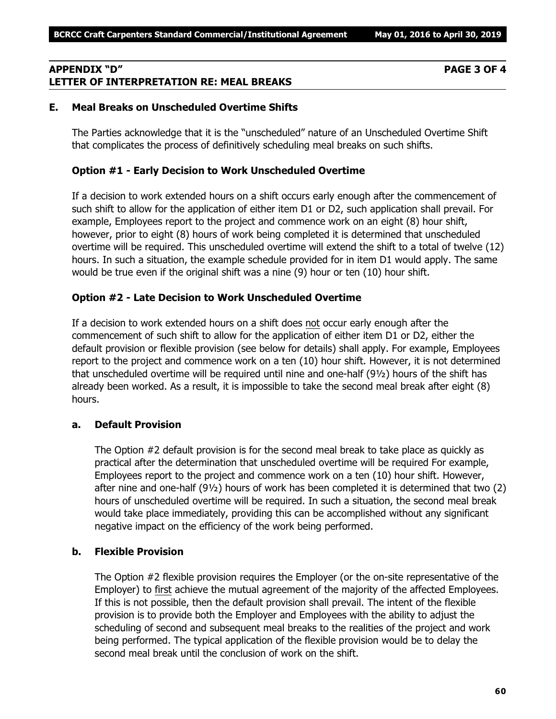# **APPENDIX "D" PAGE 3 OF 4 LETTER OF INTERPRETATION RE: MEAL BREAKS**

# **E. Meal Breaks on Unscheduled Overtime Shifts**

The Parties acknowledge that it is the "unscheduled" nature of an Unscheduled Overtime Shift that complicates the process of definitively scheduling meal breaks on such shifts.

# **Option #1 - Early Decision to Work Unscheduled Overtime**

If a decision to work extended hours on a shift occurs early enough after the commencement of such shift to allow for the application of either item D1 or D2, such application shall prevail. For example, Employees report to the project and commence work on an eight (8) hour shift, however, prior to eight (8) hours of work being completed it is determined that unscheduled overtime will be required. This unscheduled overtime will extend the shift to a total of twelve (12) hours. In such a situation, the example schedule provided for in item D1 would apply. The same would be true even if the original shift was a nine (9) hour or ten (10) hour shift.

# **Option #2 - Late Decision to Work Unscheduled Overtime**

If a decision to work extended hours on a shift does not occur early enough after the commencement of such shift to allow for the application of either item D1 or D2, either the default provision or flexible provision (see below for details) shall apply. For example, Employees report to the project and commence work on a ten (10) hour shift. However, it is not determined that unscheduled overtime will be required until nine and one-half (9½) hours of the shift has already been worked. As a result, it is impossible to take the second meal break after eight (8) hours.

# **a. Default Provision**

The Option #2 default provision is for the second meal break to take place as quickly as practical after the determination that unscheduled overtime will be required For example, Employees report to the project and commence work on a ten (10) hour shift. However, after nine and one-half (9½) hours of work has been completed it is determined that two (2) hours of unscheduled overtime will be required. In such a situation, the second meal break would take place immediately, providing this can be accomplished without any significant negative impact on the efficiency of the work being performed.

# **b. Flexible Provision**

The Option #2 flexible provision requires the Employer (or the on-site representative of the Employer) to first achieve the mutual agreement of the majority of the affected Employees. If this is not possible, then the default provision shall prevail. The intent of the flexible provision is to provide both the Employer and Employees with the ability to adjust the scheduling of second and subsequent meal breaks to the realities of the project and work being performed. The typical application of the flexible provision would be to delay the second meal break until the conclusion of work on the shift.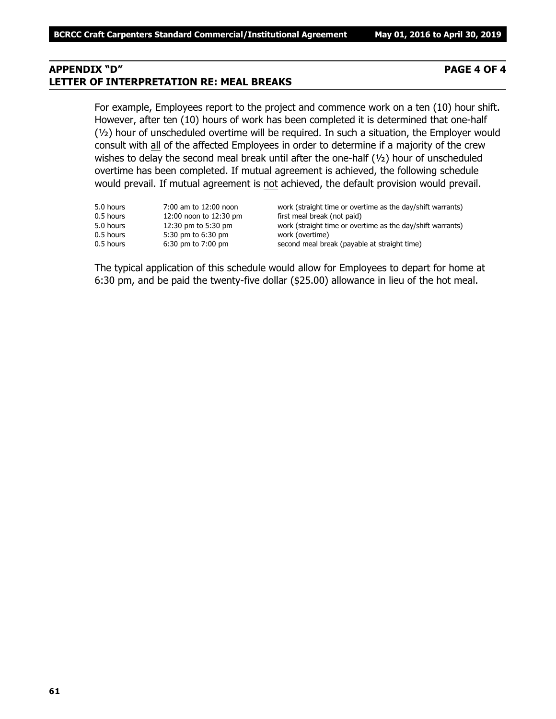# **APPENDIX "D" PAGE 4 OF 4 LETTER OF INTERPRETATION RE: MEAL BREAKS**

For example, Employees report to the project and commence work on a ten (10) hour shift. However, after ten (10) hours of work has been completed it is determined that one-half (½) hour of unscheduled overtime will be required. In such a situation, the Employer would consult with all of the affected Employees in order to determine if a majority of the crew wishes to delay the second meal break until after the one-half (1/2) hour of unscheduled overtime has been completed. If mutual agreement is achieved, the following schedule would prevail. If mutual agreement is not achieved, the default provision would prevail.

| 5.0 hours<br>0.5 hours<br>5.0 hours | 7:00 am to 12:00 noon<br>12:00 noon to 12:30 pm<br>12:30 pm to 5:30 pm | work (straight time or overtime as the day/shift warrants)<br>first meal break (not paid)<br>work (straight time or overtime as the day/shift warrants) |
|-------------------------------------|------------------------------------------------------------------------|---------------------------------------------------------------------------------------------------------------------------------------------------------|
| 0.5 hours                           | 5:30 pm to 6:30 pm                                                     | work (overtime)                                                                                                                                         |
| 0.5 hours                           | $6:30$ pm to $7:00$ pm                                                 | second meal break (payable at straight time)                                                                                                            |

The typical application of this schedule would allow for Employees to depart for home at 6:30 pm, and be paid the twenty-five dollar (\$25.00) allowance in lieu of the hot meal.